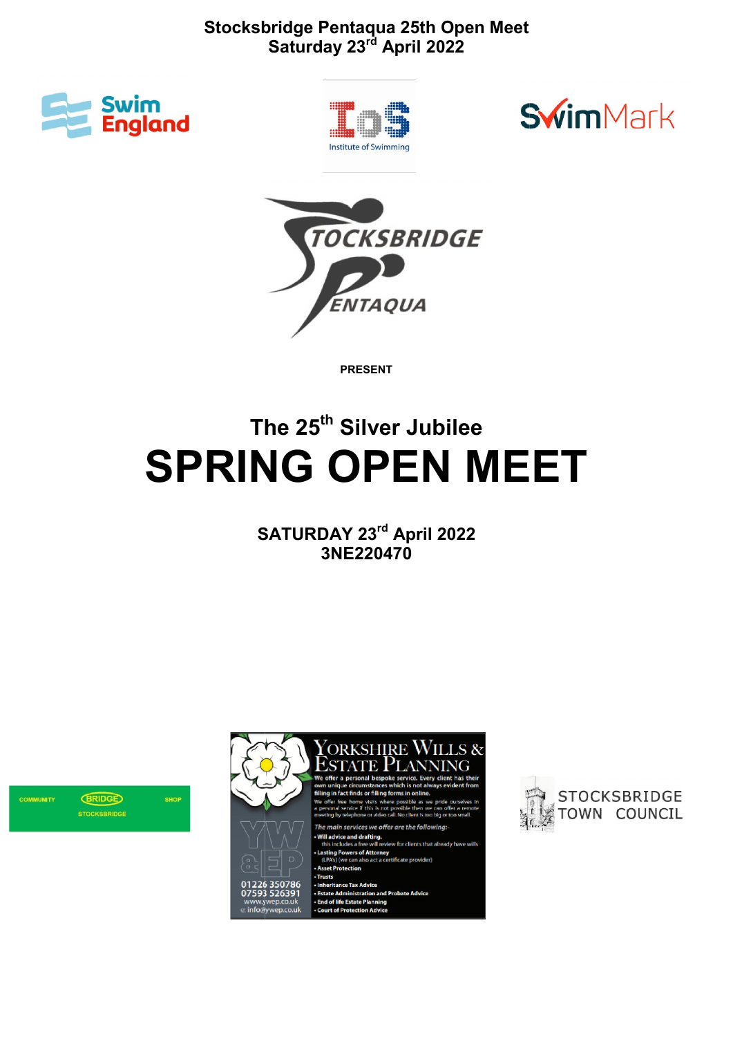







PRESENT

# The 25<sup>th</sup> Silver Jubilee SPRING OPEN MEET

SATURDAY 23<sup>rd</sup> April 2022 3NE220470





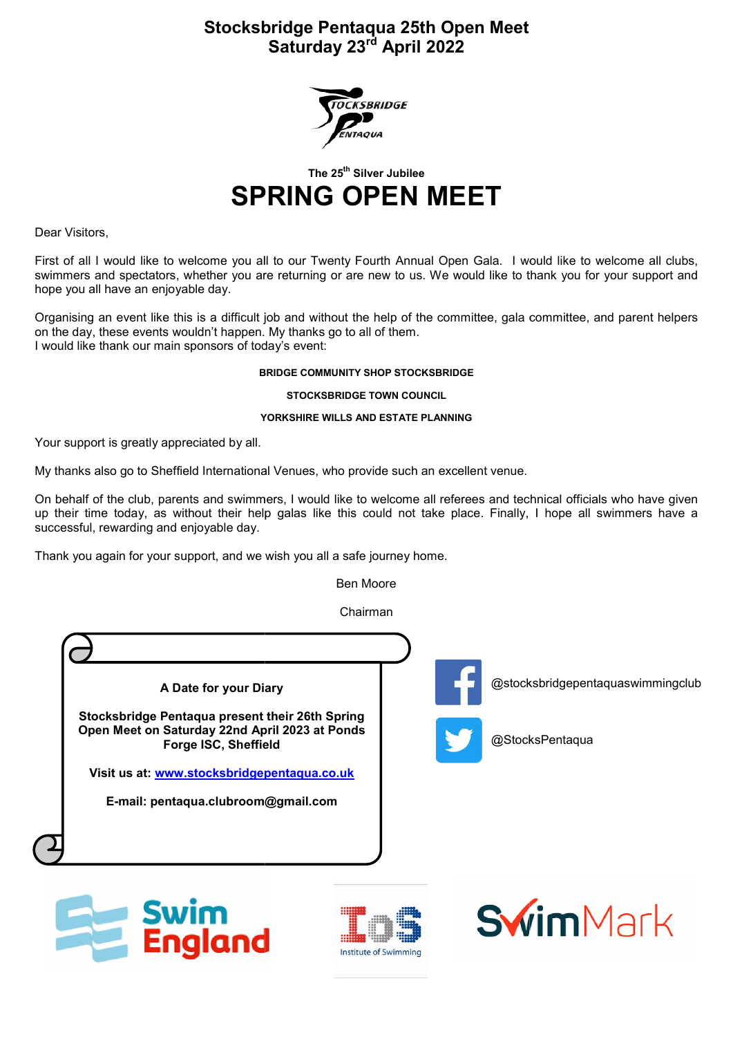

The 25<sup>th</sup> Silver Jubilee

## SPRING OPEN MEET

Dear Visitors,

First of all I would like to welcome you all to our Twenty Fourth Annual Open Gala. I would like to welcome all clubs, swimmers and spectators, whether you are returning or are new to us. We would like to thank you for your support and hope you all have an enjoyable day.

Organising an event like this is a difficult job and without the help of the committee, gala committee, and parent helpers on the day, these events wouldn't happen. My thanks go to all of them. I would like thank our main sponsors of today's event: ators, whether you are returning or are new to us. We would like to thank you for your support and<br>enjoyable day.<br>Ilke this is a difficult job and without the help of the committee, gala committee, and parent helpers<br>ints

#### BRIDGE COMMUNITY SHOP STOCKSBRIDGE

STOCKSBRIDGE TOWN COUNCIL

#### YORKSHIRE WILLS AND ESTATE PLANNING

Your support is greatly appreciated by all.

My thanks also go to Sheffield International Venues, who provide such an excellent venue.

On behalf of the club, parents and swimmers, I would like to welcome all referees and technical up their time today, as without their help galas like this could not take place. Finally, I hope all swimmers have a successful, rewarding and enjoyable day.

Thank you again for your support, and we wish you all a safe journey home.

land

Ben Moore

Chairman



**Institute of Swimming**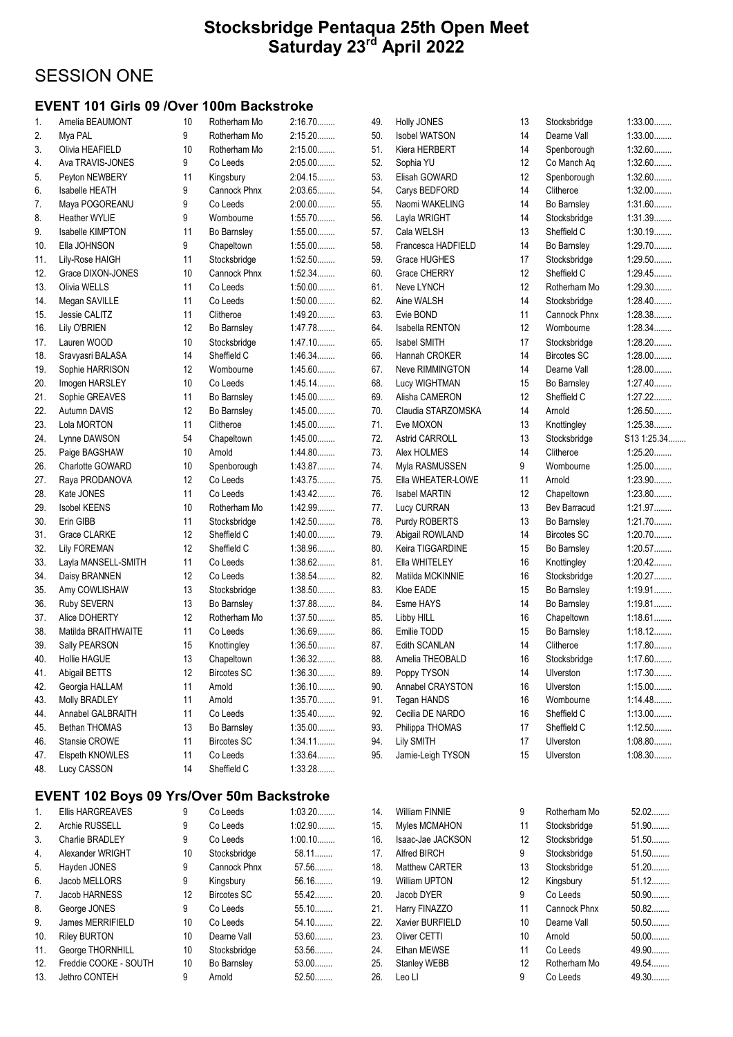## SESSION ONE

#### EVENT 101 Girls 09 /Over 100m Backstroke

| 1.  | Amelia BEAUMONT         | 10 | Rotherham Mo        | 2:16.70   |
|-----|-------------------------|----|---------------------|-----------|
| 2.  | Mya PAL                 | 9  | Rotherham Mo        | 2:15.20   |
| 3.  | Olivia HEAFIELD         | 10 | Rotherham Mo        | $2:15.00$ |
| 4.  | Ava TRAVIS-JONES        | 9  | Co Leeds            | $2:05.00$ |
| 5.  | Peyton NEWBERY          | 11 | Kingsbury           | 2:04.15   |
| 6.  | <b>Isabelle HEATH</b>   | 9  | Cannock Phnx        | 2:03.65   |
| 7.  | Maya POGOREANU          | 9  | Co Leeds            | 2:00.00   |
| 8.  | Heather WYLIE           | 9  | Wombourne           | 1:55.70   |
| 9.  | <b>Isabelle KIMPTON</b> | 11 | Bo Barnsley         | $1:55.00$ |
| 10. | Ella JOHNSON            | 9  | Chapeltown          | $1:55.00$ |
| 11. | Lily-Rose HAIGH         | 11 | Stocksbridge        | 1:52.50   |
| 12. | Grace DIXON-JONES       | 10 | <b>Cannock Phnx</b> | 1:52.34   |
| 13. | Olivia WELLS            | 11 | Co Leeds            | $1:50.00$ |
| 14. | Megan SAVILLE           | 11 | Co Leeds            | $1:50.00$ |
| 15. | Jessie CALITZ           | 11 | Clitheroe           | 1:49.20   |
| 16. | Lily O'BRIEN            | 12 | Bo Barnsley         | 1:47.78   |
| 17. | Lauren WOOD             | 10 | Stocksbridge        | $1:47.10$ |
| 18. | Sravyasri BALASA        | 14 | Sheffield C         | 1:46.34   |
| 19. | Sophie HARRISON         | 12 | Wombourne           | $1:45.60$ |
| 20. | Imogen HARSLEY          | 10 | Co Leeds            | $1:45.14$ |
| 21. | Sophie GREAVES          | 11 | Bo Barnsley         | $1:45.00$ |
| 22. | Autumn DAVIS            | 12 | Bo Barnsley         | $1:45.00$ |
| 23. | Lola MORTON             | 11 | Clitheroe           | $1:45.00$ |
| 24. | Lynne DAWSON            | 54 | Chapeltown          | $1:45.00$ |
| 25. | Paige BAGSHAW           | 10 | Arnold              | 1:44.80   |
| 26. | Charlotte GOWARD        | 10 | Spenborough         | 1:43.87   |
| 27. | Raya PRODANOVA          | 12 | Co Leeds            | 1:43.75   |
| 28. | Kate JONES              | 11 | Co Leeds            | 1:43.42   |
| 29. | <b>Isobel KEENS</b>     | 10 | Rotherham Mo        | 1:42.99   |
| 30. | Erin GIBB               | 11 | Stocksbridge        | 1:42.50   |
| 31. | Grace CLARKE            | 12 | Sheffield C         | $1:40.00$ |
| 32. | <b>Lily FOREMAN</b>     | 12 | Sheffield C         | 1:38.96   |
| 33. | Layla MANSELL-SMITH     | 11 | Co Leeds            | 1:38.62   |
| 34. | Daisy BRANNEN           | 12 | Co Leeds            | 1:38.54   |
| 35. | Amy COWLISHAW           | 13 | Stocksbridge        | 1:38.50   |
| 36. | Ruby SEVERN             | 13 | Bo Barnsley         | 1:37.88   |
| 37. | Alice DOHERTY           | 12 | Rotherham Mo        | 1:37.50   |
| 38. | Matilda BRAITHWAITE     | 11 | Co Leeds            | 1:36.69   |
| 39. | Sally PEARSON           | 15 | Knottingley         | 1:36.50   |
| 40. | <b>Hollie HAGUE</b>     | 13 | Chapeltown          | 1:36.32   |
| 41. | Abigail BETTS           | 12 | <b>Bircotes SC</b>  | 1:36.30   |
| 42. | Georgia HALLAM          | 11 | Arnold              | $1:36.10$ |
| 43. | Molly BRADLEY           | 11 | Arnold              | $1:35.70$ |
| 44. | Annabel GALBRAITH       | 11 | Co Leeds            | $1:35.40$ |
| 45. | <b>Bethan THOMAS</b>    | 13 | Bo Barnsley         | $1:35.00$ |
| 46. | Stansie CROWE           | 11 | <b>Bircotes SC</b>  | 1:34.11   |
| 47. | Elspeth KNOWLES         | 11 | Co Leeds            | 1:33.64   |
| 48. | Lucy CASSON             | 14 | Sheffield C         | 1:33.28   |
|     |                         |    |                     |           |

#### EVENT 102 Boys 09 Yrs/Over 50m Backstroke

| $\mathbf{1}$ . | <b>Ellis HARGREAVES</b> | 9  | Co Leeds           | $1:03.20$ |
|----------------|-------------------------|----|--------------------|-----------|
| 2.             | Archie RUSSELL          | 9  | Co Leeds           | $1:02.90$ |
| 3.             | Charlie BRADLEY         | 9  | Co Leeds           | $1:00.10$ |
| 4.             | Alexander WRIGHT        | 10 | Stocksbridge       | 58.11     |
| 5.             | Hayden JONES            | 9  | Cannock Phnx       | 57.56     |
| 6.             | Jacob MELLORS           | 9  | Kingsbury          | 56.16     |
| 7.             | Jacob HARNESS           | 12 | <b>Bircotes SC</b> | 55.42     |
| 8.             | George JONES            | 9  | Co Leeds           | $55.10$   |
| 9.             | James MERRIFIELD        | 10 | Co Leeds           | 54.10     |
| 10.            | <b>Riley BURTON</b>     | 10 | Dearne Vall        | 53.60     |
| 11.            | George THORNHILL        | 10 | Stocksbridge       | 53.56     |
| 12.            | Freddie COOKE - SOUTH   | 10 | Bo Barnsley        | $53.00$   |
| 13.            | Jethro CONTEH           | 9  | Arnold             | 52.50     |

| 49. | Holly JONES            | 13 |
|-----|------------------------|----|
| 50. | <b>Isobel WATSON</b>   | 14 |
| 51. | Kiera HERBERT          | 14 |
| 52. | Sophia YU              | 12 |
| 53. | Elisah GOWARD          | 12 |
| 54. | Carys BEDFORD          | 14 |
| 55. | Naomi WAKELING         | 14 |
| 56. | Layla WRIGHT           | 14 |
| 57. | Cala WELSH             | 13 |
| 58. | Francesca HADFIELD     | 14 |
| 59. | Grace HUGHES           | 17 |
| 60. | <b>Grace CHERRY</b>    | 12 |
| 61. | Neve LYNCH             | 12 |
| 62. | Aine WALSH             | 14 |
| 63. | Evie BOND              | 11 |
| 64. | <b>Isabella RENTON</b> | 12 |
| 65. | <b>Isabel SMITH</b>    | 17 |
| 66. | Hannah CROKER          | 14 |
| 67. | <b>Neve RIMMINGTON</b> | 14 |
| 68. | Lucy WIGHTMAN          | 15 |
| 69. | Alisha CAMERON         | 12 |
| 70. | Claudia STARZOMSKA     | 14 |
| 71. | Eve MOXON              | 13 |
| 72. | <b>Astrid CARROLL</b>  | 13 |
| 73. | Alex HOLMES            | 14 |
| 74. | Myla RASMUSSEN         | 9  |
| 75. | Ella WHEATER-LOWE      | 11 |
| 76. | <b>Isabel MARTIN</b>   | 12 |
| 77. | Lucy CURRAN            | 13 |
| 78. | Purdy ROBERTS          | 13 |
| 79. | Abigail ROWLAND        | 14 |
| 80. | Keira TIGGARDINE       | 15 |
| 81. | Ella WHITELEY          | 16 |
| 82. | Matilda MCKINNIE       | 16 |
| 83. | Kloe EADE              | 15 |
| 84. | Esme HAYS              | 14 |
| 85. | Libby HILL             | 16 |
| 86. | Emilie TODD            | 15 |
| 87. | Edith SCANLAN          | 14 |
| 88. | Amelia THEOBALD        | 16 |
| 89. | Poppy TYSON            | 14 |
| 90. | Annabel CRAYSTON       | 16 |
| 91. | Tegan HANDS            | 16 |
| 92. | Cecilia DE NARDO       | 16 |
| 93. | Philippa THOMAS        | 17 |
| 94. | <b>Lily SMITH</b>      | 17 |
| 95. | Jamie-Leigh TYSON      | 15 |
|     |                        |    |

49. Stocksbridge 1:33.00........ 1 Dearne Vall 1:33.00........ Spenborough 1:32.60........ Co Manch Aq 1:32.60........ Spenborough 1:32.60........ Clitheroe 1:32.00........ Bo Barnsley 1:31.60........ Stocksbridge 1:31.39........ Sheffield C 1:30.19........ Bo Barnsley 1:29.70........ Stocksbridge 1:29.50........ Sheffield C 1:29.45........ Rotherham Mo 1:29.30........ Stocksbridge 1:28.40........ Cannock Phnx 1:28.38........ Wombourne 1:28.34........ Stocksbridge 1:28.20........ Bircotes SC 1:28.00........ Dearne Vall 1:28.00........ Bo Barnsley 1:27.40........ 2 Sheffield C 1:27.22........ Arnold 1:26.50........ 71. Knottingley 1:25.38........ 3 Stocksbridge S13 1:25.34...... Clitheroe 1:25.20........ Wombourne 1:25.00........ Arnold 1:23.90........ Chapeltown 1:23.80........ **Bev Barracud** 1:21.97........ 8 Bo Barnsley 1:21.70........ Bircotes SC 1:20.70........ Bo Barnsley 1:20.57........ Knottingley 1:20.42........ Stocksbridge 1:20.27........ Bo Barnsley 1:19.91........ Bo Barnsley 1:19.81........ Chapeltown 1:18.61........ Bo Barnsley 1:18.12........<br>Clitheroe 1:17.80........  $1:17.80...$ Stocksbridge 1:17.60........ Ulverston 1:17.30........ Ulverston 1:15.00........ Wombourne 1:14.48........ Sheffield C 1:13.00........ Sheffield C 1:12.50........ Ulverston 1:08.80........ Ulverston 1:08.30........

| 14. | <b>William FINNIE</b> | 9                 | Rotherham Mo        | 52.02.  |
|-----|-----------------------|-------------------|---------------------|---------|
| 15. | Myles MCMAHON         | 11                | Stocksbridge        | 51.90   |
| 16. | Isaac-Jae JACKSON     | $12 \overline{ }$ | Stocksbridge        | 51.50   |
| 17. | Alfred BIRCH          | 9                 | Stocksbridge        | 51.50   |
| 18. | Matthew CARTER        | 13                | Stocksbridge        | 51.20   |
| 19. | <b>William UPTON</b>  | $12 \overline{ }$ | Kingsbury           | 51.12   |
| 20. | Jacob DYER            | 9                 | Co Leeds            | 50.90   |
| 21. | Harry FINAZZO         | 11                | <b>Cannock Phnx</b> | $50.82$ |
| 22. | Xavier BURFIELD       | 10                | Dearne Vall         | 50.50   |
| 23. | Oliver CETTI          | 10                | Arnold              | 50.00   |
| 24. | Ethan MEWSE           | 11                | Co Leeds            | 49.90   |
| 25. | Stanley WEBB          | 12                | Rotherham Mo        | 49.54   |
| 26. | Leo LI                | 9                 | Co Leeds            | 49.30   |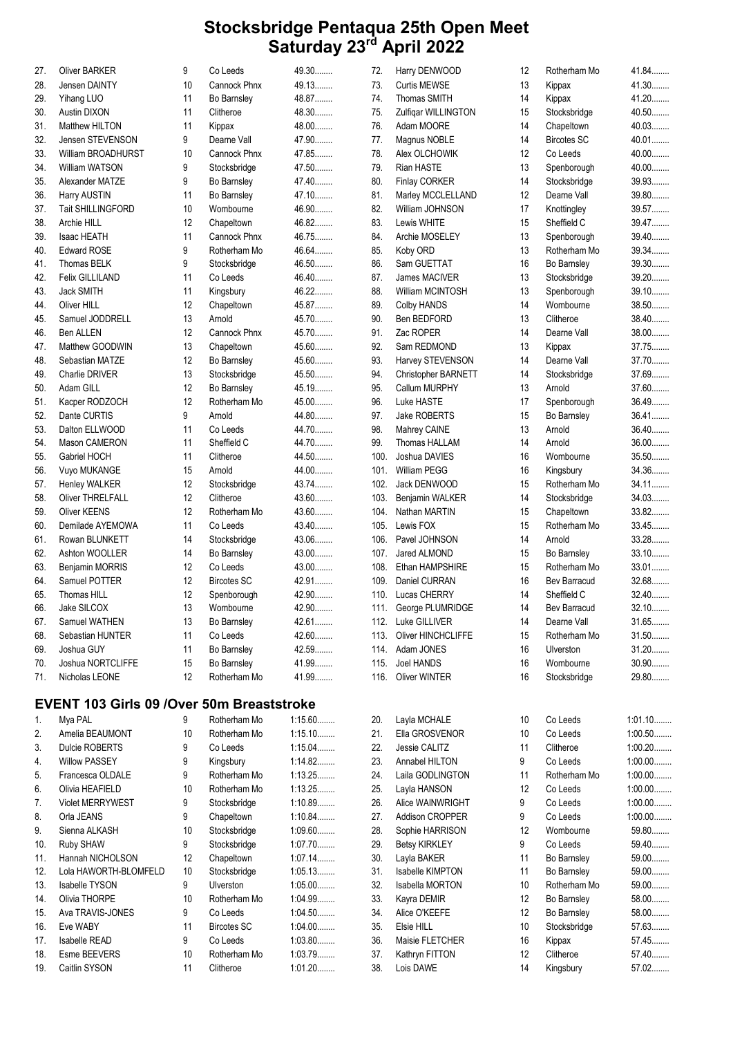| 27. | Oliver BARKER                                    | 9  | Co Leeds           | 49.30     | 72.  | Harry DENWOOD           | 12 | Rotherham Mo       | 41.84     |
|-----|--------------------------------------------------|----|--------------------|-----------|------|-------------------------|----|--------------------|-----------|
| 28. | Jensen DAINTY                                    | 10 | Cannock Phnx       | 49.13.    | 73.  | <b>Curtis MEWSE</b>     | 13 | Kippax             | 41.30     |
| 29. | Yihang LUO                                       | 11 | Bo Barnsley        | 48.87     | 74.  | <b>Thomas SMITH</b>     | 14 | Kippax             | 41.20     |
| 30. | Austin DIXON                                     | 11 | Clitheroe          | 48.30     | 75.  | Zulfigar WILLINGTON     | 15 | Stocksbridge       | 40.50     |
| 31. | Matthew HILTON                                   | 11 | Kippax             | 48.00     | 76.  | Adam MOORE              | 14 | Chapeltown         | 40.03     |
| 32. | Jensen STEVENSON                                 | 9  | Dearne Vall        | 47.90     | 77.  | Magnus NOBLE            | 14 | <b>Bircotes SC</b> | 40.01     |
| 33. | William BROADHURST                               | 10 | Cannock Phnx       | 47.85     | 78.  | Alex OLCHOWIK           | 12 | Co Leeds           | 40.00     |
| 34. | William WATSON                                   | 9  | Stocksbridge       | 47.50     | 79.  | Rian HASTE              | 13 | Spenborough        | 40.00     |
| 35. | Alexander MATZE                                  | 9  | Bo Barnsley        | 47.40     | 80.  | <b>Finlay CORKER</b>    | 14 | Stocksbridge       | 39.93     |
| 36. | Harry AUSTIN                                     | 11 | Bo Barnsley        | 47.10     | 81.  | Marley MCCLELLAND       | 12 | Dearne Vall        | 39.80     |
| 37. | <b>Tait SHILLINGFORD</b>                         | 10 | Wombourne          | 46.90     | 82.  | William JOHNSON         | 17 | Knottingley        | 39.57     |
| 38. | Archie HILL                                      | 12 | Chapeltown         | 46.82     | 83.  | Lewis WHITE             | 15 | Sheffield C        | 39.47     |
| 39. | Isaac HEATH                                      | 11 | Cannock Phnx       | 46.75     | 84.  | Archie MOSELEY          | 13 | Spenborough        | 39.40     |
| 40. | <b>Edward ROSE</b>                               | 9  | Rotherham Mo       | 46.64     | 85.  | Koby ORD                | 13 | Rotherham Mo       | 39.34     |
| 41. | Thomas BELK                                      | 9  | Stocksbridge       | 46.50     | 86.  | Sam GUETTAT             | 16 | Bo Barnsley        | 39.30     |
| 42. | Felix GILLILAND                                  | 11 | Co Leeds           | 46.40     | 87.  | James MACIVER           | 13 | Stocksbridge       | 39.20     |
| 43. | Jack SMITH                                       | 11 | Kingsbury          | 46.22     | 88.  | William MCINTOSH        | 13 | Spenborough        | 39.10     |
| 44. | Oliver HILL                                      | 12 | Chapeltown         | 45.87     | 89.  | Colby HANDS             | 14 | Wombourne          | 38.50     |
| 45. | Samuel JODDRELL                                  | 13 | Arnold             | 45.70     | 90.  | Ben BEDFORD             | 13 | Clitheroe          | 38.40     |
| 46. | Ben ALLEN                                        | 12 | Cannock Phnx       | 45.70     | 91.  | Zac ROPER               | 14 | Dearne Vall        | $38.00$   |
| 47. | Matthew GOODWIN                                  | 13 | Chapeltown         | 45.60     | 92.  | Sam REDMOND             | 13 | Kippax             | 37.75     |
| 48. | Sebastian MATZE                                  | 12 | Bo Barnsley        | 45.60     | 93.  | Harvey STEVENSON        | 14 | Dearne Vall        | 37.70     |
| 49. | Charlie DRIVER                                   | 13 | Stocksbridge       | 45.50     | 94.  | Christopher BARNETT     | 14 | Stocksbridge       | 37.69     |
| 50. | Adam GILL                                        | 12 | Bo Barnsley        | 45.19.    | 95.  | Callum MURPHY           | 13 | Arnold             | 37.60     |
| 51. | Kacper RODZOCH                                   | 12 | Rotherham Mo       | 45.00     | 96.  | Luke HASTE              | 17 | Spenborough        | 36.49     |
| 52. | Dante CURTIS                                     | 9  | Arnold             | 44.80     | 97.  | Jake ROBERTS            | 15 | Bo Barnsley        | 36.41     |
| 53. | Dalton ELLWOOD                                   | 11 | Co Leeds           | 44.70     | 98.  | Mahrey CAINE            | 13 | Arnold             | 36.40     |
| 54. | Mason CAMERON                                    | 11 | Sheffield C        | 44.70     | 99.  | Thomas HALLAM           | 14 | Arnold             | 36.00     |
| 55. | Gabriel HOCH                                     | 11 | Clitheroe          | 44.50     | 100. | Joshua DAVIES           | 16 | Wombourne          | 35.50     |
| 56. | Vuyo MUKANGE                                     | 15 | Arnold             | 44.00     | 101. | <b>William PEGG</b>     | 16 | Kingsbury          | 34.36     |
| 57. | <b>Henley WALKER</b>                             | 12 | Stocksbridge       | 43.74     | 102. | Jack DENWOOD            | 15 | Rotherham Mo       | 34.11.    |
| 58. | <b>Oliver THRELFALL</b>                          | 12 | Clitheroe          | 43.60     | 103. | Benjamin WALKER         | 14 | Stocksbridge       | 34.03     |
| 59. | <b>Oliver KEENS</b>                              | 12 | Rotherham Mo       | 43.60     | 104. | Nathan MARTIN           | 15 | Chapeltown         | 33.82     |
| 60. | Demilade AYEMOWA                                 | 11 | Co Leeds           | 43.40     | 105. | Lewis FOX               | 15 | Rotherham Mo       | 33.45     |
| 61. | Rowan BLUNKETT                                   | 14 | Stocksbridge       | 43.06     | 106. | Pavel JOHNSON           | 14 | Arnold             | 33.28.    |
| 62. | Ashton WOOLLER                                   | 14 | Bo Barnsley        | 43.00     | 107. | Jared ALMOND            | 15 | Bo Barnsley        | 33.10     |
| 63. | Benjamin MORRIS                                  | 12 | Co Leeds           | 43.00     | 108. | Ethan HAMPSHIRE         | 15 | Rotherham Mo       | 33.01     |
| 64. | Samuel POTTER                                    | 12 | <b>Bircotes SC</b> | 42.91     | 109. | Daniel CURRAN           | 16 | Bev Barracud       | 32.68.    |
| 65. | Thomas HILL                                      | 12 | Spenborough        | 42.90     | 110. | Lucas CHERRY            | 14 | Sheffield C        | 32.40     |
| 66. | Jake SILCOX                                      | 13 | Wombourne          | 42.90.    | 111. | George PLUMRIDGE        | 14 | Bev Barracud       | 32.10     |
| 67. | Samuel WATHEN                                    | 13 | Bo Barnsley        | 42.61.    |      | 112. Luke GILLIVER      | 14 | Dearne Vall        | 31.65     |
| 68. | Sebastian HUNTER                                 | 11 | Co Leeds           | 42.60     |      | 113. Oliver HINCHCLIFFE | 15 | Rotherham Mo       | $31.50$   |
| 69. | Joshua GUY                                       | 11 | Bo Barnsley        | 42.59     |      | 114. Adam JONES         | 16 | Ulverston          | $31.20$   |
| 70. | Joshua NORTCLIFFE                                | 15 | Bo Barnsley        | 41.99     |      | 115. Joel HANDS         | 16 | Wombourne          | $30.90$   |
| 71. | Nicholas LEONE                                   | 12 | Rotherham Mo       | 41.99     |      | 116. Oliver WINTER      | 16 | Stocksbridge       | 29.80     |
|     | <b>EVENT 103 Girls 09 /Over 50m Breaststroke</b> |    |                    |           |      |                         |    |                    |           |
|     | Mya PAL                                          | 9  | Rotherham Mo       | $1:15.60$ | 20.  | Layla MCHALE            | 10 | Co Leeds           | $1:01.10$ |

| 2.  | Amelia BEAUMONT         | 10 | Rotherham Mo       | $1:15.10$ |
|-----|-------------------------|----|--------------------|-----------|
| 3.  | Dulcie ROBERTS          | 9  | Co Leeds           | 1:15.04   |
| 4.  | <b>Willow PASSEY</b>    | 9  | Kingsbury          | 1:14.82   |
| 5.  | Francesca OLDALE        | 9  | Rotherham Mo       | 1:13.25   |
| 6.  | Olivia HEAFIELD         | 10 | Rotherham Mo       | 1:13.25   |
| 7.  | <b>Violet MERRYWEST</b> | 9  | Stocksbridge       | 1:10.89   |
| 8.  | Orla JEANS              | 9  | Chapeltown         | 1:10.84   |
| 9.  | Sienna ALKASH           | 10 | Stocksbridge       | $1:09.60$ |
| 10. | Ruby SHAW               | 9  | Stocksbridge       | 1:07.70   |
| 11. | Hannah NICHOLSON        | 12 | Chapeltown         | 1:07.14   |
| 12. | Lola HAWORTH-BLOMFELD   | 10 | Stocksbridge       | 1:05.13   |
| 13. | <b>Isabelle TYSON</b>   | 9  | <b>Ulverston</b>   | $1:05.00$ |
| 14. | Olivia THORPE           | 10 | Rotherham Mo       | 1:04.99   |
| 15. | Ava TRAVIS-JONES        | 9  | Co Leeds           | 1:04.50   |
| 16. | Eve WABY                | 11 | <b>Bircotes SC</b> | $1:04.00$ |
| 17. | <b>Isabelle READ</b>    | 9  | Co Leeds           | 1:03.80   |
| 18. | Esme BEEVERS            | 10 | Rotherham Mo       | 1:03.79   |
| 19. | Caitlin SYSON           | 11 | Clitheroe          | 1:01.20   |
|     |                         |    |                    |           |

| 20. | Layla MCHALE            | 10                | Co Leeds     | $1:01.10$ |
|-----|-------------------------|-------------------|--------------|-----------|
| 21. | Ella GROSVENOR          | 10                | Co Leeds     | $1:00.50$ |
| 22. | Jessie CALITZ           | 11                | Clitheroe    | $1:00.20$ |
| 23. | Annabel HILTON          | 9                 | Co Leeds     | $1:00.00$ |
| 24. | Laila GODLINGTON        | 11                | Rotherham Mo | $1:00.00$ |
| 25. | Layla HANSON            | $12 \overline{ }$ | Co Leeds     | $1:00.00$ |
| 26. | Alice WAINWRIGHT        | 9                 | Co Leeds     | $1:00.00$ |
| 27. | <b>Addison CROPPER</b>  | 9                 | Co Leeds     | $1:00.00$ |
| 28. | Sophie HARRISON         | 12                | Wombourne    | 59.80     |
| 29. | <b>Betsy KIRKLEY</b>    | 9                 | Co Leeds     | 59.40     |
| 30. | Layla BAKER             | 11                | Bo Barnsley  | 59.00     |
| 31. | <b>Isabelle KIMPTON</b> | 11                | Bo Barnsley  | 59.00     |
| 32. | <b>Isabella MORTON</b>  | 10                | Rotherham Mo | 59.00     |
| 33. | Kayra DEMIR             | $12 \overline{ }$ | Bo Barnsley  | 58.00     |
| 34. | Alice O'KEEFE           | 12                | Bo Barnsley  | 58.00     |
| 35. | Elsie HILL              | 10                | Stocksbridge | 57.63     |
| 36. | Maisie FLETCHER         | 16                | Kippax       | 57.45     |
| 37. | Kathryn FITTON          | $12 \overline{ }$ | Clitheroe    | 57.40     |
| 38. | Lois DAWE               | 14                | Kingsbury    | 57.02     |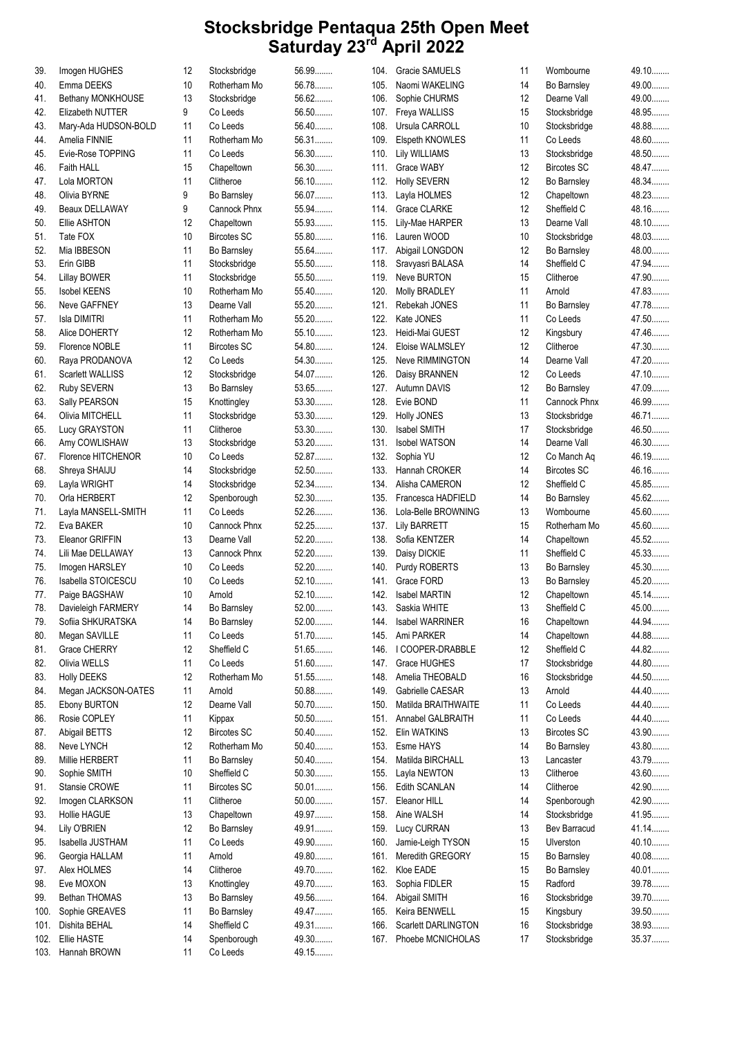| 39.  | Imogen HUGHES           | 12 | Stocksbridge       | 56.99   | 104. | Gracie SAMUELS         | 11              | Wombourne          | 49.10  |
|------|-------------------------|----|--------------------|---------|------|------------------------|-----------------|--------------------|--------|
| 40.  | Emma DEEKS              | 10 | Rotherham Mo       | 56.78   | 105. | Naomi WAKELING         | 14              | Bo Barnsley        | 49.00  |
| 41.  | Bethany MONKHOUSE       | 13 | Stocksbridge       | 56.62   | 106. | Sophie CHURMS          | 12 <sup>2</sup> | Dearne Vall        | 49.00  |
| 42.  | Elizabeth NUTTER        | 9  | Co Leeds           | 56.50   | 107. | Freya WALLISS          | 15              | Stocksbridge       | 48.95  |
| 43.  | Mary-Ada HUDSON-BOLD    | 11 | Co Leeds           | 56.40   | 108. | Ursula CARROLL         | 10              | Stocksbridge       | 48.88  |
| 44.  | Amelia FINNIE           | 11 | Rotherham Mo       | 56.31   | 109. | Elspeth KNOWLES        | 11              | Co Leeds           | 48.60  |
| 45.  | Evie-Rose TOPPING       | 11 | Co Leeds           | 56.30   | 110. | <b>Lily WILLIAMS</b>   | 13              | Stocksbridge       | 48.50  |
| 46.  | Faith HALL              | 15 | Chapeltown         | 56.30   | 111. | Grace WABY             | 12              | <b>Bircotes SC</b> | 48.47  |
| 47.  | Lola MORTON             | 11 | Clitheroe          | 56.10   | 112. | <b>Holly SEVERN</b>    | 12              | Bo Barnsley        | 48.34  |
| 48.  | Olivia BYRNE            | 9  | Bo Barnsley        | 56.07   | 113. | Layla HOLMES           | 12              | Chapeltown         | 48.23  |
|      | Beaux DELLAWAY          | 9  | Cannock Phnx       | 55.94   | 114. | <b>Grace CLARKE</b>    | 12              | Sheffield C        | 48.16  |
| 49.  |                         |    |                    |         |      |                        |                 |                    | 48.10  |
| 50.  | Ellie ASHTON            | 12 | Chapeltown         | 55.93   | 115. | Lily-Mae HARPER        | 13              | Dearne Vall        |        |
| 51.  | Tate FOX                | 10 | <b>Bircotes SC</b> | 55.80   | 116. | Lauren WOOD            | 10              | Stocksbridge       | 48.03  |
| 52.  | Mia IBBESON             | 11 | Bo Barnsley        | 55.64   | 117. | Abigail LONGDON        | 12              | Bo Barnsley        | 48.00  |
| 53.  | Erin GIBB               | 11 | Stocksbridge       | 55.50   | 118. | Sravyasri BALASA       | 14              | Sheffield C        | 47.94  |
| 54.  | Lillay BOWER            | 11 | Stocksbridge       | 55.50   | 119. | Neve BURTON            | 15              | Clitheroe          | 47.90  |
| 55.  | <b>Isobel KEENS</b>     | 10 | Rotherham Mo       | 55.40   | 120. | Molly BRADLEY          | 11              | Arnold             | 47.83  |
| 56.  | Neve GAFFNEY            | 13 | Dearne Vall        | 55.20   | 121. | Rebekah JONES          | 11              | Bo Barnsley        | 47.78  |
| 57.  | <b>Isla DIMITRI</b>     | 11 | Rotherham Mo       | 55.20   | 122. | Kate JONES             | 11              | Co Leeds           | 47.50  |
| 58.  | Alice DOHERTY           | 12 | Rotherham Mo       | 55.10   | 123. | Heidi-Mai GUEST        | 12              | Kingsbury          | 47.46  |
| 59.  | Florence NOBLE          | 11 | <b>Bircotes SC</b> | 54.80   | 124. | Eloise WALMSLEY        | 12 <sup>2</sup> | Clitheroe          | 47.30  |
| 60.  | Raya PRODANOVA          | 12 | Co Leeds           | 54.30   | 125. | <b>Neve RIMMINGTON</b> | 14              | Dearne Vall        | 47.20  |
| 61.  | <b>Scarlett WALLISS</b> | 12 | Stocksbridge       | 54.07   | 126. | Daisy BRANNEN          | 12              | Co Leeds           | 47.10  |
|      |                         |    |                    |         |      |                        |                 |                    | 47.09  |
| 62.  | <b>Ruby SEVERN</b>      | 13 | Bo Barnsley        | 53.65   |      | 127. Autumn DAVIS      | 12              | Bo Barnsley        |        |
| 63.  | Sally PEARSON           | 15 | Knottingley        | 53.30   | 128. | Evie BOND              | 11              | Cannock Phnx       | 46.99  |
| 64.  | Olivia MITCHELL         | 11 | Stocksbridge       | 53.30   | 129. | <b>Holly JONES</b>     | 13              | Stocksbridge       | 46.71  |
| 65.  | Lucy GRAYSTON           | 11 | Clitheroe          | 53.30   | 130. | <b>Isabel SMITH</b>    | 17              | Stocksbridge       | 46.50  |
| 66.  | Amy COWLISHAW           | 13 | Stocksbridge       | $53.20$ | 131. | <b>Isobel WATSON</b>   | 14              | Dearne Vall        | 46.30  |
| 67.  | Florence HITCHENOR      | 10 | Co Leeds           | 52.87   | 132. | Sophia YU              | 12              | Co Manch Aq        | 46.19. |
| 68.  | Shreya SHAIJU           | 14 | Stocksbridge       | 52.50   | 133. | Hannah CROKER          | 14              | <b>Bircotes SC</b> | 46.16  |
| 69.  | Layla WRIGHT            | 14 | Stocksbridge       | 52.34   | 134. | Alisha CAMERON         | 12 <sup>2</sup> | Sheffield C        | 45.85  |
| 70.  | Orla HERBERT            | 12 | Spenborough        | 52.30   | 135. | Francesca HADFIELD     | 14              | Bo Barnsley        | 45.62  |
| 71.  | Layla MANSELL-SMITH     | 11 | Co Leeds           | 52.26   | 136. | Lola-Belle BROWNING    | 13              | Wombourne          | 45.60  |
| 72.  | Eva BAKER               | 10 | Cannock Phnx       | 52.25   | 137. | <b>Lily BARRETT</b>    | 15              | Rotherham Mo       | 45.60  |
| 73.  | Eleanor GRIFFIN         | 13 | Dearne Vall        | $52.20$ | 138. | Sofia KENTZER          | 14              | Chapeltown         | 45.52  |
| 74.  | Lili Mae DELLAWAY       | 13 | Cannock Phnx       | 52.20   | 139. | Daisy DICKIE           | 11              | Sheffield C        | 45.33  |
|      |                         | 10 |                    | 52.20   |      |                        |                 |                    | 45.30  |
| 75.  | Imogen HARSLEY          |    | Co Leeds           |         | 140. | Purdy ROBERTS          | 13              | Bo Barnsley        |        |
| 76.  | Isabella STOICESCU      | 10 | Co Leeds           | 52.10   |      | 141. Grace FORD        | 13              | Bo Barnsley        | 45.20  |
| 77.  | Paige BAGSHAW           | 10 | Arnold             | $52.10$ | 142. | <b>Isabel MARTIN</b>   | 12              | Chapeltown         | 45.14. |
| 78.  | Davieleigh FARMERY      | 14 | Bo Barnsley        | 52.00   |      | 143. Saskia WHITE      | 13              | Sheffield C        | 45.00  |
| 79.  | Sofiia SHKURATSKA       | 14 | Bo Barnsley        | 52.00   | 144. | Isabel WARRINER        | 16              | Chapeltown         | 44.94  |
| 80.  | Megan SAVILLE           | 11 | Co Leeds           | 51.70   | 145. | Ami PARKER             | 14              | Chapeltown         | 44.88  |
| 81.  | Grace CHERRY            | 12 | Sheffield C        | 51.65   | 146. | I COOPER-DRABBLE       | 12              | Sheffield C        | 44.82  |
| 82.  | Olivia WELLS            | 11 | Co Leeds           | 51.60   | 147. | Grace HUGHES           | 17              | Stocksbridge       | 44.80  |
| 83.  | <b>Holly DEEKS</b>      | 12 | Rotherham Mo       | 51.55   | 148. | Amelia THEOBALD        | 16              | Stocksbridge       | 44.50  |
| 84.  | Megan JACKSON-OATES     | 11 | Arnold             | 50.88   | 149. | Gabrielle CAESAR       | 13              | Arnold             | 44.40  |
| 85.  | Ebony BURTON            | 12 | Dearne Vall        | 50.70   | 150. | Matilda BRAITHWAITE    | 11              | Co Leeds           | 44.40  |
| 86.  | Rosie COPLEY            | 11 | Kippax             | $50.50$ | 151. | Annabel GALBRAITH      | 11              | Co Leeds           | 44.40  |
| 87.  | Abigail BETTS           | 12 | <b>Bircotes SC</b> | $50.40$ | 152. | Elin WATKINS           | 13              | <b>Bircotes SC</b> | 43.90  |
|      | Neve LYNCH              | 12 |                    |         |      |                        |                 |                    | 43.80  |
| 88.  |                         |    | Rotherham Mo       | 50.40   | 153. | Esme HAYS              | 14              | Bo Barnsley        |        |
| 89.  | Millie HERBERT          | 11 | Bo Barnsley        | 50.40   | 154. | Matilda BIRCHALL       | 13              | Lancaster          | 43.79  |
| 90.  | Sophie SMITH            | 10 | Sheffield C        | $50.30$ | 155. | Layla NEWTON           | 13              | Clitheroe          | 43.60  |
| 91.  | Stansie CROWE           | 11 | <b>Bircotes SC</b> | $50.01$ | 156. | Edith SCANLAN          | 14              | Clitheroe          | 42.90  |
| 92.  | Imogen CLARKSON         | 11 | Clitheroe          | $50.00$ | 157. | Eleanor HILL           | 14              | Spenborough        | 42.90  |
| 93.  | Hollie HAGUE            | 13 | Chapeltown         | 49.97   | 158. | Aine WALSH             | 14              | Stocksbridge       | 41.95  |
| 94.  | Lily O'BRIEN            | 12 | Bo Barnsley        | 49.91   | 159. | Lucy CURRAN            | 13              | Bev Barracud       | 41.14. |
| 95.  | Isabella JUSTHAM        | 11 | Co Leeds           | 49.90   | 160. | Jamie-Leigh TYSON      | 15              | Ulverston          | 40.10  |
| 96.  | Georgia HALLAM          | 11 | Arnold             | 49.80   | 161. | Meredith GREGORY       | 15              | Bo Barnsley        | 40.08  |
| 97.  | Alex HOLMES             | 14 | Clitheroe          | 49.70   | 162. | Kloe EADE              | 15              | Bo Barnsley        | 40.01  |
| 98.  | Eve MOXON               | 13 | Knottingley        | 49.70   | 163. | Sophia FIDLER          | 15              | Radford            | 39.78  |
| 99.  | Bethan THOMAS           | 13 | Bo Barnsley        | 49.56   | 164. | Abigail SMITH          | 16              | Stocksbridge       | 39.70  |
| 100. | Sophie GREAVES          | 11 | Bo Barnsley        | 49.47   | 165. | Keira BENWELL          | 15              | Kingsbury          | 39.50  |
|      |                         |    | Sheffield C        |         |      |                        |                 |                    | 38.93  |
| 101. | Dishita BEHAL           | 14 |                    | 49.31   | 166. | Scarlett DARLINGTON    | 16              | Stocksbridge       |        |
| 102. | Ellie HASTE             | 14 | Spenborough        | 49.30   | 167. | Phoebe MCNICHOLAS      | 17              | Stocksbridge       | 35.37  |
| 103. | Hannah BROWN            | 11 | Co Leeds           | 49.15   |      |                        |                 |                    |        |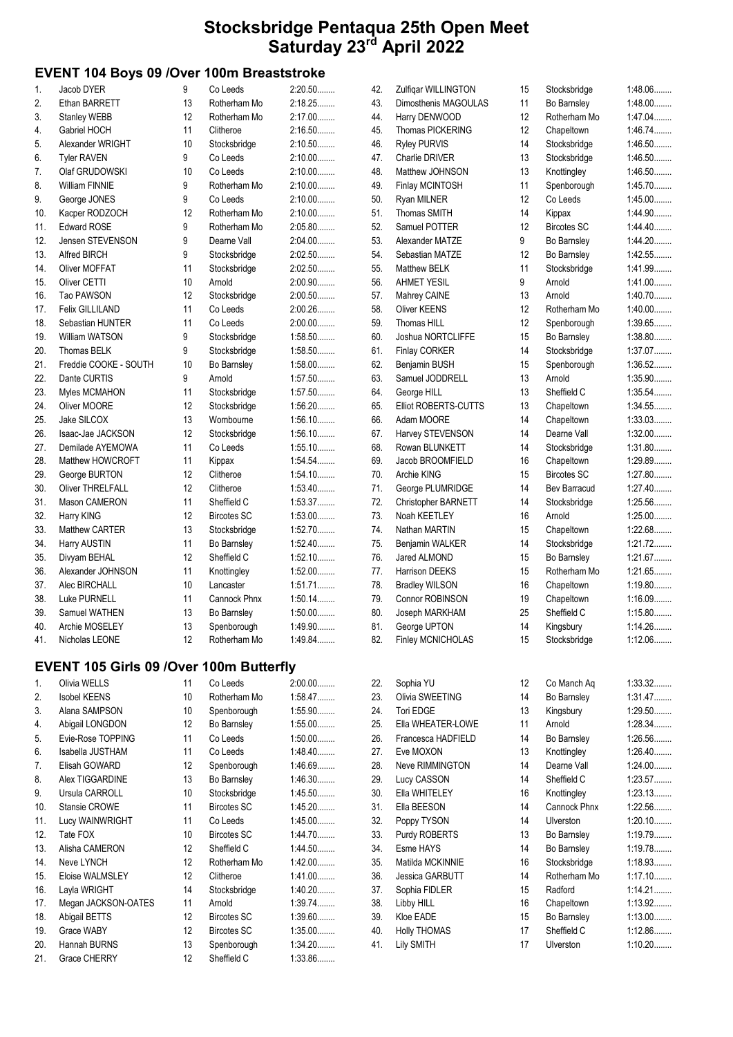#### EVENT 104 Boys 09 /Over 100m Breaststroke

| 1.  | Jacob DYER              | 9  | Co Leeds           | 2:20.50   |
|-----|-------------------------|----|--------------------|-----------|
| 2.  | Ethan BARRETT           | 13 | Rotherham Mo       | 2:18.25   |
| 3.  | Stanley WEBB            | 12 | Rotherham Mo       | 2:17.00   |
| 4.  | Gabriel HOCH            | 11 | Clitheroe          | 2:16.50   |
| 5.  | Alexander WRIGHT        | 10 | Stocksbridge       | 2:10.50   |
| 6.  | <b>Tyler RAVEN</b>      | 9  | Co Leeds           | 2:10.00   |
| 7.  | Olaf GRUDOWSKI          | 10 | Co Leeds           | $2:10.00$ |
| 8.  | <b>William FINNIE</b>   | 9  | Rotherham Mo       | 2:10.00   |
| 9.  | George JONES            | 9  | Co Leeds           | $2:10.00$ |
| 10. | Kacper RODZOCH          | 12 | Rotherham Mo       | 2:10.00   |
| 11. | <b>Edward ROSE</b>      | 9  | Rotherham Mo       | 2:05.80   |
| 12. | Jensen STEVENSON        | 9  | Dearne Vall        | 2:04.00   |
| 13. | Alfred BIRCH            | 9  | Stocksbridge       | 2:02.50   |
| 14. | <b>Oliver MOFFAT</b>    | 11 | Stocksbridge       | 2:02.50   |
| 15. | Oliver CETTI            | 10 | Arnold             | 2:00.90   |
| 16. | <b>Tao PAWSON</b>       | 12 | Stocksbridge       | $2:00.50$ |
| 17. | Felix GILLILAND         | 11 | Co Leeds           | 2:00.26   |
| 18. | Sebastian HUNTER        | 11 | Co Leeds           | $2:00.00$ |
| 19. | William WATSON          | 9  | Stocksbridge       | 1:58.50   |
| 20. | <b>Thomas BELK</b>      | 9  | Stocksbridge       | 1:58.50   |
| 21. | Freddie COOKE - SOUTH   | 10 | Bo Barnsley        | $1:58.00$ |
| 22. | Dante CURTIS            | 9  | Arnold             | 1:57.50   |
| 23. | Myles MCMAHON           | 11 | Stocksbridge       | 1:57.50   |
| 24. | Oliver MOORE            | 12 | Stocksbridge       | $1:56.20$ |
| 25. | Jake SILCOX             | 13 | Wombourne          | $1:56.10$ |
| 26. | Isaac-Jae JACKSON       | 12 | Stocksbridge       | 1:56.10   |
| 27. | Demilade AYEMOWA        | 11 | Co Leeds           | $1:55.10$ |
| 28. | Matthew HOWCROFT        | 11 | Kippax             | 1:54.54   |
| 29. | George BURTON           | 12 | Clitheroe          | 1:54.10   |
| 30. | <b>Oliver THRELFALL</b> | 12 | Clitheroe          | 1:53.40   |
| 31. | Mason CAMERON           | 11 | Sheffield C        | 1:53.37   |
| 32. | Harry KING              | 12 | <b>Bircotes SC</b> | $1:53.00$ |
| 33. | <b>Matthew CARTER</b>   | 13 | Stocksbridge       | 1:52.70   |
| 34. | Harry AUSTIN            | 11 | Bo Barnsley        | $1:52.40$ |
| 35. | Divyam BEHAL            | 12 | Sheffield C        | 1:52.10   |
| 36. | Alexander JOHNSON       | 11 | Knottingley        | $1:52.00$ |
| 37. | Alec BIRCHALL           | 10 | Lancaster          | 1:51.71   |
| 38. | Luke PURNELL            | 11 | Cannock Phnx       | $1:50.14$ |
| 39. | Samuel WATHEN           | 13 | Bo Barnsley        | $1:50.00$ |
| 40. | Archie MOSELEY          | 13 | Spenborough        | 1:49.90   |
| 41. | Nicholas LEONE          | 12 | Rotherham Mo       | 1:49.84   |

#### EVENT 105 Girls 09 /Over 100m Butterfly

| $\mathbf{1}$ . | Olivia WELLS        | 11              | Co Leeds           | $2:00.00$ |
|----------------|---------------------|-----------------|--------------------|-----------|
| 2.             | <b>Isobel KEENS</b> | 10 <sup>1</sup> | Rotherham Mo       | 1:58.47   |
| 3.             | Alana SAMPSON       | 10              | Spenborough        | 1:55.90   |
| 4.             | Abigail LONGDON     | 12              | Bo Barnsley        | $1:55.00$ |
| 5.             | Evie-Rose TOPPING   | 11              | Co Leeds           | $1:50.00$ |
| 6.             | Isabella JUSTHAM    | 11              | Co Leeds           | $1:48.40$ |
| 7.             | Elisah GOWARD       | 12              | Spenborough        | 1.46.69   |
| 8.             | Alex TIGGARDINE     | 13              | Bo Barnsley        | 1:46.30   |
| 9.             | Ursula CARROLL      | 10              | Stocksbridge       | 1:45.50   |
| 10.            | Stansie CROWE       | 11              | <b>Bircotes SC</b> | $1:45.20$ |
| 11.            | Lucy WAINWRIGHT     | 11              | Co Leeds           | $1:45.00$ |
| 12.            | Tate FOX            | 10 <sup>1</sup> | <b>Bircotes SC</b> | 1:44.70   |
| 13.            | Alisha CAMERON      | 12 <sup>°</sup> | Sheffield C        | 1:44.50   |
| 14.            | Neve LYNCH          | 12 <sup>°</sup> | Rotherham Mo       | $1:42.00$ |
| 15.            | Eloise WALMSLEY     | 12 <sup>°</sup> | Clitheroe          | $1:41.00$ |
| 16.            | Layla WRIGHT        | 14              | Stocksbridge       | $1:40.20$ |
| 17.            | Megan JACKSON-OATES | 11              | Arnold             | $1:39.74$ |
| 18.            | Abigail BETTS       | 12              | Bircotes SC        | $1:39.60$ |
| 19.            | Grace WABY          | 12 <sup>°</sup> | <b>Bircotes SC</b> | $1:35.00$ |
| 20.            | Hannah BURNS        | 13              | Spenborough        | 1:34.20   |
| 21.            | <b>Grace CHERRY</b> | 12              | Sheffield C        | 1:33.86   |

| 42.        | Zulfiqar WILLINGTON         | 15 | Stocksbridge       | 1:48.06   |
|------------|-----------------------------|----|--------------------|-----------|
| 43.        | Dimosthenis MAGOULAS        | 11 | Bo Barnsley        | 1:48.00   |
| 44.        | Harry DENWOOD               | 12 | Rotherham Mo       | 1:47.04   |
| 45.        | <b>Thomas PICKERING</b>     | 12 | Chapeltown         | 1:46.74   |
| 46.        | <b>Ryley PURVIS</b>         | 14 | Stocksbridge       | 1:46.50   |
| 47.        | Charlie DRIVER              | 13 | Stocksbridge       | 1:46.50   |
| 48.        | Matthew JOHNSON             | 13 | Knottingley        | 1:46.50   |
| 49.        | <b>Finlay MCINTOSH</b>      | 11 | Spenborough        | $1:45.70$ |
| 50.        | Ryan MILNER                 | 12 | Co Leeds           | $1:45.00$ |
| 51.        | Thomas SMITH                | 14 | Kippax             | 1:44.90   |
| 52.        | Samuel POTTER               | 12 | <b>Bircotes SC</b> | $1:44.40$ |
| 53.        | Alexander MATZE             | 9  | Bo Barnsley        | 1:44.20   |
| 54.        | Sebastian MATZE             | 12 | Bo Barnsley        | 1:42.55   |
| 55.        | Matthew BELK                | 11 | Stocksbridge       | 1:41.99   |
| 56.        | <b>AHMET YESIL</b>          | 9  | Arnold             | $1:41.00$ |
| 57.        | Mahrey CAINE                | 13 | Arnold             | 1:40.70   |
| 58.        | Oliver KEENS                | 12 | Rotherham Mo       | $1:40.00$ |
| 59.        | Thomas HILL                 | 12 | Spenborough        | 1:39.65   |
| 60.        | Joshua NORTCLIFFE           | 15 | Bo Barnsley        | $1:38.80$ |
| 61.        | Finlay CORKER               | 14 | Stocksbridge       | 1:37.07   |
| 62.        | Benjamin BUSH               | 15 | Spenborough        | 1:36.52   |
| 63.        | Samuel JODDRELL             | 13 | Arnold             | $1:35.90$ |
| 64.        | George HILL                 | 13 | Sheffield C        | $1:35.54$ |
| 65.        | <b>Elliot ROBERTS-CUTTS</b> | 13 | Chapeltown         | 1:34.55   |
| 66.        | Adam MOORE                  | 14 | Chapeltown         | 1:33.03   |
| 67.        | Harvey STEVENSON            | 14 | Dearne Vall        | $1:32.00$ |
| 68.        | Rowan BLUNKETT              | 14 | Stocksbridge       | $1:31.80$ |
| 69.        | Jacob BROOMFIELD            | 16 | Chapeltown         | 1:29.89   |
| 70.        | Archie KING                 | 15 | <b>Bircotes SC</b> | 1:27.80   |
| 71.        | George PLUMRIDGE            | 14 | Bev Barracud       | $1:27.40$ |
| 72.        | Christopher BARNETT         | 14 | Stocksbridge       | 1:25.56   |
| 73.        | Noah KEETLEY                | 16 | Arnold             | $1:25.00$ |
| 74.        | Nathan MARTIN               | 15 | Chapeltown         | 1:22.68   |
| 75.        | Benjamin WALKER             | 14 | Stocksbridge       | 1:21.72   |
| 76.        | Jared ALMOND                | 15 | Bo Barnsley        | 1:21.67   |
| 77.        | <b>Harrison DEEKS</b>       | 15 | Rotherham Mo       | 1:21.65   |
| 78.        | <b>Bradley WILSON</b>       | 16 | Chapeltown         | $1:19.80$ |
| 79.        | Connor ROBINSON             | 19 | Chapeltown         | 1:16.09   |
| 80.        | Joseph MARKHAM              | 25 | Sheffield C        | $1:15.80$ |
| 81.        | George UPTON                | 14 | Kingsbury          | 1:14.26   |
| 82.        | <b>Finley MCNICHOLAS</b>    | 15 | Stocksbridge       | $1:12.06$ |
|            |                             |    |                    |           |
| 22.        | Sophia YU                   | 12 | Co Manch Aq        | 1:33.32   |
| 23.<br>24. | Olivia SWEETING             | 14 | Bo Barnsley        | 1:31.47   |
|            | Tori EDGE                   | 13 | Kingsbury          | 1:29.50   |
| 25.        | Ella WHEATER-LOWE           | 11 | Arnold             | 1:28.34   |
| 26.        | Francesca HADFIELD          | 14 | Bo Barnsley        | 1:26.56   |
| 27.        | Eve MOXON                   | 13 | Knottingley        | $1:26.40$ |

| 25. | Ella WHEATER-LOWE      | 11 | Arnold       | 1:28.34   |
|-----|------------------------|----|--------------|-----------|
| 26. | Francesca HADFIELD     | 14 | Bo Barnsley  | 1:26.56   |
| 27. | Eve MOXON              | 13 | Knottingley  | $1:26.40$ |
| 28. | <b>Neve RIMMINGTON</b> | 14 | Dearne Vall  | $1:24.00$ |
| 29. | Lucy CASSON            | 14 | Sheffield C  | 1:23.57   |
| 30. | Ella WHITELEY          | 16 | Knottingley  | 1:23.13   |
| 31. | Ella BEESON            | 14 | Cannock Phnx | 1:22.56   |
| 32. | Poppy TYSON            | 14 | Ulverston    | $1:20.10$ |
| 33. | Purdy ROBERTS          | 13 | Bo Barnsley  | 1:19.79   |
| 34. | Esme HAYS              | 14 | Bo Barnsley  | 1:19.78   |
| 35. | Matilda MCKINNIE       | 16 | Stocksbridge | 1:18.93   |
| 36. | <b>Jessica GARBUTT</b> | 14 | Rotherham Mo | 1:17.10   |
| 37. | Sophia FIDLER          | 15 | Radford      | 1:14.21   |
| 38. | Libby HILL             | 16 | Chapeltown   | 1:13.92   |
| 39. | Kloe EADE              | 15 | Bo Barnsley  | $1:13.00$ |
| 40. | <b>Holly THOMAS</b>    | 17 | Sheffield C  | 1:12.86   |
| 41. | Lily SMITH             | 17 | Ulverston    | $1:10.20$ |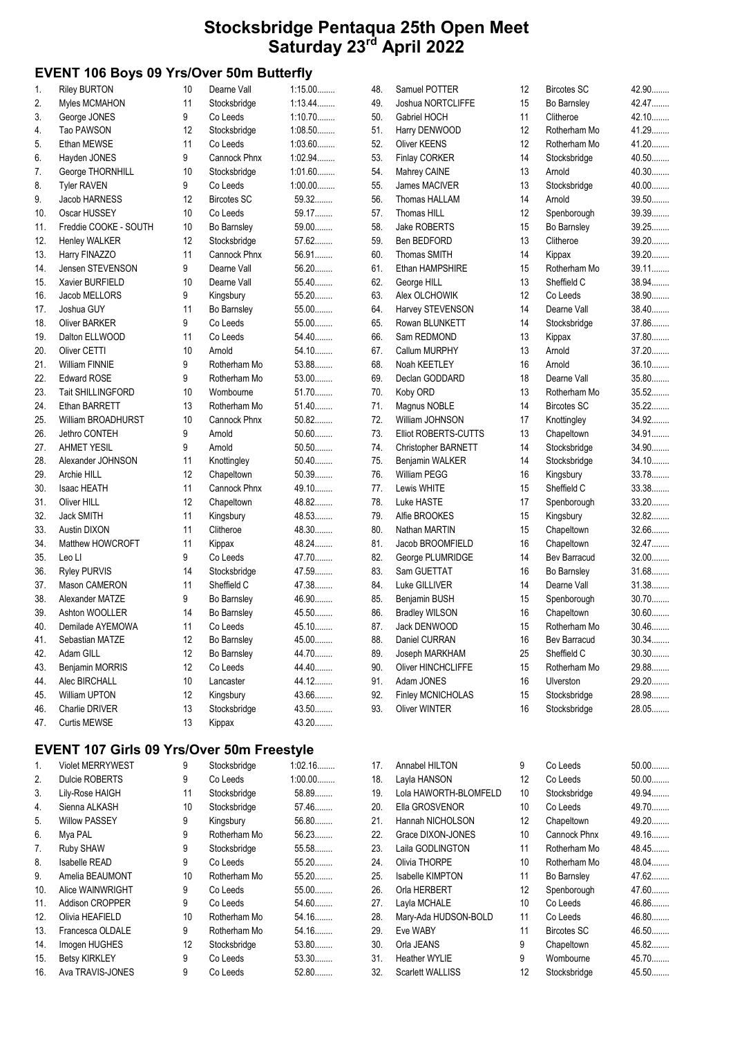## EVENT 106 Boys 09 Yrs/Over 50m Butterfly

| $\mathbf{1}$ . | <b>Riley BURTON</b>      | 10 | Dearne Vall        | $1:15.00$ | 48. | Samuel POTTER         | 12 | <b>Bircotes SC</b> | 42.90   |
|----------------|--------------------------|----|--------------------|-----------|-----|-----------------------|----|--------------------|---------|
| 2.             | Myles MCMAHON            | 11 | Stocksbridge       | 1:13.44   | 49. | Joshua NORTCLIFFE     | 15 | Bo Barnsley        | 42.47   |
| 3.             | George JONES             | 9  | Co Leeds           | 1:10.70   | 50. | Gabriel HOCH          | 11 | Clitheroe          | 42.10   |
| 4.             | Tao PAWSON               | 12 | Stocksbridge       | $1:08.50$ | 51. | Harry DENWOOD         | 12 | Rotherham Mo       | 41.29   |
| 5.             | Ethan MEWSE              | 11 | Co Leeds           | $1:03.60$ | 52. | Oliver KEENS          | 12 | Rotherham Mo       | 41.20   |
| 6.             | Hayden JONES             | 9  | Cannock Phnx       | 1:02.94   | 53. | Finlay CORKER         | 14 | Stocksbridge       | $40.50$ |
| 7.             | George THORNHILL         | 10 | Stocksbridge       | 1:01.60   | 54. | Mahrey CAINE          | 13 | Arnold             | 40.30   |
| 8.             | <b>Tyler RAVEN</b>       | 9  | Co Leeds           | $1:00.00$ | 55. | James MACIVER         | 13 | Stocksbridge       | $40.00$ |
| 9.             | Jacob HARNESS            | 12 | <b>Bircotes SC</b> | 59.32     | 56. | Thomas HALLAM         | 14 | Arnold             | 39.50   |
| 10.            | Oscar HUSSEY             | 10 | Co Leeds           | 59.17     | 57. | Thomas HILL           | 12 | Spenborough        | 39.39   |
| 11.            | Freddie COOKE - SOUTH    | 10 | Bo Barnsley        | 59.00     | 58. | <b>Jake ROBERTS</b>   | 15 | Bo Barnsley        | 39.25   |
| 12.            | Henley WALKER            | 12 | Stocksbridge       | 57.62     | 59. | Ben BEDFORD           | 13 | Clitheroe          | 39.20   |
| 13.            | Harry FINAZZO            | 11 | Cannock Phnx       | 56.91     | 60. | <b>Thomas SMITH</b>   | 14 | Kippax             | 39.20   |
| 14.            | Jensen STEVENSON         | 9  | Dearne Vall        | 56.20     | 61. | Ethan HAMPSHIRE       | 15 | Rotherham Mo       | 39.11   |
| 15.            | Xavier BURFIELD          | 10 | Dearne Vall        | 55.40     | 62. | George HILL           | 13 | Sheffield C        | 38.94   |
| 16.            | Jacob MELLORS            | 9  | Kingsbury          | 55.20     | 63. | Alex OLCHOWIK         | 12 | Co Leeds           | 38.90   |
| 17.            | Joshua GUY               | 11 | Bo Barnsley        | 55.00     | 64. | Harvey STEVENSON      | 14 | Dearne Vall        | 38.40   |
| 18.            | <b>Oliver BARKER</b>     | 9  | Co Leeds           | 55.00     | 65. | Rowan BLUNKETT        | 14 | Stocksbridge       | 37.86   |
| 19.            | Dalton ELLWOOD           | 11 | Co Leeds           | 54.40     | 66. | Sam REDMOND           | 13 | Kippax             | 37.80   |
| 20.            | Oliver CETTI             | 10 | Arnold             | 54.10     | 67. | Callum MURPHY         | 13 | Arnold             | 37.20   |
| 21.            | William FINNIE           | 9  | Rotherham Mo       | 53.88     | 68. | Noah KEETLEY          | 16 | Arnold             | 36.10   |
| 22.            | <b>Edward ROSE</b>       | 9  | Rotherham Mo       | $53.00$   | 69. | Declan GODDARD        | 18 | Dearne Vall        | 35.80   |
| 23.            | <b>Tait SHILLINGFORD</b> | 10 | Wombourne          | 51.70     | 70. | Koby ORD              | 13 | Rotherham Mo       | $35.52$ |
| 24.            | Ethan BARRETT            | 13 | Rotherham Mo       | 51.40     | 71. | Magnus NOBLE          | 14 | <b>Bircotes SC</b> | $35.22$ |
| 25.            | William BROADHURST       | 10 | Cannock Phnx       | $50.82$   | 72. | William JOHNSON       | 17 | Knottingley        | 34.92   |
| 26.            | Jethro CONTEH            | 9  | Arnold             | 50.60     | 73. | Elliot ROBERTS-CUTTS  | 13 | Chapeltown         | 34.91   |
| 27.            | <b>AHMET YESIL</b>       | 9  | Arnold             | $50.50$   | 74. | Christopher BARNETT   | 14 | Stocksbridge       | 34.90   |
| 28.            | Alexander JOHNSON        | 11 | Knottingley        | $50.40$   | 75. | Benjamin WALKER       | 14 | Stocksbridge       | 34.10.  |
| 29.            | Archie HILL              | 12 | Chapeltown         | 50.39     | 76. | <b>William PEGG</b>   | 16 | Kingsbury          | 33.78   |
| 30.            | Isaac HEATH              | 11 | Cannock Phnx       | 49.10.    | 77. | Lewis WHITE           | 15 | Sheffield C        | 33.38   |
| 31.            | Oliver HILL              | 12 | Chapeltown         | 48.82     | 78. | Luke HASTE            | 17 | Spenborough        | 33.20   |
| 32.            | Jack SMITH               | 11 | Kingsbury          | 48.53     | 79. | Alfie BROOKES         | 15 | Kingsbury          | 32.82   |
| 33.            | Austin DIXON             | 11 | Clitheroe          | 48.30     | 80. | Nathan MARTIN         | 15 | Chapeltown         | 32.66   |
| 34.            | Matthew HOWCROFT         | 11 | Kippax             | 48.24     | 81. | Jacob BROOMFIELD      | 16 | Chapeltown         | 32.47   |
| 35.            | Leo LI                   | 9  | Co Leeds           | 47.70     | 82. | George PLUMRIDGE      | 14 | Bev Barracud       | $32.00$ |
| 36.            | <b>Ryley PURVIS</b>      | 14 | Stocksbridge       | 47.59     | 83. | Sam GUETTAT           | 16 | Bo Barnsley        | 31.68   |
| 37.            | Mason CAMERON            | 11 | Sheffield C        | 47.38     | 84. | Luke GILLIVER         | 14 | Dearne Vall        | 31.38   |
| 38.            | Alexander MATZE          | 9  | Bo Barnsley        | 46.90     | 85. | Benjamin BUSH         | 15 | Spenborough        | $30.70$ |
| 39.            | Ashton WOOLLER           | 14 | Bo Barnsley        | 45.50     | 86. | <b>Bradley WILSON</b> | 16 | Chapeltown         | $30.60$ |
| 40.            | Demilade AYEMOWA         | 11 | Co Leeds           | 45.10     | 87. | Jack DENWOOD          | 15 | Rotherham Mo       | 30.46   |
| 41.            | Sebastian MATZE          | 12 | Bo Barnsley        | 45.00     | 88. | Daniel CURRAN         | 16 | Bev Barracud       | $30.34$ |
| 42.            | Adam GILL                | 12 | Bo Barnsley        | 44.70     | 89. | Joseph MARKHAM        | 25 | Sheffield C        | $30.30$ |
| 43.            | Benjamin MORRIS          | 12 | Co Leeds           | 44.40     | 90. | Oliver HINCHCLIFFE    | 15 | Rotherham Mo       | 29.88   |
| 44.            | Alec BIRCHALL            | 10 | Lancaster          | 44.12     | 91. | Adam JONES            | 16 | Ulverston          | 29.20   |
| 45.            | William UPTON            | 12 | Kingsbury          | 43.66     | 92. | Finley MCNICHOLAS     | 15 | Stocksbridge       | 28.98   |
| 46.            | Charlie DRIVER           | 13 | Stocksbridge       | 43.50     | 93. | Oliver WINTER         | 16 | Stocksbridge       | 28.05   |
| 47.            | Curtis MEWSE             | 13 | Kippax             | 43.20     |     |                       |    |                    |         |
|                |                          |    |                    |           |     |                       |    |                    |         |

## EVENT 107 Girls 09 Yrs/Over 50m Freestyle

| 1.  | <b>Violet MERRYWEST</b> | 9  | Stocksbridge | 1:02.16   |
|-----|-------------------------|----|--------------|-----------|
| 2.  | Dulcie ROBERTS          | 9  | Co Leeds     | $1:00.00$ |
| 3.  | Lily-Rose HAIGH         | 11 | Stocksbridge | 58.89     |
| 4.  | Sienna ALKASH           | 10 | Stocksbridge | 57.46     |
| 5.  | <b>Willow PASSEY</b>    | 9  | Kingsbury    | 56.80     |
| 6.  | Mya PAL                 | 9  | Rotherham Mo | 56.23     |
| 7.  | Ruby SHAW               | 9  | Stocksbridge | 55.58     |
| 8.  | Isabelle READ           | 9  | Co Leeds     | $55.20$   |
| 9.  | Amelia BEAUMONT         | 10 | Rotherham Mo | 55.20     |
| 10. | Alice WAINWRIGHT        | 9  | Co Leeds     | 55.00     |
| 11. | <b>Addison CROPPER</b>  | 9  | Co Leeds     | 54.60     |
| 12. | Olivia HEAFIELD         | 10 | Rotherham Mo | 54.16     |
| 13. | Francesca OLDALE        | 9  | Rotherham Mo | 54.16     |
| 14. | Imogen HUGHES           | 12 | Stocksbridge | 53.80     |
| 15. | <b>Betsy KIRKLEY</b>    | 9  | Co Leeds     | 53.30     |
| 16. | Ava TRAVIS-JONES        | 9  | Co Leeds     | 52.80     |

| 17. | Annabel HILTON        | 9                 | Co Leeds           | $50.00$ |
|-----|-----------------------|-------------------|--------------------|---------|
| 18. | Layla HANSON          | 12                | Co Leeds           | $50.00$ |
| 19. | Lola HAWORTH-BLOMFELD | 10                | Stocksbridge       | 49.94   |
| 20. | Ella GROSVENOR        | 10                | Co Leeds           | 49.70   |
| 21. | Hannah NICHOLSON      | $12 \overline{ }$ | Chapeltown         | 49.20   |
| 22. | Grace DIXON-JONES     | 10                | Cannock Phnx       | 49.16   |
| 23. | Laila GODLINGTON      | 11                | Rotherham Mo       | 48.45   |
| 24. | Olivia THORPE         | 10                | Rotherham Mo       | 48.04   |
| 25. | Isabelle KIMPTON      | 11                | Bo Barnsley        | 47.62   |
| 26. | Orla HERBERT          | $12 \overline{ }$ | Spenborough        | 47.60   |
| 27. | Layla MCHALE          | 10                | Co Leeds           | 46.86   |
| 28. | Mary-Ada HUDSON-BOLD  | 11                | Co Leeds           | 46.80   |
| 29. | Eve WABY              | 11                | <b>Bircotes SC</b> | 46.50   |
| 30. | Orla JEANS            | 9                 | Chapeltown         | 45.82   |
| 31. | <b>Heather WYLIE</b>  | 9                 | Wombourne          | 45.70   |
| 32. | Scarlett WALLISS      | 12                | Stocksbridge       | 45.50   |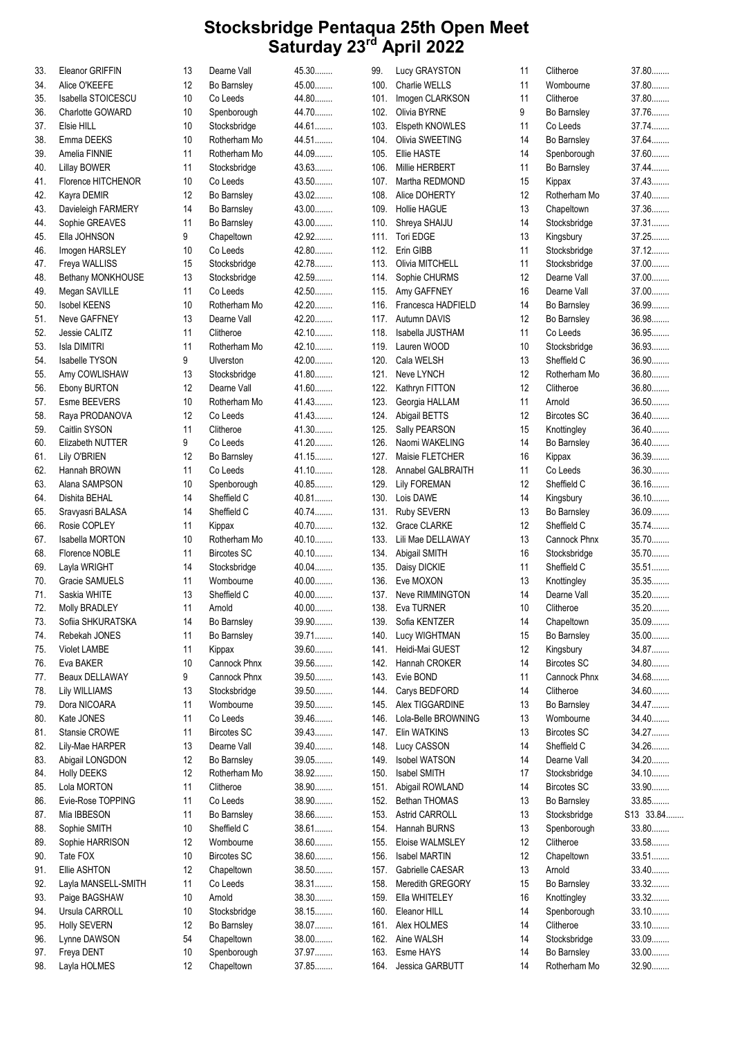| 33. | Eleanor GRIFFIN        | 13 | Dearne Vall        | 45.30   | 99.  | Lucy GRAYSTON           | 11 | Clitheroe          | 37.80     |
|-----|------------------------|----|--------------------|---------|------|-------------------------|----|--------------------|-----------|
| 34. | Alice O'KEEFE          | 12 | Bo Barnsley        | 45.00   | 100. | Charlie WELLS           | 11 | Wombourne          | 37.80     |
| 35. | Isabella STOICESCU     | 10 | Co Leeds           | 44.80   | 101. | Imogen CLARKSON         | 11 | Clitheroe          | 37.80     |
| 36. | Charlotte GOWARD       | 10 | Spenborough        | 44.70   | 102. | Olivia BYRNE            | 9  | Bo Barnsley        | 37.76     |
| 37. | Elsie HILL             | 10 | Stocksbridge       | 44.61   | 103. | Elspeth KNOWLES         | 11 | Co Leeds           | 37.74     |
| 38. | Emma DEEKS             | 10 | Rotherham Mo       | 44.51   | 104. | Olivia SWEETING         | 14 | Bo Barnsley        | 37.64     |
| 39. | Amelia FINNIE          | 11 | Rotherham Mo       | 44.09   | 105. | Ellie HASTE             | 14 | Spenborough        | 37.60     |
|     |                        |    |                    | 43.63   |      |                         |    |                    | 37.44     |
| 40. | <b>Lillay BOWER</b>    | 11 | Stocksbridge       |         | 106. | Millie HERBERT          | 11 | Bo Barnsley        |           |
| 41. | Florence HITCHENOR     | 10 | Co Leeds           | 43.50   | 107. | Martha REDMOND          | 15 | Kippax             | 37.43     |
| 42. | Kayra DEMIR            | 12 | Bo Barnsley        | 43.02   | 108. | Alice DOHERTY           | 12 | Rotherham Mo       | 37.40     |
| 43. | Davieleigh FARMERY     | 14 | <b>Bo Barnsley</b> | 43.00   | 109. | <b>Hollie HAGUE</b>     | 13 | Chapeltown         | 37.36     |
| 44. | Sophie GREAVES         | 11 | Bo Barnsley        | 43.00   | 110. | Shreya SHAIJU           | 14 | Stocksbridge       | 37.31     |
| 45. | Ella JOHNSON           | 9  | Chapeltown         | 42.92   | 111. | Tori EDGE               | 13 | Kingsbury          | 37.25     |
| 46. | Imogen HARSLEY         | 10 | Co Leeds           | 42.80   | 112. | Erin GIBB               | 11 | Stocksbridge       | $37.12$   |
| 47. | Freya WALLISS          | 15 | Stocksbridge       | 42.78   | 113. | Olivia MITCHELL         | 11 | Stocksbridge       | $37.00$   |
| 48. | Bethany MONKHOUSE      | 13 | Stocksbridge       | 42.59   | 114. | Sophie CHURMS           | 12 | Dearne Vall        | 37.00     |
| 49. | Megan SAVILLE          | 11 | Co Leeds           | 42.50   | 115. | Amy GAFFNEY             | 16 | Dearne Vall        | 37.00     |
|     | <b>Isobel KEENS</b>    | 10 | Rotherham Mo       | 42.20   |      | 116. Francesca HADFIELD | 14 | Bo Barnsley        | 36.99     |
| 50. |                        |    |                    |         |      |                         |    |                    |           |
| 51. | Neve GAFFNEY           | 13 | Dearne Vall        | 42.20   |      | 117. Autumn DAVIS       | 12 | Bo Barnsley        | 36.98     |
| 52. | Jessie CALITZ          | 11 | Clitheroe          | 42.10   | 118. | Isabella JUSTHAM        | 11 | Co Leeds           | 36.95     |
| 53. | Isla DIMITRI           | 11 | Rotherham Mo       | 42.10   | 119. | Lauren WOOD             | 10 | Stocksbridge       | 36.93     |
| 54. | <b>Isabelle TYSON</b>  | 9  | Ulverston          | 42.00   |      | 120. Cala WELSH         | 13 | Sheffield C        | 36.90     |
| 55. | Amy COWLISHAW          | 13 | Stocksbridge       | 41.80   | 121. | Neve LYNCH              | 12 | Rotherham Mo       | 36.80     |
| 56. | <b>Ebony BURTON</b>    | 12 | Dearne Vall        | 41.60   | 122. | Kathryn FITTON          | 12 | Clitheroe          | 36.80     |
| 57. | Esme BEEVERS           | 10 | Rotherham Mo       | 41.43   | 123. | Georgia HALLAM          | 11 | Arnold             | 36.50     |
| 58. | Raya PRODANOVA         | 12 | Co Leeds           | 41.43   | 124. | Abigail BETTS           | 12 | <b>Bircotes SC</b> | 36.40     |
| 59. | Caitlin SYSON          | 11 | Clitheroe          | 41.30   | 125. | Sally PEARSON           | 15 | Knottingley        | 36.40     |
|     |                        | 9  | Co Leeds           | 41.20   |      |                         | 14 | Bo Barnsley        | 36.40     |
| 60. | Elizabeth NUTTER       |    |                    |         | 126. | Naomi WAKELING          |    |                    |           |
| 61. | Lily O'BRIEN           | 12 | Bo Barnsley        | 41.15   | 127. | Maisie FLETCHER         | 16 | Kippax             | 36.39     |
| 62. | Hannah BROWN           | 11 | Co Leeds           | 41.10.  | 128. | Annabel GALBRAITH       | 11 | Co Leeds           | 36.30     |
| 63. | Alana SAMPSON          | 10 | Spenborough        | 40.85   | 129. | <b>Lily FOREMAN</b>     | 12 | Sheffield C        | 36.16     |
| 64. | Dishita BEHAL          | 14 | Sheffield C        | 40.81   | 130. | Lois DAWE               | 14 | Kingsbury          | 36.10     |
| 65. | Sravyasri BALASA       | 14 | Sheffield C        | 40.74   | 131. | Ruby SEVERN             | 13 | Bo Barnsley        | 36.09     |
| 66. | Rosie COPLEY           | 11 | Kippax             | 40.70   | 132. | <b>Grace CLARKE</b>     | 12 | Sheffield C        | 35.74     |
| 67. | <b>Isabella MORTON</b> | 10 | Rotherham Mo       | 40.10   | 133. | Lili Mae DELLAWAY       | 13 | Cannock Phnx       | 35.70     |
| 68. | Florence NOBLE         | 11 | <b>Bircotes SC</b> | 40.10   | 134. | Abigail SMITH           | 16 | Stocksbridge       | 35.70     |
| 69. | Layla WRIGHT           | 14 | Stocksbridge       | 40.04   | 135. | Daisy DICKIE            | 11 | Sheffield C        | 35.51     |
|     |                        |    |                    | $40.00$ |      |                         |    |                    | 35.35     |
| 70. | Gracie SAMUELS         | 11 | Wombourne          |         | 136. | Eve MOXON               | 13 | Knottingley        |           |
| 71. | Saskia WHITE           | 13 | Sheffield C        | $40.00$ | 137. | Neve RIMMINGTON         | 14 | Dearne Vall        | 35.20     |
| 72. | <b>Molly BRADLEY</b>   | 11 | Arnold             | 40.00   |      | 138. Eva TURNER         | 10 | Clitheroe          | $35.20$   |
| 73. | Sofiia SHKURATSKA      | 14 | Bo Barnsley        | 39.90   | 139. | Sofia KENTZER           | 14 | Chapeltown         | $35.09$   |
| 74. | Rebekah JONES          | 11 | Bo Barnsley        | 39.71   | 140. | Lucy WIGHTMAN           | 15 | Bo Barnsley        | 35.00     |
| 75. | Violet LAMBE           | 11 | Kippax             | 39.60   | 141. | Heidi-Mai GUEST         | 12 | Kingsbury          | 34.87     |
| 76. | Eva BAKER              | 10 | Cannock Phnx       | 39.56   | 142. | Hannah CROKER           | 14 | <b>Bircotes SC</b> | 34.80     |
| 77. | Beaux DELLAWAY         | 9  | Cannock Phnx       | 39.50   | 143. | Evie BOND               | 11 | Cannock Phnx       | 34.68     |
| 78. | <b>Lily WILLIAMS</b>   | 13 | Stocksbridge       | 39.50   | 144. | Carys BEDFORD           | 14 | Clitheroe          | 34.60     |
|     |                        |    | Wombourne          | 39.50   |      |                         |    |                    | 34.47     |
| 79. | Dora NICOARA           | 11 |                    |         | 145. | Alex TIGGARDINE         | 13 | Bo Barnsley        |           |
| 80. | Kate JONES             | 11 | Co Leeds           | 39.46   | 146. | Lola-Belle BROWNING     | 13 | Wombourne          | 34.40     |
| 81. | Stansie CROWE          | 11 | <b>Bircotes SC</b> | 39.43   | 147. | Elin WATKINS            | 13 | <b>Bircotes SC</b> | 34.27     |
| 82. | Lily-Mae HARPER        | 13 | Dearne Vall        | 39.40   | 148. | Lucy CASSON             | 14 | Sheffield C        | 34.26     |
| 83. | Abigail LONGDON        | 12 | Bo Barnsley        | 39.05   | 149. | Isobel WATSON           | 14 | Dearne Vall        | 34.20     |
| 84. | <b>Holly DEEKS</b>     | 12 | Rotherham Mo       | 38.92   | 150. | Isabel SMITH            | 17 | Stocksbridge       | 34.10     |
| 85. | Lola MORTON            | 11 | Clitheroe          | 38.90   | 151. | Abigail ROWLAND         | 14 | <b>Bircotes SC</b> | 33.90     |
| 86. | Evie-Rose TOPPING      | 11 | Co Leeds           | 38.90   | 152. | Bethan THOMAS           | 13 | Bo Barnsley        | 33.85     |
| 87. | Mia IBBESON            | 11 | Bo Barnsley        | 38.66   | 153. | Astrid CARROLL          | 13 | Stocksbridge       | S13 33.84 |
| 88. | Sophie SMITH           | 10 | Sheffield C        | 38.61   | 154. | Hannah BURNS            | 13 | Spenborough        | 33.80     |
|     |                        |    | Wombourne          | 38.60   |      |                         |    | Clitheroe          | 33.58     |
| 89. | Sophie HARRISON        | 12 |                    |         | 155. | Eloise WALMSLEY         | 12 |                    |           |
| 90. | Tate FOX               | 10 | <b>Bircotes SC</b> | 38.60   | 156. | Isabel MARTIN           | 12 | Chapeltown         | 33.51     |
| 91. | Ellie ASHTON           | 12 | Chapeltown         | 38.50   | 157. | Gabrielle CAESAR        | 13 | Arnold             | 33.40     |
| 92. | Layla MANSELL-SMITH    | 11 | Co Leeds           | 38.31   | 158. | Meredith GREGORY        | 15 | Bo Barnsley        | 33.32     |
| 93. | Paige BAGSHAW          | 10 | Arnold             | 38.30   | 159. | Ella WHITELEY           | 16 | Knottingley        | 33.32     |
| 94. | Ursula CARROLL         | 10 | Stocksbridge       | 38.15   | 160. | Eleanor HILL            | 14 | Spenborough        | 33.10     |
| 95. | <b>Holly SEVERN</b>    | 12 | Bo Barnsley        | 38.07   |      | 161. Alex HOLMES        | 14 | Clitheroe          | 33.10     |
| 96. | Lynne DAWSON           | 54 | Chapeltown         | $38.00$ | 162. | Aine WALSH              | 14 | Stocksbridge       | 33.09     |
| 97. | Freya DENT             | 10 | Spenborough        | 37.97   | 163. | Esme HAYS               | 14 | Bo Barnsley        | 33.00     |
| 98. |                        | 12 | Chapeltown         | 37.85   |      |                         | 14 | Rotherham Mo       | 32.90     |
|     | Layla HOLMES           |    |                    |         |      | 164. Jessica GARBUTT    |    |                    |           |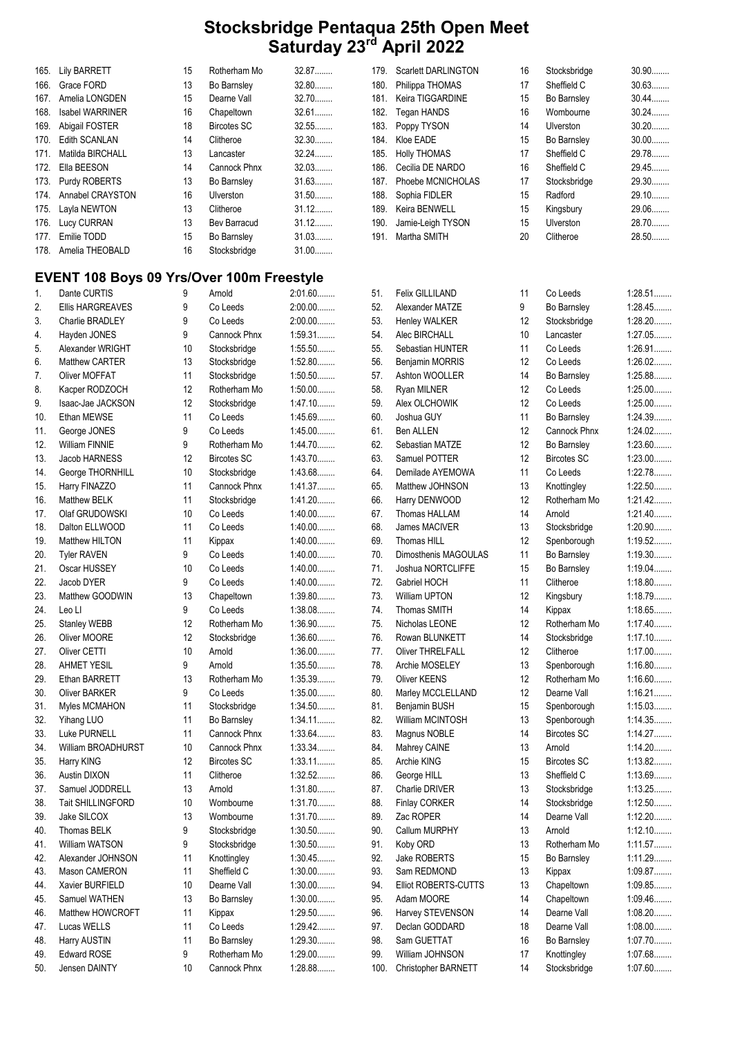179. Scarlett DARLINGTON 16 Stocksbridge 30.90........<br>180. Philippa THOMAS 17 Sheffield C 30.63........ 180. Philippa THOMAS 17 Sheffield C 30.63........ 181. Keira TIGGARDINE 15 Bo Barnsley 30.44........

| 165. | <b>Lily BARRETT</b>    | 15 | Rotherham Mo | 32.87   |  |
|------|------------------------|----|--------------|---------|--|
| 166. | Grace FORD             | 13 | Bo Barnsley  | 32.80   |  |
| 167. | Amelia LONGDEN         | 15 | Dearne Vall  | 32.70   |  |
| 168. | <b>Isabel WARRINER</b> | 16 | Chapeltown   | 32.61   |  |
| 169. | Abigail FOSTER         | 18 | Bircotes SC  | 32.55   |  |
|      | 170. Edith SCANLAN     | 14 | Clitheroe    | 32.30   |  |
| 171. | Matilda BIRCHALL       | 13 | Lancaster    | $32.24$ |  |
|      | 172. Ella BEESON       | 14 | Cannock Phnx | 32.03   |  |
|      | 173. Purdy ROBERTS     | 13 | Bo Barnsley  | 31.63   |  |
|      | 174. Annabel CRAYSTON  | 16 | Ulverston    | $31.50$ |  |
|      | 175. Layla NEWTON      | 13 | Clitheroe    | $31.12$ |  |
|      | 176. Lucy CURRAN       | 13 | Bev Barracud | $31.12$ |  |
|      | 177. Emilie TODD       | 15 | Bo Barnsley  | 31.03   |  |
|      | 178. Amelia THEOBALD   | 16 | Stocksbridge | $31.00$ |  |
|      |                        |    |              |         |  |

#### EVENT 108 Boys 09 Yrs/Over 100m Freestyle

| 1.  | Dante CURTIS        | 9  | Arnold             | $2:01.60$ | 51.  | Felix GILLILAND         | 11 | Co Leeds           | 1:28.51   |
|-----|---------------------|----|--------------------|-----------|------|-------------------------|----|--------------------|-----------|
| 2.  | Ellis HARGREAVES    | 9  | Co Leeds           | $2:00.00$ | 52.  | Alexander MATZE         | 9  | Bo Barnsley        | 1:28.45   |
| 3.  | Charlie BRADLEY     | 9  | Co Leeds           | $2:00.00$ | 53.  | <b>Henley WALKER</b>    | 12 | Stocksbridge       | 1:28.20   |
| 4.  | Hayden JONES        | 9  | Cannock Phnx       | 1:59.31   | 54.  | Alec BIRCHALL           | 10 | Lancaster          | $1:27.05$ |
| 5.  | Alexander WRIGHT    | 10 | Stocksbridge       | $1:55.50$ | 55.  | Sebastian HUNTER        | 11 | Co Leeds           | 1:26.91   |
| 6.  | Matthew CARTER      | 13 | Stocksbridge       | 1:52.80   | 56.  | Benjamin MORRIS         | 12 | Co Leeds           | 1:26.02   |
| 7.  | Oliver MOFFAT       | 11 | Stocksbridge       | $1:50.50$ | 57.  | Ashton WOOLLER          | 14 | Bo Barnsley        | 1:25.88   |
| 8.  | Kacper RODZOCH      | 12 | Rotherham Mo       | $1:50.00$ | 58.  | Ryan MILNER             | 12 | Co Leeds           | $1:25.00$ |
| 9.  | Isaac-Jae JACKSON   | 12 | Stocksbridge       | $1:47.10$ | 59.  | Alex OLCHOWIK           | 12 | Co Leeds           | $1:25.00$ |
| 10. | Ethan MEWSE         | 11 | Co Leeds           | 1:45.69   | 60.  | Joshua GUY              | 11 | Bo Barnsley        | 1:24.39   |
| 11. | George JONES        | 9  | Co Leeds           | $1:45.00$ | 61.  | Ben ALLEN               | 12 | Cannock Phnx       | 1:24.02   |
| 12. | William FINNIE      | 9  | Rotherham Mo       | 1:44.70   | 62.  | Sebastian MATZE         | 12 | Bo Barnsley        | 1:23.60   |
| 13. | Jacob HARNESS       | 12 | <b>Bircotes SC</b> | $1:43.70$ | 63.  | Samuel POTTER           | 12 | <b>Bircotes SC</b> | $1:23.00$ |
| 14. | George THORNHILL    | 10 | Stocksbridge       | 1:43.68   | 64.  | Demilade AYEMOWA        | 11 | Co Leeds           | 1:22.78   |
| 15. | Harry FINAZZO       | 11 | Cannock Phnx       | 1:41.37   | 65.  | Matthew JOHNSON         | 13 | Knottingley        | $1:22.50$ |
| 16. | Matthew BELK        | 11 | Stocksbridge       | $1:41.20$ | 66.  | Harry DENWOOD           | 12 | Rotherham Mo       | 1:21.42   |
| 17. | Olaf GRUDOWSKI      | 10 | Co Leeds           | $1:40.00$ | 67.  | Thomas HALLAM           | 14 | Arnold             | $1:21.40$ |
| 18. | Dalton ELLWOOD      | 11 | Co Leeds           | $1:40.00$ | 68.  | James MACIVER           | 13 | Stocksbridge       | $1:20.90$ |
| 19. | Matthew HILTON      | 11 | Kippax             | $1:40.00$ | 69.  | Thomas HILL             | 12 | Spenborough        | 1:19.52   |
| 20. | <b>Tyler RAVEN</b>  | 9  | Co Leeds           | $1:40.00$ | 70.  | Dimosthenis MAGOULAS    | 11 | Bo Barnsley        | 1:19.30   |
| 21. | Oscar HUSSEY        | 10 | Co Leeds           | $1:40.00$ | 71.  | Joshua NORTCLIFFE       | 15 | Bo Barnsley        | 1:19.04   |
| 22. | Jacob DYER          | 9  | Co Leeds           | $1:40.00$ | 72.  | Gabriel HOCH            | 11 | Clitheroe          | $1:18.80$ |
| 23. | Matthew GOODWIN     | 13 | Chapeltown         | $1:39.80$ | 73.  | William UPTON           | 12 | Kingsbury          | 1:18.79   |
| 24. | Leo Ll              | 9  | Co Leeds           | 1:38.08   | 74.  | <b>Thomas SMITH</b>     | 14 | Kippax             | 1:18.65   |
| 25. | <b>Stanley WEBB</b> | 12 | Rotherham Mo       | 1:36.90   | 75.  | Nicholas LEONE          | 12 | Rotherham Mo       | $1:17.40$ |
| 26. | Oliver MOORE        | 12 | Stocksbridge       | $1:36.60$ | 76.  | Rowan BLUNKETT          | 14 | Stocksbridge       | $1:17.10$ |
| 27. | Oliver CETTI        | 10 | Arnold             | $1:36.00$ | 77.  | <b>Oliver THRELFALL</b> | 12 | Clitheroe          | $1:17.00$ |
| 28. | <b>AHMET YESIL</b>  | 9  | Arnold             | $1:35.50$ | 78.  | Archie MOSELEY          | 13 | Spenborough        | 1:16.80   |
| 29. | Ethan BARRETT       | 13 | Rotherham Mo       | 1:35.39   | 79.  | Oliver KEENS            | 12 | Rotherham Mo       | $1:16.60$ |
| 30. | Oliver BARKER       | 9  | Co Leeds           | $1:35.00$ | 80.  | Marley MCCLELLAND       | 12 | Dearne Vall        | 1:16.21   |
| 31. | Myles MCMAHON       | 11 | Stocksbridge       | 1:34.50   | 81.  | Benjamin BUSH           | 15 | Spenborough        | 1:15.03   |
| 32. | Yihang LUO          | 11 | Bo Barnsley        | 1:34.11   | 82.  | William MCINTOSH        | 13 | Spenborough        | 1:14.35   |
| 33. | Luke PURNELL        | 11 | Cannock Phnx       | $1:33.64$ | 83.  | Magnus NOBLE            | 14 | <b>Bircotes SC</b> | 1:14.27   |
| 34. | William BROADHURST  | 10 | Cannock Phnx       | 1:33.34   | 84.  | Mahrey CAINE            | 13 | Arnold             | 1:14.20   |
| 35. | Harry KING          | 12 | <b>Bircotes SC</b> | 1:33.11   | 85.  | Archie KING             | 15 | <b>Bircotes SC</b> | 1:13.82   |
| 36. | Austin DIXON        | 11 | Clitheroe          | 1:32.52   | 86.  | George HILL             | 13 | Sheffield C        | 1:13.69   |
| 37. | Samuel JODDRELL     | 13 | Arnold             | $1:31.80$ | 87.  | Charlie DRIVER          | 13 | Stocksbridge       | 1:13.25   |
| 38. | Tait SHILLINGFORD   | 10 | Wombourne          | $1:31.70$ | 88.  | <b>Finlay CORKER</b>    | 14 | Stocksbridge       | 1:12.50   |
| 39. | Jake SILCOX         | 13 | Wombourne          | 1:31.70   | 89.  | Zac ROPER               | 14 | Dearne Vall        | 1:12.20   |
| 40. | Thomas BELK         | 9  | Stocksbridge       | $1:30.50$ | 90.  | Callum MURPHY           | 13 | Arnold             | 1:12.10   |
| 41. | William WATSON      | 9  | Stocksbridge       | $1:30.50$ | 91.  | Koby ORD                | 13 | Rotherham Mo       | 1:11.57   |
| 42. | Alexander JOHNSON   | 11 | Knottingley        | 1:30.45   | 92.  | Jake ROBERTS            | 15 | Bo Barnsley        | 1:11.29   |
| 43. | Mason CAMERON       | 11 | Sheffield C        | $1:30.00$ | 93.  | Sam REDMOND             | 13 | Kippax             | 1:09.87   |
| 44. | Xavier BURFIELD     | 10 | Dearne Vall        | $1:30.00$ | 94.  | Elliot ROBERTS-CUTTS    | 13 | Chapeltown         | 1:09.85   |
| 45. | Samuel WATHEN       | 13 | <b>Bo Barnsley</b> | $1:30.00$ | 95.  | Adam MOORE              | 14 | Chapeltown         | $1:09.46$ |
| 46. | Matthew HOWCROFT    | 11 | Kippax             | 1:29.50   | 96.  | Harvey STEVENSON        | 14 | Dearne Vall        | $1:08.20$ |
| 47. | Lucas WELLS         | 11 | Co Leeds           | $1:29.42$ | 97.  | Declan GODDARD          | 18 | Dearne Vall        | $1:08.00$ |
| 48. | Harry AUSTIN        | 11 | Bo Barnsley        | $1:29.30$ | 98.  | Sam GUETTAT             | 16 | Bo Barnsley        | 1:07.70   |
| 49. | Edward ROSE         | 9  | Rotherham Mo       | $1:29.00$ | 99.  | William JOHNSON         | 17 | Knottingley        | 1:07.68   |
| 50. | Jensen DAINTY       | 10 | Cannock Phnx       | 1:28.88   | 100. | Christopher BARNETT     | 14 | Stocksbridge       | $1:07.60$ |
|     |                     |    |                    |           |      |                         |    |                    |           |

| 182. | Tegan HANDS          | 16 | Wombourne          | 30.24     |
|------|----------------------|----|--------------------|-----------|
| 183. | Poppy TYSON          | 14 | Ulverston          | $30.20$   |
| 184. | Kloe EADE            | 15 | Bo Barnsley        | $30.00$   |
| 185. | <b>Holly THOMAS</b>  | 17 | Sheffield C        | 29.78     |
| 186. | Cecilia DE NARDO     | 16 | Sheffield C        | 29.45     |
| 187. | Phoebe MCNICHOLAS    | 17 | Stocksbridge       | 29.30     |
| 188. | Sophia FIDLER        | 15 | Radford            | 29.10     |
| 189. | Keira BENWELL        | 15 | Kingsbury          | 29.06     |
| 190. | Jamie-Leigh TYSON    | 15 | Ulverston          | 28.70     |
| 191. | Martha SMITH         | 20 | Clitheroe          | 28.50     |
|      |                      |    |                    |           |
| 51.  | Felix GILLILAND      | 11 | Co Leeds           | 1:28.51   |
| 52.  | Alexander MATZE      | 9  | Bo Barnsley        | 1:28.45   |
| 53.  | <b>Henley WALKER</b> | 12 | Stocksbridge       | $1:28.20$ |
| 54.  | Alec BIRCHALL        | 10 | Lancaster          | 1:27.05   |
| 55.  | Sebastian HUNTER     | 11 | Co Leeds           | 1:26.91   |
| 56.  | Benjamin MORRIS      | 12 | Co Leeds           | $1:26.02$ |
| 57.  | Ashton WOOLLER       | 14 | Bo Barnsley        | 1:25.88   |
| 58.  | Ryan MILNER          | 12 | Co Leeds           | $1:25.00$ |
| 59.  | Alex OLCHOWIK        | 12 | Co Leeds           | $1:25.00$ |
| 60.  | Joshua GUY           | 11 | Bo Barnsley        | 1:24.39   |
| 61.  | <b>Ben ALLEN</b>     | 12 | Cannock Phnx       | $1:24.02$ |
| 62.  | Sebastian MATZE      | 12 | Bo Barnsley        | $1:23.60$ |
| 63.  | Samuel POTTER        | 12 | <b>Bircotes SC</b> | $1:23.00$ |
| 64.  | Demilade AYEMOWA     | 11 | Co Leeds           | 1:22.78   |
| 65.  | Matthew JOHNSON      | 13 | Knottingley        | $1:22.50$ |
| 66.  | Harry DENWOOD        | 12 | Rotherham Mo       | $1:21.42$ |
| 67.  | Thomas HALLAM        | 14 | Arnold             | 1:21.40   |
| 68.  | James MACIVER        | 13 |                    | 1:20.90   |
| 69.  | Thomas HILL          | 12 | Stocksbridge       | 1:19.52   |
| 70.  | Dimosthenis MAGOULAS | 11 | Spenborough        | 1:19.30   |
|      |                      |    | Bo Barnsley        |           |
| 71.  | Joshua NORTCLIFFE    | 15 | Bo Barnsley        | 1:19.04   |
| 72.  | Gabriel HOCH         | 11 | Clitheroe          | 1:18.80   |
| 73.  | <b>William UPTON</b> | 12 | Kingsbury          | 1:18.79   |
| 74.  | Thomas SMITH         | 14 | Kippax             | 1:18.65   |
| 75.  | Nicholas LEONE       | 12 | Rotherham Mo       | $1:17.40$ |
| 76.  | Rowan BLUNKETT       | 14 | Stocksbridge       | $1:17.10$ |
| 77.  | Oliver THRELFALL     | 12 | Clitheroe          | $1:17.00$ |
| 78.  | Archie MOSELEY       | 13 | Spenborough        | 1:16.80   |
| 79.  | <b>Oliver KEENS</b>  | 12 | Rotherham Mo       | 1:16.60   |
| 80.  | Marley MCCLELLAND    | 12 | Dearne Vall        | 1:16.21   |
| 81.  | Benjamin BUSH        | 15 | Spenborough        | 1:15.03   |
| 82.  | William MCINTOSH     | 13 | Spenborough        | 1:14.35   |
| 83.  | Magnus NOBLE         | 14 | <b>Bircotes SC</b> | 1:14.27   |
| 84.  | Mahrey CAINE         | 13 | Arnold             | 1:14.20   |
| 85.  | Archie KING          | 15 | <b>Bircotes SC</b> | 1:13.82   |
| 86.  | George HILL          | 13 | Sheffield C        | 1:13.69   |
| 87.  | Charlie DRIVER       | 13 | Stocksbridge       | 1:13.25   |
| 88.  | <b>Finlay CORKER</b> | 14 | Stocksbridge       | 1:12.50   |
| 89.  | Zac ROPER            | 14 | Dearne Vall        | $1:12.20$ |
| 90.  | Callum MURPHY        | 13 | Arnold             | $1:12.10$ |
| 91.  | Koby ORD             | 13 | Rotherham Mo       | 1:11.57   |
| 92.  | Jake ROBERTS         | 15 | Bo Barnsley        | 1:11.29   |
| 93.  | Sam REDMOND          | 13 | Kippax             | 1:09.87   |
| 94.  | Elliot ROBERTS-CUTTS | 13 | Chapeltown         | 1:09.85   |
| 95.  | Adam MOORE           | 14 | Chapeltown         | 1:09.46   |
| 96.  | Harvey STEVENSON     | 14 | Dearne Vall        | 1:08.20   |
| 97.  | Declan GODDARD       | 18 | Dearne Vall        | $1:08.00$ |
| 98.  | Sam GUETTAT          | 16 | Bo Barnsley        | 1:07.70   |
| 99.  | William JOHNSON      | 17 | Knottingley        | 1:07.68   |
| 100. | Christopher BARNETT  | 14 | Stocksbridge       | 1:07.60   |
|      |                      |    |                    |           |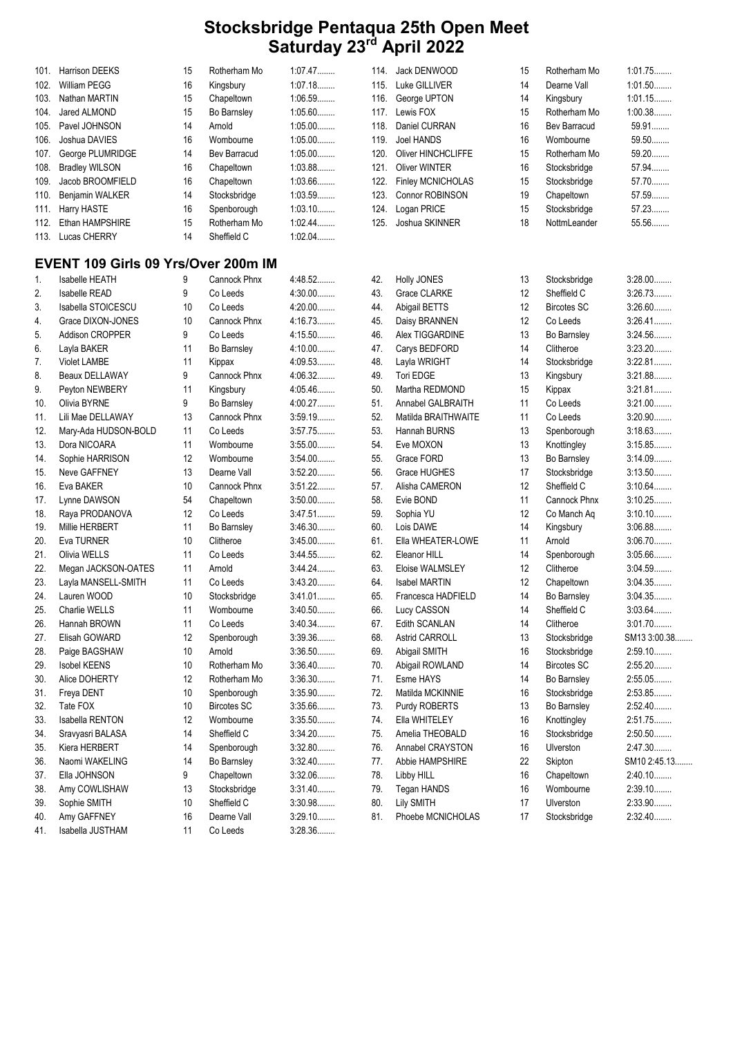| 101. | Harrison DEEKS                      | 15 | Rotherham Mo        | 1:07.47   | 114. | Jack DENWOOD         | 15 | Rotherham Mo       | 1:01.75      |
|------|-------------------------------------|----|---------------------|-----------|------|----------------------|----|--------------------|--------------|
| 102. | <b>William PEGG</b>                 | 16 | Kingsbury           | 1:07.18   | 115. | Luke GILLIVER        | 14 | Dearne Vall        | 1:01.50      |
| 103. | Nathan MARTIN                       | 15 | Chapeltown          | 1:06.59   | 116. | George UPTON         | 14 | Kingsbury          | 1:01.15      |
| 104. | Jared ALMOND                        | 15 | <b>Bo Barnsley</b>  | 1:05.60   |      | 117. Lewis FOX       | 15 | Rotherham Mo       | 1:00.38      |
| 105. | Pavel JOHNSON                       | 14 | Arnold              | $1:05.00$ | 118. | Daniel CURRAN        | 16 | Bev Barracud       | 59.91        |
| 106. | Joshua DAVIES                       | 16 | Wombourne           | $1:05.00$ | 119. | Joel HANDS           | 16 | Wombourne          | 59.50        |
| 107. | George PLUMRIDGE                    | 14 | <b>Bev Barracud</b> | $1:05.00$ | 120. | Oliver HINCHCLIFFE   | 15 | Rotherham Mo       | 59.20        |
| 108. | <b>Bradley WILSON</b>               | 16 | Chapeltown          | 1:03.88   | 121. | <b>Oliver WINTER</b> | 16 | Stocksbridge       | 57.94        |
| 109. | Jacob BROOMFIELD                    | 16 | Chapeltown          | 1:03.66   | 122. | Finley MCNICHOLAS    | 15 | Stocksbridge       | 57.70        |
| 110. | Benjamin WALKER                     | 14 | Stocksbridge        | 1:03.59   | 123. | Connor ROBINSON      | 19 | Chapeltown         | 57.59        |
| 111. | Harry HASTE                         | 16 | Spenborough         | 1:03.10   | 124. | Logan PRICE          | 15 | Stocksbridge       | 57.23        |
| 112. | Ethan HAMPSHIRE                     | 15 | Rotherham Mo        | 1:02.44   | 125. | Joshua SKINNER       | 18 | NottmLeander       | 55.56        |
| 113. | Lucas CHERRY                        | 14 | Sheffield C         | $1:02.04$ |      |                      |    |                    |              |
|      | EVENT 109 Girls 09 Yrs/Over 200m IM |    |                     |           |      |                      |    |                    |              |
|      |                                     |    |                     | 4:48.52   |      |                      |    |                    | $3:28.00$    |
| 1.   | Isabelle HEATH                      | 9  | <b>Cannock Phnx</b> | $4:30.00$ | 42.  | <b>Holly JONES</b>   | 13 | Stocksbridge       | 3:26.73      |
| 2.   | Isabelle READ                       | 9  | Co Leeds            |           | 43.  | <b>Grace CLARKE</b>  | 12 | Sheffield C        |              |
| 3.   | Isabella STOICESCU                  | 10 | Co Leeds            | 4:20.00   | 44.  | Abigail BETTS        | 12 | <b>Bircotes SC</b> | $3:26.60$    |
| 4.   | Grace DIXON-JONES                   | 10 | Cannock Phnx        | 4:16.73   | 45.  | Daisy BRANNEN        | 12 | Co Leeds           | 3:26.41      |
| 5.   | <b>Addison CROPPER</b>              | 9  | Co Leeds            | 4:15.50   | 46.  | Alex TIGGARDINE      | 13 | Bo Barnsley        | 3:24.56      |
| 6.   | Layla BAKER                         | 11 | Bo Barnsley         | 4:10.00   | 47.  | Carys BEDFORD        | 14 | Clitheroe          | $3:23.20$    |
| 7.   | Violet LAMBE                        | 11 | Kippax              | 4:09.53   | 48.  | Layla WRIGHT         | 14 | Stocksbridge       | 3:22.81      |
| 8.   | Beaux DELLAWAY                      | 9  | Cannock Phnx        | 4:06.32   | 49.  | Tori EDGE            | 13 | Kingsbury          | 3:21.88      |
| 9.   | Peyton NEWBERY                      | 11 | Kingsbury           | 4:05.46   | 50.  | Martha REDMOND       | 15 | Kippax             | 3:21.81      |
| 10.  | Olivia BYRNE                        | 9  | Bo Barnsley         | 4:00.27   | 51.  | Annabel GALBRAITH    | 11 | Co Leeds           | $3:21.00$    |
| 11.  | Lili Mae DELLAWAY                   | 13 | Cannock Phnx        | 3:59.19   | 52.  | Matilda BRAITHWAITE  | 11 | Co Leeds           | $3:20.90$    |
| 12.  | Mary-Ada HUDSON-BOLD                | 11 | Co Leeds            | 3:57.75   | 53.  | Hannah BURNS         | 13 | Spenborough        | 3:18.63      |
| 13.  | Dora NICOARA                        | 11 | Wombourne           | $3:55.00$ | 54.  | Eve MOXON            | 13 | Knottingley        | 3:15.85      |
| 14.  | Sophie HARRISON                     | 12 | Wombourne           | $3:54.00$ | 55.  | Grace FORD           | 13 | Bo Barnsley        | 3:14.09      |
| 15.  | <b>Neve GAFFNEY</b>                 | 13 | Dearne Vall         | $3:52.20$ | 56.  | Grace HUGHES         | 17 | Stocksbridge       | 3:13.50      |
| 16.  | Eva BAKER                           | 10 | <b>Cannock Phnx</b> | $3:51.22$ | 57.  | Alisha CAMERON       | 12 | Sheffield C        | 3:10.64      |
| 17.  | Lynne DAWSON                        | 54 | Chapeltown          | $3:50.00$ | 58.  | Evie BOND            | 11 | Cannock Phnx       | 3:10.25      |
| 18.  | Raya PRODANOVA                      | 12 | Co Leeds            | 3:47.51   | 59.  | Sophia YU            | 12 | Co Manch Aq        | $3:10.10$    |
| 19.  | Millie HERBERT                      | 11 | Bo Barnsley         | 3:46.30   | 60.  | Lois DAWE            | 14 | Kingsbury          | 3:06.88      |
| 20.  | Eva TURNER                          | 10 | Clitheroe           | $3:45.00$ | 61.  | Ella WHEATER-LOWE    | 11 | Arnold             | 3:06.70      |
| 21.  | Olivia WELLS                        | 11 | Co Leeds            | 3:44.55   | 62.  | Eleanor HILL         | 14 | Spenborough        | 3:05.66      |
| 22.  | Megan JACKSON-OATES                 | 11 | Arnold              | 3.44.24   | 63.  | Eloise WALMSLEY      | 12 | Clitheroe          | 3:04.59      |
| 23.  | Layla MANSELL-SMITH                 | 11 | Co Leeds            | 3:43.20   | 64.  | <b>Isabel MARTIN</b> | 12 | Chapeltown         | 3:04.35      |
| 24.  | Lauren WOOD                         | 10 | Stocksbridge        | $3:41.01$ | 65.  | Francesca HADFIELD   | 14 | Bo Barnsley        | 3:04.35      |
| 25.  | Charlie WELLS                       | 11 | Wombourne           | 3:40.50   | 66.  | Lucy CASSON          | 14 | Sheffield C        | 3:03.64      |
| 26.  | Hannah BROWN                        | 11 | Co Leeds            | 3:40.34   | 67.  | Edith SCANLAN        | 14 | Clitheroe          | 3:01.70      |
| 27.  | Elisah GOWARD                       | 12 | Spenborough         | 3:39.36   | 68.  | Astrid CARROLL       | 13 | Stocksbridge       | SM13 3:00.38 |
| 28.  | Paige BAGSHAW                       | 10 | Arnold              | $3:36.50$ | 69.  | Abigail SMITH        | 16 | Stocksbridge       | 2:59.10      |
| 29.  | <b>Isobel KEENS</b>                 | 10 | Rotherham Mo        | $3:36.40$ | 70.  | Abigail ROWLAND      | 14 | <b>Bircotes SC</b> | $2:55.20$    |
| 30.  | Alice DOHERTY                       | 12 | Rotherham Mo        | $3:36.30$ | 71.  | Esme HAYS            | 14 | Bo Barnsley        | $2:55.05$    |
| 31.  | Freya DENT                          | 10 | Spenborough         | 3:35.90   | 72.  | Matilda MCKINNIE     | 16 | Stocksbridge       | 2:53.85      |
| 32.  | Tate FOX                            | 10 | <b>Bircotes SC</b>  | 3:35.66   | 73.  | Purdy ROBERTS        | 13 | Bo Barnsley        | 2:52.40      |
| 33.  | Isabella RENTON                     | 12 | Wombourne           | $3:35.50$ | 74.  | Ella WHITELEY        | 16 | Knottingley        | 2:51.75      |
| 34.  | Sravyasri BALASA                    | 14 | Sheffield C         | $3:34.20$ | 75.  | Amelia THEOBALD      | 16 | Stocksbridge       | 2:50.50      |
| 35.  | Kiera HERBERT                       | 14 | Spenborough         | $3:32.80$ | 76.  | Annabel CRAYSTON     | 16 | Ulverston          | 2:47.30      |
| 36.  | Naomi WAKELING                      | 14 | Bo Barnsley         | $3:32.40$ | 77.  | Abbie HAMPSHIRE      | 22 | Skipton            | SM10 2:45.13 |
| 37.  | Ella JOHNSON                        | 9  | Chapeltown          | 3:32.06   | 78.  | Libby HILL           | 16 | Chapeltown         | 2:40.10      |
| 38.  | Amy COWLISHAW                       | 13 | Stocksbridge        | $3:31.40$ | 79.  | Tegan HANDS          | 16 | Wombourne          | 2:39.10      |
| 39.  | Sophie SMITH                        | 10 | Sheffield C         | 3:30.98   | 80.  | <b>Lily SMITH</b>    | 17 | Ulverston          | $2:33.90$    |
| 40.  | Amy GAFFNEY                         | 16 | Dearne Vall         | $3:29.10$ | 81.  | Phoebe MCNICHOLAS    | 17 | Stocksbridge       | 2:32.40      |
| 41.  | Isabella JUSTHAM                    | 11 | Co Leeds            | 3:28.36   |      |                      |    |                    |              |
|      |                                     |    |                     |           |      |                      |    |                    |              |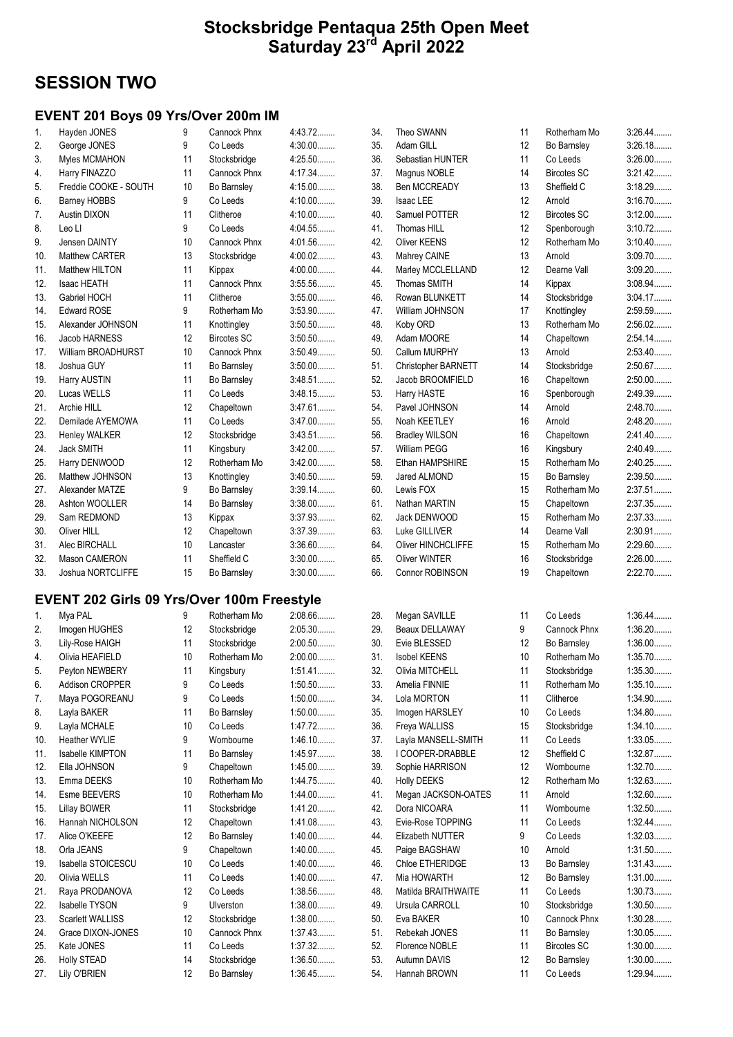## SESSION TWO

#### EVENT 201 Boys 09 Yrs/Over 200m IM

| 1.  | Hayden JONES              | 9  | Cannock Phnx        | 4:43.72   |
|-----|---------------------------|----|---------------------|-----------|
| 2.  | George JONES              | 9  | Co Leeds            | $4:30.00$ |
| 3.  | Myles MCMAHON             | 11 | Stocksbridge        | 4:25.50   |
| 4.  | Harry FINAZZO             | 11 | Cannock Phnx        | 4:17.34   |
| 5.  | Freddie COOKE - SOUTH     | 10 | Bo Barnsley         | 4:15.00   |
| 6.  | <b>Barney HOBBS</b>       | 9  | Co Leeds            | 4:10.00   |
| 7.  | <b>Austin DIXON</b>       | 11 | Clitheroe           | 4:10.00   |
| 8.  | Leo LI                    | 9  | Co Leeds            | 4:04.55   |
| 9.  | Jensen DAINTY             | 10 | <b>Cannock Phnx</b> | 4:01.56   |
| 10. | Matthew CARTER            | 13 | Stocksbridge        | 4:00.02   |
| 11. | Matthew HILTON            | 11 | Kippax              | 4:00.00   |
| 12. | <b>Isaac HEATH</b>        | 11 | <b>Cannock Phnx</b> | 3:55.56   |
| 13. | Gabriel HOCH              | 11 | Clitheroe           | $3:55.00$ |
| 14. | <b>Edward ROSE</b>        | 9  | Rotherham Mo        | 3:53.90   |
| 15. | Alexander JOHNSON         | 11 | Knottingley         | 3:50.50   |
| 16. | Jacob HARNESS             | 12 | <b>Bircotes SC</b>  | $3:50.50$ |
| 17. | <b>William BROADHURST</b> | 10 | <b>Cannock Phnx</b> | 3:50.49   |
| 18. | Joshua GUY                | 11 | Bo Barnsley         | $3:50.00$ |
| 19. | Harry AUSTIN              | 11 | Bo Barnsley         | 3:48.51   |
| 20. | Lucas WELLS               | 11 | Co Leeds            | 3:48.15   |
| 21. | Archie HILL               | 12 | Chapeltown          | 3:47.61   |
| 22. | Demilade AYEMOWA          | 11 | Co Leeds            | 3:47.00   |
| 23. | <b>Henley WALKER</b>      | 12 | Stocksbridge        | 3:43.51   |
| 24. | <b>Jack SMITH</b>         | 11 | Kingsbury           | $3:42.00$ |
| 25. | Harry DENWOOD             | 12 | Rotherham Mo        | 3:42.00   |
| 26. | Matthew JOHNSON           | 13 | Knottingley         | $3:40.50$ |
| 27. | Alexander MATZE           | 9  | Bo Barnsley         | $3:39.14$ |
| 28. | Ashton WOOLLER            | 14 | Bo Barnsley         | $3:38.00$ |
| 29. | Sam REDMOND               | 13 | Kippax              | 3:37.93   |
| 30. | Oliver HILL               | 12 | Chapeltown          | 3:37.39   |
| 31. | Alec BIRCHALL             | 10 | Lancaster           | $3:36.60$ |
| 32. | <b>Mason CAMERON</b>      | 11 | Sheffield C         | $3:30.00$ |
| 33. | <b>Joshua NORTCLIFFE</b>  | 15 | Bo Barnsley         | 3:30.00   |

#### EVENT 202 Girls 09 Yrs/Over 100m Freestyle

| 1.  | Mya PAL                 | 9               | Rotherham Mo     | 2:08.66   |
|-----|-------------------------|-----------------|------------------|-----------|
| 2.  | Imogen HUGHES           | 12              | Stocksbridge     | 2:05.30   |
| 3.  | Lily-Rose HAIGH         | 11              | Stocksbridge     | 2:00.50   |
| 4.  | Olivia HEAFIELD         | 10              | Rotherham Mo     | $2:00.00$ |
| 5.  | Peyton NEWBERY          | 11              | Kingsbury        | $1:51.41$ |
| 6.  | <b>Addison CROPPER</b>  | 9               | Co Leeds         | $1:50.50$ |
| 7.  | Maya POGOREANU          | 9               | Co Leeds         | $1:50.00$ |
| 8.  | Layla BAKER             | 11              | Bo Barnsley      | $1:50.00$ |
| 9.  | Layla MCHALE            | 10              | Co Leeds         | 1:47.72   |
| 10. | <b>Heather WYLIE</b>    | 9               | Wombourne        | $1:46.10$ |
| 11. | <b>Isabelle KIMPTON</b> | 11              | Bo Barnsley      | 1:45.97   |
| 12. | Ella JOHNSON            | 9               | Chapeltown       | $1:45.00$ |
| 13. | Emma DEEKS              | 10              | Rotherham Mo     | 1:44.75   |
| 14. | Esme BEEVERS            | 10              | Rotherham Mo     | $1:44.00$ |
| 15. | <b>Lillay BOWER</b>     | 11              | Stocksbridge     | $1:41.20$ |
| 16. | Hannah NICHOLSON        | 12              | Chapeltown       | 1:41.08   |
| 17. | Alice O'KEEFE           | 12 <sup>°</sup> | Bo Barnsley      | $1:40.00$ |
| 18. | Orla JEANS              | 9               | Chapeltown       | $1:40.00$ |
| 19. | Isabella STOICESCU      | 10              | Co Leeds         | $1:40.00$ |
| 20. | Olivia WELLS            | 11              | Co Leeds         | $1:40.00$ |
| 21. | Raya PRODANOVA          | 12              | Co Leeds         | 1:38.56   |
| 22. | <b>Isabelle TYSON</b>   | 9               | <b>Ulverston</b> | $1:38.00$ |
| 23. | <b>Scarlett WALLISS</b> | 12              | Stocksbridge     | $1:38.00$ |
| 24. | Grace DIXON-JONES       | 10              | Cannock Phnx     | 1:37.43   |
| 25. | Kate JONES              | 11              | Co Leeds         | 1:37.32   |
| 26. | <b>Holly STEAD</b>      | 14              | Stocksbridge     | $1:36.50$ |
| 27. | Lily O'BRIEN            | 12              | Bo Barnsley      | 1:36.45   |

| 34. | Theo SWANN                 |
|-----|----------------------------|
| 35. | Adam GILL                  |
| 36. | Sebastian HUNTER           |
| 37. | Magnus NOBLE               |
| 38. | <b>Ben MCCREADY</b>        |
| 39. | <b>Isaac LEE</b>           |
| 40. | Samuel POTTER              |
| 41. | <b>Thomas HILL</b>         |
| 42. | Oliver KEENS               |
| 43. | Mahrey CAINE               |
| 44. | Marley MCCLELLAND          |
| 45. | <b>Thomas SMITH</b>        |
| 46. | Rowan BLUNKETT             |
| 47. | William JOHNSON            |
| 48. | Koby ORD                   |
| 49. | Adam MOORE                 |
| 50. | Callum MURPHY              |
| 51. | <b>Christopher BARNETT</b> |
| 52. | Jacob BROOMFIELD           |
| 53. | Harry HASTE                |
| 54. | Pavel JOHNSON              |
|     | 55. Noah KEETLEY           |
|     | 56. Bradley WILSON         |
| 57. | <b>William PEGG</b>        |
| 58. | Ethan HAMPSHIRE            |
| 59. | Jared ALMOND               |
| 60. | Lewis FOX                  |
| 61. | Nathan MARTIN              |
| 62. | Jack DENWOOD               |
| 63. | Luke GILLIVER              |
| 64. | <b>Oliver HINCHCLIFFE</b>  |
| 65. | <b>Oliver WINTER</b>       |
| 66. | <b>Connor ROBINSON</b>     |

| ZU. | <b>IVICYAII JAVILLL</b> | . .              | <b>OU LEEUS</b>    | <del></del> .טט |
|-----|-------------------------|------------------|--------------------|-----------------|
| 29. | Beaux DELLAWAY          | 9                | Cannock Phnx       | 1:36.20         |
| 30. | Evie BLESSED            | 12               | Bo Barnsley        | $1:36.00$       |
| 31. | <b>Isobel KEENS</b>     | 10 <sup>10</sup> | Rotherham Mo       | 1:35.70         |
| 32. | Olivia MITCHELL         | 11               | Stocksbridge       | $1:35.30$       |
| 33. | Amelia FINNIE           | 11               | Rotherham Mo       | 1:35.10         |
| 34. | Lola MORTON             | 11               | Clitheroe          | 1:34.90         |
| 35. | Imogen HARSLEY          | 10               | Co Leeds           | 1:34.80         |
| 36. | Freya WALLISS           | 15               | Stocksbridge       | $1:34.10$       |
| 37. | Layla MANSELL-SMITH     | 11               | Co Leeds           | 1:33.05         |
| 38. | I COOPER-DRABBLE        | 12               | Sheffield C        | 1:32.87         |
| 39. | Sophie HARRISON         | 12 <sup>2</sup>  | Wombourne          | $1:32.70$       |
| 40. | <b>Holly DEEKS</b>      | 12 <sup>2</sup>  | Rotherham Mo       | 1:32.63         |
| 41. | Megan JACKSON-OATES     | 11               | Arnold             | 1:32.60         |
| 42. | Dora NICOARA            | 11               | Wombourne          | $1:32.50$       |
| 43. | Evie-Rose TOPPING       | 11               | Co Leeds           | $1:32.44$       |
| 44. | Elizabeth NUTTER        | 9                | Co Leeds           | 1:32.03         |
| 45. | Paige BAGSHAW           | 10               | Arnold             | $1:31.50$       |
| 46. | Chloe ETHERIDGE         | 13               | Bo Barnsley        | 1:31.43         |
| 47. | Mia HOWARTH             | 12 <sup>2</sup>  | Bo Barnsley        | 1:31.00         |
| 48. | Matilda BRAITHWAITE     | 11               | Co Leeds           | 1:30.73         |
| 49. | Ursula CARROLL          | 10               | Stocksbridge       | $1:30.50$       |
| 50. | Eva BAKER               | 10               | Cannock Phnx       | 1:30.28         |
| 51. | Rebekah JONES           | 11               | Bo Barnsley        | $1:30.05$       |
| 52. | Florence NOBLE          | 11               | <b>Bircotes SC</b> | $1:30.00$       |
| 53. | Autumn DAVIS            | 12               | Bo Barnsley        | $1:30.00$       |
| 54. | Hannah BROWN            | 11               | Co Leeds           | 1:29.94         |

| 34. | Theo SWANN                 | 11 | Rotherham Mo       | 3:26.44   |
|-----|----------------------------|----|--------------------|-----------|
| 35. | Adam GILL                  | 12 | Bo Barnsley        | 3:26.18   |
| 36. | Sebastian HUNTER           | 11 | Co Leeds           | $3:26.00$ |
| 37. | Magnus NOBLE               | 14 | <b>Bircotes SC</b> | $3:21.42$ |
| 38. | <b>Ben MCCREADY</b>        | 13 | Sheffield C        | 3:18.29   |
| 39. | Isaac LEE                  | 12 | Arnold             | 3:16.70   |
| 40. | Samuel POTTER              | 12 | <b>Bircotes SC</b> | $3:12.00$ |
| 41. | Thomas HILL                | 12 | Spenborough        | 3:10.72   |
| 42. | Oliver KEENS               | 12 | Rotherham Mo       | 3:10.40   |
| 43. | Mahrey CAINE               | 13 | Arnold             | $3:09.70$ |
| 44. | Marley MCCLELLAND          | 12 | Dearne Vall        | $3:09.20$ |
| 45. | <b>Thomas SMITH</b>        | 14 | Kippax             | 3:08.94   |
| 46. | Rowan BLUNKETT             | 14 | Stocksbridge       | 3:04.17   |
| 47. | William JOHNSON            | 17 | Knottingley        | 2:59.59   |
| 48. | Koby ORD                   | 13 | Rotherham Mo       | 2:56.02   |
| 49. | Adam MOORE                 | 14 | Chapeltown         | 2:54.14   |
| 50. | Callum MURPHY              | 13 | Arnold             | 2:53.40   |
| 51. | <b>Christopher BARNETT</b> | 14 | Stocksbridge       | 2:50.67   |
| 52. | Jacob BROOMFIELD           | 16 | Chapeltown         | 2:50.00   |
| 53. | Harry HASTE                | 16 | Spenborough        | 2:49.39   |
| 54. | Pavel JOHNSON              | 14 | Arnold             | 2:48.70   |
| 55. | Noah KEETLEY               | 16 | Arnold             | 2:48.20   |
| 56. | <b>Bradley WILSON</b>      | 16 | Chapeltown         | 2:41.40   |
| 57. | <b>William PEGG</b>        | 16 | Kingsbury          | 2:40.49   |
| 58. | Ethan HAMPSHIRE            | 15 | Rotherham Mo       | 2:40.25   |
| 59. | Jared ALMOND               | 15 | Bo Barnsley        | 2:39.50   |
| 60. | Lewis FOX                  | 15 | Rotherham Mo       | 2:37.51   |
| 61. | Nathan MARTIN              | 15 | Chapeltown         | 2:37.35   |
| 62. | Jack DENWOOD               | 15 | Rotherham Mo       | 2:37.33   |
| 63. | Luke GILLIVER              | 14 | Dearne Vall        | 2:30.91   |
| 64. | <b>Oliver HINCHCLIFFE</b>  | 15 | Rotherham Mo       | 2:29.60   |
| 65. | <b>Oliver WINTER</b>       | 16 | Stocksbridge       | 2:26.00   |
| 66. | Connor ROBINSON            | 19 | Chapeltown         | 2:22.70   |
|     |                            |    |                    |           |

| 28. | Megan SAVILLE           | 11 | Co Leeds            | $1:36.44$ |
|-----|-------------------------|----|---------------------|-----------|
| 29. | Beaux DELLAWAY          | 9  | <b>Cannock Phnx</b> | $1:36.20$ |
| 30. | Evie BLESSED            | 12 | Bo Barnsley         | $1:36.00$ |
| 31. | <b>Isobel KEENS</b>     | 10 | Rotherham Mo        | 1:35.70   |
| 32. | Olivia MITCHELL         | 11 | Stocksbridge        | 1:35.30   |
| 33. | Amelia FINNIE           | 11 | Rotherham Mo        | 1:35.10   |
| 34. | Lola MORTON             | 11 | Clitheroe           | 1:34.90   |
| 35. | Imogen HARSLEY          | 10 | Co Leeds            | 1:34.80   |
| 36. | Freya WALLISS           | 15 | Stocksbridge        | 1:34.10   |
| 37. | Layla MANSELL-SMITH     | 11 | Co Leeds            | 1:33.05   |
| 38. | I COOPER-DRABBLE        | 12 | Sheffield C         | 1:32.87   |
| 39. | Sophie HARRISON         | 12 | Wombourne           | 1:32.70   |
| 40. | <b>Holly DEEKS</b>      | 12 | Rotherham Mo        | 1:32.63   |
| 41. | Megan JACKSON-OATES     | 11 | Arnold              | 1:32.60   |
| 42. | Dora NICOARA            | 11 | Wombourne           | 1:32.50   |
| 43. | Evie-Rose TOPPING       | 11 | Co Leeds            | $1:32.44$ |
| 44. | <b>Elizabeth NUTTER</b> | 9  | Co Leeds            | 1:32.03   |
| 45. | Paige BAGSHAW           | 10 | Arnold              | 1:31.50   |
| 46. | Chloe ETHERIDGE         | 13 | Bo Barnsley         | 1:31.43   |
| 47. | Mia HOWARTH             | 12 | Bo Barnsley         | $1:31.00$ |
| 48. | Matilda BRAITHWAITE     | 11 | Co Leeds            | 1:30.73   |
| 49. | Ursula CARROLL          | 10 | Stocksbridge        | 1:30.50   |
| 50. | Eva BAKER               | 10 | Cannock Phnx        | 1:30.28   |
| 51. | Rebekah JONES           | 11 | Bo Barnsley         | 1:30.05   |
| 52. | Florence NOBLE          | 11 | <b>Bircotes SC</b>  | $1:30.00$ |
| 53. | Autumn DAVIS            | 12 | Bo Barnsley         | $1:30.00$ |
| 54. | Hannah BROWN            | 11 | Co Leeds            | 1:29.94   |
|     |                         |    |                     |           |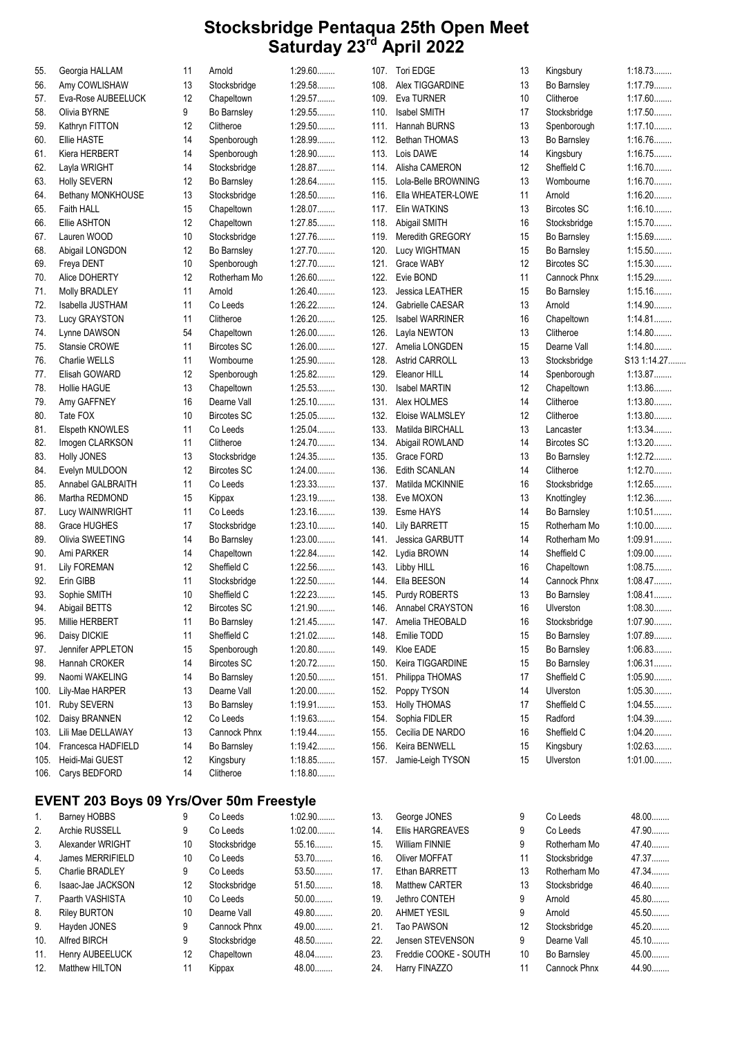| 55.  | Georgia HALLAM                                  | 11 | Arnold             | $1:29.60$ |      | 107. Tori EDGE         | 13 | Kingsbury          | 1:18.73     |
|------|-------------------------------------------------|----|--------------------|-----------|------|------------------------|----|--------------------|-------------|
| 56.  | Amy COWLISHAW                                   | 13 | Stocksbridge       | 1:29.58   | 108. | Alex TIGGARDINE        | 13 | Bo Barnsley        | 1:17.79     |
| 57.  | Eva-Rose AUBEELUCK                              | 12 | Chapeltown         | 1:29.57   | 109. | Eva TURNER             | 10 | Clitheroe          | 1:17.60     |
| 58.  | Olivia BYRNE                                    | 9  | Bo Barnsley        | 1:29.55   | 110. | <b>Isabel SMITH</b>    | 17 | Stocksbridge       | 1:17.50     |
| 59.  | Kathryn FITTON                                  | 12 | Clitheroe          | $1:29.50$ | 111. | Hannah BURNS           | 13 | Spenborough        | $1:17.10$   |
| 60.  | <b>Ellie HASTE</b>                              | 14 | Spenborough        | 1:28.99   | 112. | Bethan THOMAS          | 13 | Bo Barnsley        | 1:16.76     |
| 61.  | Kiera HERBERT                                   | 14 | Spenborough        | 1:28.90   | 113. | Lois DAWE              | 14 | Kingsbury          | 1:16.75     |
| 62.  | Layla WRIGHT                                    | 14 | Stocksbridge       | 1:28.87   | 114. | Alisha CAMERON         | 12 | Sheffield C        | 1:16.70     |
|      |                                                 |    |                    | 1:28.64   |      |                        |    |                    | $1:16.70$   |
| 63.  | <b>Holly SEVERN</b>                             | 12 | Bo Barnsley        |           | 115. | Lola-Belle BROWNING    | 13 | Wombourne          |             |
| 64.  | Bethany MONKHOUSE                               | 13 | Stocksbridge       | 1:28.50   | 116. | Ella WHEATER-LOWE      | 11 | Arnold             | 1:16.20     |
| 65.  | Faith HALL                                      | 15 | Chapeltown         | 1:28.07   | 117. | Elin WATKINS           | 13 | <b>Bircotes SC</b> | $1:16.10$   |
| 66.  | Ellie ASHTON                                    | 12 | Chapeltown         | 1:27.85   | 118. | Abigail SMITH          | 16 | Stocksbridge       | 1:15.70     |
| 67.  | Lauren WOOD                                     | 10 | Stocksbridge       | 1:27.76   | 119. | Meredith GREGORY       | 15 | Bo Barnsley        | 1:15.69     |
| 68.  | Abigail LONGDON                                 | 12 | Bo Barnsley        | 1:27.70   | 120. | Lucy WIGHTMAN          | 15 | Bo Barnsley        | 1:15.50     |
| 69.  | Freya DENT                                      | 10 | Spenborough        | 1:27.70   | 121. | Grace WABY             | 12 | <b>Bircotes SC</b> | 1:15.30     |
| 70.  | Alice DOHERTY                                   | 12 | Rotherham Mo       | $1:26.60$ | 122. | Evie BOND              | 11 | Cannock Phnx       | 1:15.29     |
| 71.  | Molly BRADLEY                                   | 11 | Arnold             | 1:26.40   | 123. | Jessica LEATHER        | 15 | Bo Barnsley        | 1:15.16     |
| 72.  | Isabella JUSTHAM                                | 11 | Co Leeds           | $1:26.22$ | 124. | Gabrielle CAESAR       | 13 | Arnold             | 1:14.90     |
| 73.  | Lucy GRAYSTON                                   | 11 | Clitheroe          | $1:26.20$ | 125. | <b>Isabel WARRINER</b> | 16 | Chapeltown         | 1:14.81     |
| 74.  | Lynne DAWSON                                    | 54 | Chapeltown         | $1:26.00$ | 126. | Layla NEWTON           | 13 | Clitheroe          | 1:14.80     |
| 75.  | Stansie CROWE                                   | 11 | <b>Bircotes SC</b> | $1:26.00$ |      | 127. Amelia LONGDEN    | 15 | Dearne Vall        | 1:14.80     |
| 76.  | Charlie WELLS                                   | 11 | Wombourne          | 1:25.90   | 128. | <b>Astrid CARROLL</b>  | 13 | Stocksbridge       | S13 1:14.27 |
|      | Elisah GOWARD                                   | 12 |                    | 1:25.82   | 129. | Eleanor HILL           | 14 |                    | 1:13.87     |
| 77.  |                                                 |    | Spenborough        |           |      |                        |    | Spenborough        |             |
| 78.  | <b>Hollie HAGUE</b>                             | 13 | Chapeltown         | 1:25.53   | 130. | <b>Isabel MARTIN</b>   | 12 | Chapeltown         | 1:13.86     |
| 79.  | Amy GAFFNEY                                     | 16 | Dearne Vall        | 1:25.10   | 131. | Alex HOLMES            | 14 | Clitheroe          | 1:13.80     |
| 80.  | Tate FOX                                        | 10 | <b>Bircotes SC</b> | 1:25.05   | 132. | Eloise WALMSLEY        | 12 | Clitheroe          | 1:13.80     |
| 81.  | Elspeth KNOWLES                                 | 11 | Co Leeds           | $1:25.04$ | 133. | Matilda BIRCHALL       | 13 | Lancaster          | 1:13.34     |
| 82.  | Imogen CLARKSON                                 | 11 | Clitheroe          | 1:24.70   | 134. | Abigail ROWLAND        | 14 | <b>Bircotes SC</b> | 1:13.20     |
| 83.  | Holly JONES                                     | 13 | Stocksbridge       | 1:24.35   | 135. | Grace FORD             | 13 | Bo Barnsley        | 1:12.72     |
| 84.  | Evelyn MULDOON                                  | 12 | <b>Bircotes SC</b> | $1:24.00$ | 136. | Edith SCANLAN          | 14 | Clitheroe          | 1:12.70     |
| 85.  | Annabel GALBRAITH                               | 11 | Co Leeds           | 1:23.33   | 137. | Matilda MCKINNIE       | 16 | Stocksbridge       | 1:12.65     |
| 86.  | Martha REDMOND                                  | 15 | Kippax             | 1:23.19   | 138. | Eve MOXON              | 13 | Knottingley        | 1:12.36     |
| 87.  | Lucy WAINWRIGHT                                 | 11 | Co Leeds           | 1:23.16   | 139. | Esme HAYS              | 14 | Bo Barnsley        | 1:10.51     |
| 88.  | Grace HUGHES                                    | 17 | Stocksbridge       | $1:23.10$ | 140. | <b>Lily BARRETT</b>    | 15 | Rotherham Mo       | $1:10.00$   |
| 89.  | Olivia SWEETING                                 | 14 | Bo Barnsley        | $1:23.00$ | 141. | <b>Jessica GARBUTT</b> | 14 | Rotherham Mo       | $1:09.91$   |
| 90.  | Ami PARKER                                      | 14 | Chapeltown         | 1:22.84   | 142. | Lydia BROWN            | 14 | Sheffield C        | $1:09.00$   |
| 91.  | <b>Lily FOREMAN</b>                             | 12 | Sheffield C        | 1:22.56   | 143. | Libby HILL             | 16 | Chapeltown         | 1:08.75     |
| 92.  | Erin GIBB                                       | 11 | Stocksbridge       | 1:22.50   | 144. | Ella BEESON            | 14 | Cannock Phnx       | 1:08.47     |
|      |                                                 |    | Sheffield C        | 1:22.23   |      |                        |    |                    | $1:08.41$   |
| 93.  | Sophie SMITH                                    | 10 |                    |           | 145. | Purdy ROBERTS          | 13 | Bo Barnsley        |             |
| 94.  | Abigail BETTS                                   | 12 | <b>Bircotes SC</b> | 1:21.90   |      | 146. Annabel CRAYSTON  | 16 | Ulverston          | 1:08.30     |
| 95.  | Millie HERBERT                                  | 11 | Bo Barnsley        | 1:21.45   |      | 147. Amelia THEOBALD   | 16 | Stocksbridge       | $1:07.90$   |
| 96.  | Daisy DICKIE                                    | 11 | Sheffield C        | $1:21.02$ | 148. | Emilie TODD            | 15 | Bo Barnsley        | 1:07.89     |
| 97.  | Jennifer APPLETON                               | 15 | Spenborough        | $1:20.80$ | 149. | Kloe EADE              | 15 | Bo Barnsley        | 1:06.83     |
| 98.  | Hannah CROKER                                   | 14 | <b>Bircotes SC</b> | 1:20.72   | 150. | Keira TIGGARDINE       | 15 | Bo Barnsley        | 1:06.31     |
| 99.  | Naomi WAKELING                                  | 14 | Bo Barnsley        | $1:20.50$ | 151. | Philippa THOMAS        | 17 | Sheffield C        | 1:05.90     |
| 100. | Lily-Mae HARPER                                 | 13 | Dearne Vall        | $1:20.00$ | 152. | Poppy TYSON            | 14 | Ulverston          | 1:05.30     |
| 101. | Ruby SEVERN                                     | 13 | Bo Barnsley        | 1:19.91   | 153. | <b>Holly THOMAS</b>    | 17 | Sheffield C        | 1:04.55     |
| 102. | Daisy BRANNEN                                   | 12 | Co Leeds           | 1:19.63   | 154. | Sophia FIDLER          | 15 | Radford            | 1:04.39     |
| 103. | Lili Mae DELLAWAY                               | 13 | Cannock Phnx       | 1:19.44   | 155. | Cecilia DE NARDO       | 16 | Sheffield C        | $1:04.20$   |
| 104. | Francesca HADFIELD                              | 14 | Bo Barnsley        | 1:19.42   | 156. | Keira BENWELL          | 15 | Kingsbury          | 1:02.63     |
| 105. | Heidi-Mai GUEST                                 | 12 | Kingsbury          | 1:18.85   |      | 157. Jamie-Leigh TYSON | 15 | Ulverston          | $1:01.00$   |
| 106. | Carys BEDFORD                                   | 14 | Clitheroe          | 1:18.80   |      |                        |    |                    |             |
|      | <b>EVENT 203 Boys 09 Yrs/Over 50m Freestyle</b> |    |                    |           |      |                        |    |                    |             |
|      |                                                 |    |                    |           |      |                        |    |                    |             |
| 1.   | Barney HOBBS                                    | 9  | Co Leeds           | 1:02.90   | 13.  | George JONES           | 9  | Co Leeds           | 48.00       |
| 2.   | Archie RUSSELL                                  | 9  | Co Leeds           | $1:02.00$ | 14.  | Ellis HARGREAVES       | 9  | Co Leeds           | 47.90       |
| 3.   | Alexander WRIGHT                                | 10 | Stocksbridge       | 55.16     | 15.  | William FINNIE         | 9  | Rotherham Mo       | 47.40       |
| 4.   | James MERRIFIELD                                | 10 | Co Leeds           | 53.70     | 16.  | Oliver MOFFAT          | 11 | Stocksbridge       | 47.37       |
| 5.   | Charlie BRADLEY                                 | 9  | Co Leeds           | $53.50$   | 17.  | Ethan BARRETT          | 13 | Rotherham Mo       | 47.34       |
| 6.   | Isaac-Jae JACKSON                               | 12 | Stocksbridge       | $51.50$   | 18.  | Matthew CARTER         | 13 | Stocksbridge       | 46.40       |
| 7.   | Paarth VASHISTA                                 | 10 | Co Leeds           | $50.00$   | 19.  | Jethro CONTEH          | 9  | Arnold             | 45.80       |
| 8.   | <b>Riley BURTON</b>                             | 10 | Dearne Vall        | 49.80     | 20.  | <b>AHMET YESIL</b>     | 9  | Arnold             | 45.50       |
| 9.   | Hayden JONES                                    | 9  | Cannock Phnx       | 49.00     | 21.  | Tao PAWSON             | 12 | Stocksbridge       | 45.20       |

22. Jensen STEVENSON 9 Dearne Vall 45.10........ 23. Freddie COOKE - SOUTH 10 Bo Barnsley 45.00........ 24. Harry FINAZZO 11 Cannock Phnx 44.90........

10. Alfred BIRCH 9 Stocksbridge 48.50........ 11. Henry AUBEELUCK 12 Chapeltown 48.04........ 12. Matthew HILTON 11 Kippax 48.00........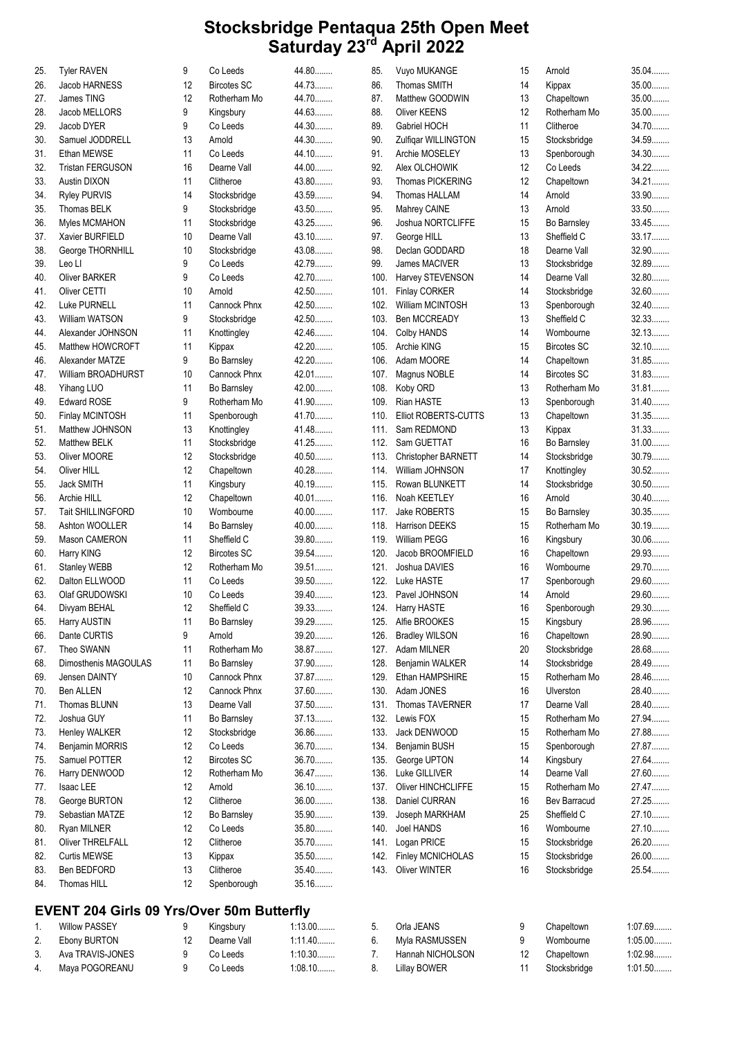| 25. | <b>Tyler RAVEN</b>                               | 9  | Co Leeds           | 44.80          | 85.  | Vuyo MUKANGE                 | 15 | Arnold             | 35.04          |
|-----|--------------------------------------------------|----|--------------------|----------------|------|------------------------------|----|--------------------|----------------|
| 26. | Jacob HARNESS                                    | 12 | <b>Bircotes SC</b> | 44.73          | 86.  | Thomas SMITH                 | 14 | Kippax             | 35.00          |
| 27. | James TING                                       | 12 | Rotherham Mo       | 44.70          | 87.  | Matthew GOODWIN              | 13 | Chapeltown         | 35.00          |
| 28. | Jacob MELLORS                                    | 9  | Kingsbury          | 44.63          | 88.  | Oliver KEENS                 | 12 | Rotherham Mo       | 35.00          |
| 29. | Jacob DYER                                       | 9  | Co Leeds           | 44.30          | 89.  | Gabriel HOCH                 | 11 | Clitheroe          | 34.70          |
| 30. | Samuel JODDRELL                                  | 13 | Arnold             | 44.30          | 90.  | Zulfigar WILLINGTON          | 15 | Stocksbridge       | 34.59          |
| 31. | Ethan MEWSE                                      | 11 | Co Leeds           | 44.10          | 91.  | Archie MOSELEY               | 13 | Spenborough        | 34.30          |
| 32. | <b>Tristan FERGUSON</b>                          | 16 | Dearne Vall        | 44.00          | 92.  | Alex OLCHOWIK                | 12 | Co Leeds           | 34.22          |
| 33. | Austin DIXON                                     | 11 | Clitheroe          | 43.80          | 93.  | Thomas PICKERING             | 12 | Chapeltown         | 34.21          |
| 34. | <b>Ryley PURVIS</b>                              | 14 | Stocksbridge       | 43.59          | 94.  | Thomas HALLAM                | 14 | Arnold             | 33.90          |
| 35. | Thomas BELK                                      | 9  | Stocksbridge       | 43.50          | 95.  | Mahrey CAINE                 | 13 | Arnold             | 33.50          |
| 36. | Myles MCMAHON                                    | 11 | Stocksbridge       | 43.25          | 96.  | Joshua NORTCLIFFE            | 15 | Bo Barnsley        | 33.45          |
|     | Xavier BURFIELD                                  | 10 | Dearne Vall        | 43.10          | 97.  | George HILL                  | 13 | Sheffield C        | 33.17          |
| 37. |                                                  |    |                    |                |      |                              |    |                    |                |
| 38. | George THORNHILL                                 | 10 | Stocksbridge       | 43.08<br>42.79 | 98.  | Declan GODDARD               | 18 | Dearne Vall        | 32.90<br>32.89 |
| 39. | Leo LI                                           | 9  | Co Leeds           |                | 99.  | James MACIVER                | 13 | Stocksbridge       |                |
| 40. | Oliver BARKER                                    | 9  | Co Leeds           | 42.70          | 100. | Harvey STEVENSON             | 14 | Dearne Vall        | 32.80          |
| 41. | Oliver CETTI                                     | 10 | Arnold             | 42.50          | 101. | <b>Finlay CORKER</b>         | 14 | Stocksbridge       | 32.60          |
| 42. | Luke PURNELL                                     | 11 | Cannock Phnx       | 42.50          | 102. | William MCINTOSH             | 13 | Spenborough        | 32.40          |
| 43. | <b>William WATSON</b>                            | 9  | Stocksbridge       | 42.50          | 103. | <b>Ben MCCREADY</b>          | 13 | Sheffield C        | 32.33          |
| 44. | Alexander JOHNSON                                | 11 | Knottingley        | 42.46          | 104. | Colby HANDS                  | 14 | Wombourne          | 32.13          |
| 45. | Matthew HOWCROFT                                 | 11 | Kippax             | 42.20          | 105. | Archie KING                  | 15 | <b>Bircotes SC</b> | 32.10          |
| 46. | Alexander MATZE                                  | 9  | <b>Bo Barnsley</b> | 42.20          | 106. | Adam MOORE                   | 14 | Chapeltown         | 31.85          |
| 47. | <b>William BROADHURST</b>                        | 10 | Cannock Phnx       | 42.01          | 107. | Magnus NOBLE                 | 14 | <b>Bircotes SC</b> | 31.83          |
| 48. | Yihang LUO                                       | 11 | Bo Barnsley        | 42.00          | 108. | Koby ORD                     | 13 | Rotherham Mo       | 31.81          |
| 49. | <b>Edward ROSE</b>                               | 9  | Rotherham Mo       | 41.90          | 109. | <b>Rian HASTE</b>            | 13 | Spenborough        | 31.40          |
| 50. | Finlay MCINTOSH                                  | 11 | Spenborough        | 41.70          | 110. | <b>Elliot ROBERTS-CUTTS</b>  | 13 | Chapeltown         | 31.35          |
| 51. | Matthew JOHNSON                                  | 13 | Knottingley        | 41.48          | 111. | Sam REDMOND                  | 13 | Kippax             | 31.33          |
| 52. | Matthew BELK                                     | 11 | Stocksbridge       | 41.25          | 112. | Sam GUETTAT                  | 16 | Bo Barnsley        | $31.00$        |
| 53. | Oliver MOORE                                     | 12 | Stocksbridge       | 40.50          | 113. | Christopher BARNETT          | 14 | Stocksbridge       | 30.79          |
| 54. | Oliver HILL                                      | 12 | Chapeltown         | 40.28          | 114. | William JOHNSON              | 17 | Knottingley        | $30.52$        |
| 55. | Jack SMITH                                       | 11 | Kingsbury          | 40.19          | 115. | Rowan BLUNKETT               | 14 | Stocksbridge       | $30.50$        |
|     |                                                  |    |                    | $40.01$        | 116. | Noah KEETLEY                 | 16 | Arnold             | $30.40$        |
| 56. | Archie HILL                                      | 12 | Chapeltown         | 40.00          |      |                              |    |                    | 30.35          |
| 57. | Tait SHILLINGFORD                                | 10 | Wombourne          |                | 117. | Jake ROBERTS                 | 15 | Bo Barnsley        |                |
| 58. | Ashton WOOLLER                                   | 14 | Bo Barnsley        | 40.00          | 118. | Harrison DEEKS               | 15 | Rotherham Mo       | 30.19          |
| 59. | Mason CAMERON                                    | 11 | Sheffield C        | 39.80          | 119. | William PEGG                 | 16 | Kingsbury          | $30.06$        |
| 60. | Harry KING                                       | 12 | <b>Bircotes SC</b> | 39.54          | 120. | Jacob BROOMFIELD             | 16 | Chapeltown         | 29.93          |
| 61. | <b>Stanley WEBB</b>                              | 12 | Rotherham Mo       | 39.51          | 121. | Joshua DAVIES                | 16 | Wombourne          | 29.70          |
| 62. | Dalton ELLWOOD                                   | 11 | Co Leeds           | $39.50$        |      | 122. Luke HASTE              | 17 | Spenborough        | 29.60          |
| 63. | Olaf GRUDOWSKI                                   | 10 | Co Leeds           | 39.40          | 123. | Pavel JOHNSON                | 14 | Arnold             | 29.60          |
| 64. | Divyam BEHAL                                     | 12 | Sheffield C        | 39.33          |      | 124. Harry HASTE             | 16 | Spenborough        | 29.30          |
| 65. | Harry AUSTIN                                     | 11 | Bo Barnsley        | 39.29          | 125. | Alfie BROOKES                | 15 | Kingsbury          | 28.96          |
| 66. | Dante CURTIS                                     | 9  | Arnold             | 39.20          | 126. | <b>Bradley WILSON</b>        | 16 | Chapeltown         | 28.90          |
| 67. | Theo SWANN                                       | 11 | Rotherham Mo       | 38.87          | 127. | Adam MILNER                  | 20 | Stocksbridge       | 28.68          |
| 68. | Dimosthenis MAGOULAS                             | 11 | Bo Barnsley        | 37.90          | 128. | Benjamin WALKER              | 14 | Stocksbridge       | 28.49          |
| 69. | Jensen DAINTY                                    | 10 | Cannock Phnx       | 37.87          | 129. | Ethan HAMPSHIRE              | 15 | Rotherham Mo       | 28.46          |
| 70. | Ben ALLEN                                        | 12 | Cannock Phnx       | 37.60          |      | 130. Adam JONES              | 16 | Ulverston          | 28.40          |
| 71. | Thomas BLUNN                                     | 13 | Dearne Vall        | 37.50          |      | 131. Thomas TAVERNER         | 17 | Dearne Vall        | 28.40          |
| 72. | Joshua GUY                                       | 11 | Bo Barnsley        | 37.13          | 132. | Lewis FOX                    | 15 | Rotherham Mo       | 27.94          |
| 73. | Henley WALKER                                    | 12 | Stocksbridge       | 36.86          | 133. | Jack DENWOOD                 | 15 | Rotherham Mo       | 27.88          |
| 74. | Benjamin MORRIS                                  | 12 | Co Leeds           | 36.70          | 134. | Benjamin BUSH                | 15 | Spenborough        | 27.87          |
| 75. | Samuel POTTER                                    | 12 | <b>Bircotes SC</b> | 36.70          | 135. | George UPTON                 | 14 | Kingsbury          | 27.64          |
| 76. | Harry DENWOOD                                    | 12 | Rotherham Mo       | 36.47          | 136. | Luke GILLIVER                | 14 | Dearne Vall        | 27.60          |
| 77. | Isaac LEE                                        | 12 | Arnold             | 36.10          | 137. | Oliver HINCHCLIFFE           | 15 | Rotherham Mo       | 27.47          |
| 78. | George BURTON                                    | 12 | Clitheroe          | $36.00$        | 138. | Daniel CURRAN                | 16 | Bev Barracud       | 27.25          |
|     | Sebastian MATZE                                  | 12 | Bo Barnsley        | $35.90$        | 139. |                              | 25 | Sheffield C        | 27.10          |
| 79. |                                                  | 12 | Co Leeds           | 35.80          | 140. | Joseph MARKHAM<br>Joel HANDS | 16 | Wombourne          | 27.10          |
| 80. | Ryan MILNER                                      |    |                    |                |      |                              |    |                    | 26.20          |
| 81. | Oliver THRELFALL                                 | 12 | Clitheroe          | 35.70          | 141. | Logan PRICE                  | 15 | Stocksbridge       |                |
| 82. | <b>Curtis MEWSE</b>                              | 13 | Kippax             | 35.50          | 142. | Finley MCNICHOLAS            | 15 | Stocksbridge       | 26.00          |
| 83. | Ben BEDFORD                                      | 13 | Clitheroe          | 35.40          | 143. | <b>Oliver WINTER</b>         | 16 | Stocksbridge       | 25.54          |
| 84. | Thomas HILL                                      | 12 | Spenborough        | 35.16          |      |                              |    |                    |                |
|     | <b>EVENT 204 Girls 09 Yrs/Over 50m Butterfly</b> |    |                    |                |      |                              |    |                    |                |

| 1              | <b>Willow PASSEY</b> | 9  | Kingsbury   | $1:13.00$ |
|----------------|----------------------|----|-------------|-----------|
|                | 2. Ebony BURTON      | 12 | Dearne Vall | $1:11.40$ |
| 3 <sub>1</sub> | Ava TRAVIS-JONES     | Q  | Co Leeds    | 1:10.30   |
|                | 4. Maya POGOREANU    | q  | Co Leeds    | $1:08.10$ |

| 5. | Orla JEANS       | 9  | Chapeltown   | 1:07.69   |
|----|------------------|----|--------------|-----------|
| 6. | Myla RASMUSSEN   | q  | Wombourne    | $1:05.00$ |
| 7. | Hannah NICHOLSON | 12 | Chapeltown   | 1:02.98   |
| 8. | Lillay BOWER     | 11 | Stocksbridge | $1:01.50$ |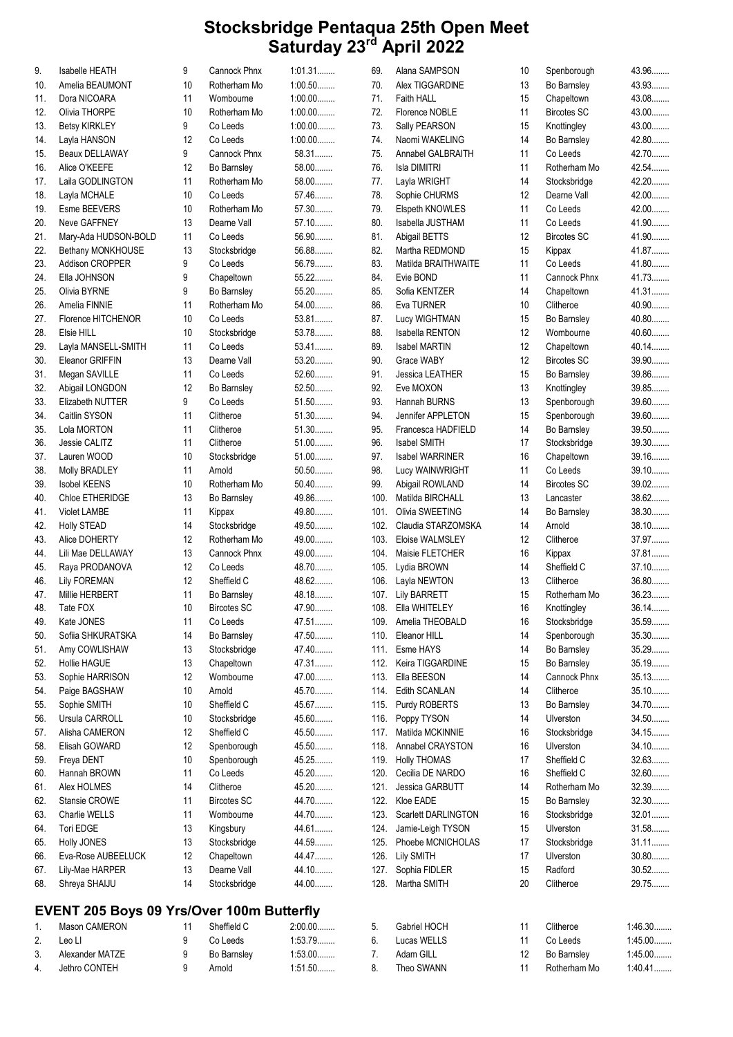| 9.  | Isabelle HEATH                                   | 9       | Cannock Phnx            | 1:01.31              | 69.      | Alana SAMPSON               | 10              | Spenborough           | 43.96                |
|-----|--------------------------------------------------|---------|-------------------------|----------------------|----------|-----------------------------|-----------------|-----------------------|----------------------|
| 10. | Amelia BEAUMONT                                  | 10      | Rotherham Mo            | $1:00.50$            | 70.      | Alex TIGGARDINE             | 13              | Bo Barnsley           | 43.93                |
| 11. | Dora NICOARA                                     | 11      | Wombourne               | $1:00.00$            | 71.      | Faith HALL                  | 15              | Chapeltown            | 43.08                |
| 12. | Olivia THORPE                                    | 10      | Rotherham Mo            | $1:00.00$            | 72.      | Florence NOBLE              | 11              | <b>Bircotes SC</b>    | 43.00                |
| 13. | <b>Betsy KIRKLEY</b>                             | 9       | Co Leeds                | $1:00.00$            | 73.      | Sally PEARSON               | 15              | Knottingley           | 43.00                |
| 14. | Layla HANSON                                     | 12      | Co Leeds                | $1:00.00$            | 74.      | Naomi WAKELING              | 14              | Bo Barnsley           | 42.80                |
| 15. | Beaux DELLAWAY                                   | 9       | <b>Cannock Phnx</b>     | 58.31                | 75.      | Annabel GALBRAITH           | 11              | Co Leeds              | 42.70                |
| 16. | Alice O'KEEFE                                    | 12      | Bo Barnsley             | 58.00                | 76.      | Isla DIMITRI                | 11              | Rotherham Mo          | 42.54                |
| 17. | Laila GODLINGTON                                 | 11      | Rotherham Mo            | 58.00                | 77.      | Layla WRIGHT                | 14              | Stocksbridge          | 42.20                |
| 18. | Layla MCHALE                                     | 10      | Co Leeds                | 57.46                | 78.      | Sophie CHURMS               | 12 <sup>2</sup> | Dearne Vall           | 42.00                |
| 19. | Esme BEEVERS                                     | 10      | Rotherham Mo            | 57.30                | 79.      | Elspeth KNOWLES             | 11              | Co Leeds              | 42.00                |
| 20. | Neve GAFFNEY                                     | 13      | Dearne Vall             | 57.10                | 80.      | Isabella JUSTHAM            | 11              | Co Leeds              | 41.90                |
| 21. | Mary-Ada HUDSON-BOLD                             | 11      | Co Leeds                | 56.90                | 81.      | Abigail BETTS               | 12              | <b>Bircotes SC</b>    | 41.90                |
| 22. | Bethany MONKHOUSE                                | 13      | Stocksbridge            | 56.88                | 82.      | Martha REDMOND              | 15              | Kippax                | 41.87                |
| 23. | Addison CROPPER                                  | 9       | Co Leeds                | 56.79                | 83.      | Matilda BRAITHWAITE         | 11              | Co Leeds              | 41.80                |
| 24. | Ella JOHNSON                                     | 9       | Chapeltown              | 55.22                | 84.      | Evie BOND                   | 11              | Cannock Phnx          | 41.73                |
| 25. | Olivia BYRNE                                     | 9       | Bo Barnsley             | 55.20                | 85.      | Sofia KENTZER               | 14              | Chapeltown            | 41.31                |
| 26. | Amelia FINNIE                                    | 11      | Rotherham Mo            | 54.00                | 86.      | Eva TURNER                  | 10              | Clitheroe             | 40.90                |
| 27. | Florence HITCHENOR                               | 10      | Co Leeds                | 53.81                | 87.      | Lucy WIGHTMAN               | 15              | Bo Barnsley           | 40.80                |
| 28. | Elsie HILL                                       | 10      | Stocksbridge            | 53.78                | 88.      | <b>Isabella RENTON</b>      | 12              | Wombourne             | 40.60                |
| 29. | Layla MANSELL-SMITH                              | 11      | Co Leeds                | 53.41                | 89.      | <b>Isabel MARTIN</b>        | 12              | Chapeltown            | 40.14                |
| 30. | Eleanor GRIFFIN                                  | 13      | Dearne Vall             | 53.20                | 90.      | Grace WABY                  | 12              | <b>Bircotes SC</b>    | 39.90                |
| 31. | Megan SAVILLE                                    | 11      | Co Leeds                | 52.60                | 91.      | Jessica LEATHER             | 15              | Bo Barnsley           | 39.86                |
| 32. | Abigail LONGDON                                  | 12      | Bo Barnsley             | 52.50                | 92.      | Eve MOXON                   | 13              | Knottingley           | 39.85                |
| 33. | Elizabeth NUTTER                                 | 9       | Co Leeds                | $51.50$              | 93.      | Hannah BURNS                | 13              | Spenborough           | 39.60                |
| 34. | Caitlin SYSON                                    | 11      | Clitheroe               | 51.30                | 94.      | Jennifer APPLETON           | 15              | Spenborough           | 39.60                |
| 35. | Lola MORTON                                      | 11      | Clitheroe               | 51.30                | 95.      | Francesca HADFIELD          | 14              | Bo Barnsley           | 39.50                |
| 36. | Jessie CALITZ                                    | 11      | Clitheroe               | 51.00                | 96.      | <b>Isabel SMITH</b>         | 17              | Stocksbridge          | 39.30                |
| 37. | Lauren WOOD                                      | 10      | Stocksbridge            | $51.00$              | 97.      | <b>Isabel WARRINER</b>      | 16              | Chapeltown            | 39.16                |
| 38. | Molly BRADLEY                                    | 11      | Arnold                  | $50.50$              | 98.      | Lucy WAINWRIGHT             | 11              | Co Leeds              | 39.10                |
| 39. | <b>Isobel KEENS</b>                              | 10      | Rotherham Mo            | $50.40$              | 99.      | Abigail ROWLAND             | 14              | <b>Bircotes SC</b>    | 39.02                |
| 40. | Chloe ETHERIDGE                                  | 13      | Bo Barnsley             | 49.86                | 100.     | Matilda BIRCHALL            | 13              | Lancaster             | 38.62                |
| 41. | <b>Violet LAMBE</b>                              | 11      | Kippax                  | 49.80                | 101.     | Olivia SWEETING             | 14              | Bo Barnsley           | 38.30                |
| 42. | <b>Holly STEAD</b>                               | 14      | Stocksbridge            | 49.50                | 102.     | Claudia STARZOMSKA          | 14              | Arnold                | 38.10                |
| 43. | Alice DOHERTY                                    | 12      | Rotherham Mo            | 49.00                | 103.     | Eloise WALMSLEY             | 12              | Clitheroe             | 37.97                |
| 44. | Lili Mae DELLAWAY                                | 13      | Cannock Phnx            | 49.00                | 104.     | Maisie FLETCHER             | 16              | Kippax                | 37.81                |
| 45. | Raya PRODANOVA                                   | 12      | Co Leeds                | 48.70                | 105.     | Lydia BROWN                 | 14              | Sheffield C           | 37.10                |
| 46. | <b>Lily FOREMAN</b>                              | 12      | Sheffield C             | 48.62                | 106.     | Layla NEWTON                | 13              | Clitheroe             | 36.80                |
| 47. | Millie HERBERT                                   | 11      | <b>Bo Barnsley</b>      | 48.18                | 107.     | Lily BARRETT                | 15              | Rotherham Mo          | 36.23                |
| 48. | Tate FOX                                         | 10      | <b>Bircotes SC</b>      | 47.90                |          | 108. Ella WHITELEY          | 16              | Knottingley           | 36.14                |
| 49. | Kate JONES                                       | 11      | Co Leeds                | 47.51                | 109.     | Amelia THEOBALD             | 16              | Stocksbridge          | 35.59                |
| 50. | Sofiia SHKURATSKA                                | 14      | Bo Barnsley             | 47.50                | 110.     | Eleanor HILL                | 14              | Spenborough           | 35.30                |
| 51. | Amy COWLISHAW                                    | 13      | Stocksbridge            | 47.40                | 111.     | Esme HAYS                   | 14              | Bo Barnsley           | 35.29                |
| 52. | <b>Hollie HAGUE</b>                              | 13      | Chapeltown              | 47.31                | 112.     | Keira TIGGARDINE            | 15              | Bo Barnsley           | 35.19                |
| 53. | Sophie HARRISON                                  | 12      | Wombourne               | 47.00                | 113.     | Ella BEESON                 | 14              | Cannock Phnx          | 35.13                |
| 54. | Paige BAGSHAW                                    | 10      | Arnold                  | 45.70                | 114.     | <b>Edith SCANLAN</b>        | 14              | Clitheroe             | $35.10$              |
| 55. | Sophie SMITH                                     | 10      | Sheffield C             | 45.67                | 115.     | Purdy ROBERTS               | 13              | Bo Barnsley           | 34.70                |
| 56. | Ursula CARROLL                                   | 10      | Stocksbridge            | 45.60                | 116.     | Poppy TYSON                 | 14              | Ulverston             | 34.50                |
| 57. | Alisha CAMERON                                   | 12      | Sheffield C             | 45.50                | 117.     | Matilda MCKINNIE            | 16              | Stocksbridge          | 34.15.               |
| 58. | Elisah GOWARD                                    | 12      | Spenborough             | 45.50                | 118.     | Annabel CRAYSTON            | 16              | Ulverston             | 34.10                |
| 59. | Freya DENT                                       | 10      | Spenborough             | 45.25                | 119.     | <b>Holly THOMAS</b>         | 17              | Sheffield C           | 32.63.               |
| 60. | Hannah BROWN                                     | 11      | Co Leeds                | 45.20                | 120.     | Cecilia DE NARDO            | 16              | Sheffield C           | 32.60                |
| 61. | Alex HOLMES                                      | 14      | Clitheroe               | 45.20                | 121.     | Jessica GARBUTT             | 14              | Rotherham Mo          | 32.39                |
| 62. | Stansie CROWE                                    | 11      | <b>Bircotes SC</b>      | 44.70                | 122.     | Kloe EADE                   | 15              | Bo Barnsley           | 32.30                |
| 63. | Charlie WELLS                                    | 11      | Wombourne               | 44.70                | 123.     | <b>Scarlett DARLINGTON</b>  | 16              | Stocksbridge          | 32.01                |
| 64. | Tori EDGE                                        | 13      | Kingsbury               | 44.61.               | 124.     | Jamie-Leigh TYSON           | 15              | Ulverston             | 31.58                |
| 65. | <b>Holly JONES</b>                               | 13      | Stocksbridge            | 44.59                | 125.     | Phoebe MCNICHOLAS           | 17              | Stocksbridge          | $31.11$              |
| 66. | Eva-Rose AUBEELUCK                               | 12      | Chapeltown              | 44.47                | 126.     | <b>Lily SMITH</b>           | 17              | Ulverston             | 30.80                |
| 67. | Lily-Mae HARPER                                  | 13      | Dearne Vall             | 44.10.               | 127.     | Sophia FIDLER               | 15              | Radford               | $30.52$              |
| 68. | Shreya SHAIJU                                    | 14      | Stocksbridge            | 44.00                | 128.     | Martha SMITH                | 20              | Clitheroe             | 29.75                |
|     |                                                  |         |                         |                      |          |                             |                 |                       |                      |
|     | <b>EVENT 205 Boys 09 Yrs/Over 100m Butterfly</b> |         |                         |                      |          |                             |                 |                       |                      |
| 1.  | Mason CAMERON<br>Leo Ll                          | 11<br>9 | Sheffield C<br>Co Leeds | $2:00.00$<br>1:53.79 | 5.<br>6. | Gabriel HOCH<br>Lucas WELLS | 11<br>11        | Clitheroe<br>Co Leeds | 1:46.30<br>$1:45.00$ |
| 2.  |                                                  |         |                         |                      |          |                             |                 |                       |                      |

7. Adam GILL 12 Bo Barnsley 1:45.00........ 8. Theo SWANN 11 Rotherham Mo 1:40.41........

3. Alexander MATZE 19 Bo Barnsley 1:53.00........ 4. Jethro CONTEH 9 Arnold 1:51.50........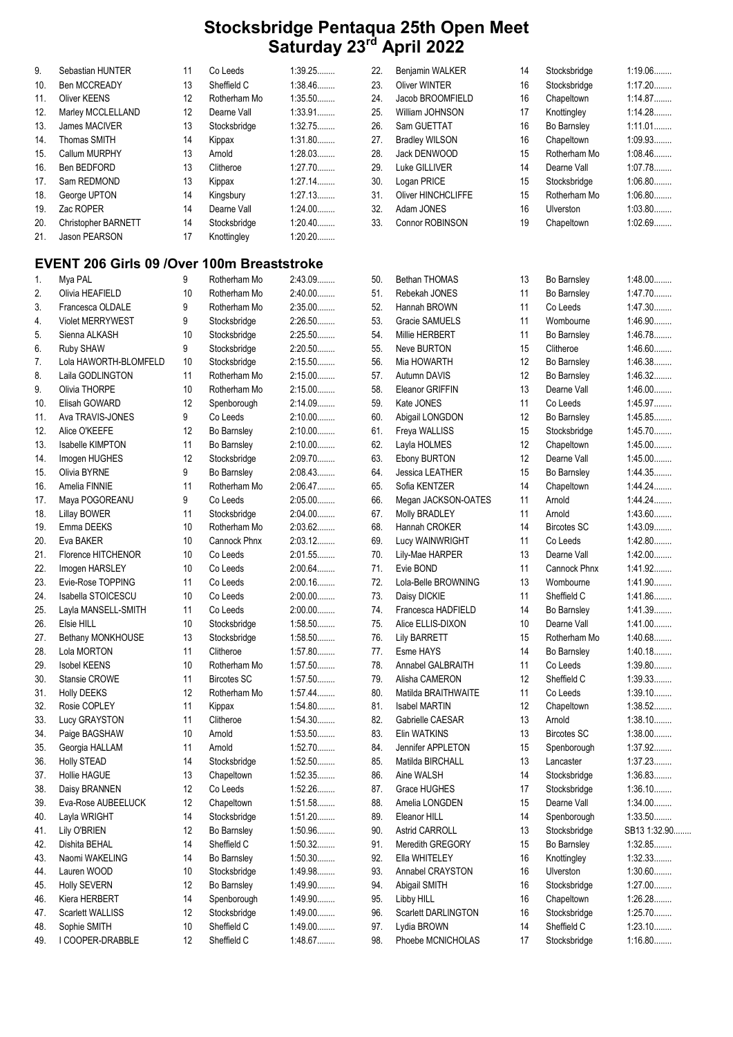| 9.  | Sebastian HUNTER                                  | 11 | Co Leeds           | 1:39.25   | 22. | Benjamin WALKER       | 14 | Stocksbridge       | 1:19.06      |
|-----|---------------------------------------------------|----|--------------------|-----------|-----|-----------------------|----|--------------------|--------------|
| 10. | Ben MCCREADY                                      | 13 | Sheffield C        | 1:38.46   | 23. | <b>Oliver WINTER</b>  | 16 | Stocksbridge       | $1:17.20$    |
| 11. | <b>Oliver KEENS</b>                               | 12 | Rotherham Mo       | $1:35.50$ | 24. | Jacob BROOMFIELD      | 16 | Chapeltown         | 1:14.87      |
| 12. | Marley MCCLELLAND                                 | 12 | Dearne Vall        | 1:33.91   | 25. | William JOHNSON       | 17 | Knottingley        | 1:14.28      |
| 13. | James MACIVER                                     | 13 | Stocksbridge       | 1:32.75   | 26. | Sam GUETTAT           | 16 | Bo Barnsley        | $1:11.01$    |
| 14. | Thomas SMITH                                      | 14 | Kippax             | 1:31.80   | 27. | <b>Bradley WILSON</b> | 16 | Chapeltown         | 1:09.93      |
| 15. | Callum MURPHY                                     | 13 | Arnold             | 1:28.03   | 28. | Jack DENWOOD          | 15 | Rotherham Mo       | 1:08.46      |
| 16. | Ben BEDFORD                                       | 13 | Clitheroe          | $1:27.70$ | 29. | Luke GILLIVER         | 14 | Dearne Vall        | 1:07.78      |
| 17. | Sam REDMOND                                       | 13 | Kippax             | $1:27.14$ | 30. | Logan PRICE           | 15 | Stocksbridge       | 1:06.80      |
| 18. | George UPTON                                      | 14 | Kingsbury          | 1:27.13   | 31. | Oliver HINCHCLIFFE    | 15 | Rotherham Mo       | $1:06.80$    |
| 19. | Zac ROPER                                         | 14 | Dearne Vall        | $1:24.00$ | 32. | Adam JONES            | 16 | Ulverston          | 1:03.80      |
|     |                                                   |    |                    |           |     |                       |    |                    | 1:02.69      |
| 20. | Christopher BARNETT                               | 14 | Stocksbridge       | $1:20.40$ | 33. | Connor ROBINSON       | 19 | Chapeltown         |              |
| 21. | Jason PEARSON                                     | 17 | Knottingley        | $1:20.20$ |     |                       |    |                    |              |
|     | <b>EVENT 206 Girls 09 /Over 100m Breaststroke</b> |    |                    |           |     |                       |    |                    |              |
|     |                                                   |    |                    |           |     |                       |    |                    |              |
| 1.  | Mya PAL                                           | 9  | Rotherham Mo       | 2:43.09   | 50. | Bethan THOMAS         | 13 | Bo Barnsley        | 1:48.00      |
| 2.  | Olivia HEAFIELD                                   | 10 | Rotherham Mo       | $2:40.00$ | 51. | Rebekah JONES         | 11 | Bo Barnsley        | 1:47.70      |
| 3.  | Francesca OLDALE                                  | 9  | Rotherham Mo       | $2:35.00$ | 52. | Hannah BROWN          | 11 | Co Leeds           | 1:47.30      |
| 4.  | <b>Violet MERRYWEST</b>                           | 9  | Stocksbridge       | 2:26.50   | 53. | Gracie SAMUELS        | 11 | Wombourne          | 1:46.90      |
| 5.  | Sienna ALKASH                                     | 10 | Stocksbridge       | 2:25.50   | 54. | <b>Millie HERBERT</b> | 11 | Bo Barnsley        | 1:46.78      |
| 6.  | Ruby SHAW                                         | 9  | Stocksbridge       | $2:20.50$ | 55. | Neve BURTON           | 15 | Clitheroe          | $1:46.60$    |
| 7.  | Lola HAWORTH-BLOMFELD                             | 10 | Stocksbridge       | 2:15.50   | 56. | Mia HOWARTH           | 12 | Bo Barnsley        | 1:46.38      |
| 8.  | Laila GODLINGTON                                  | 11 | Rotherham Mo       | $2:15.00$ | 57. | Autumn DAVIS          | 12 | Bo Barnsley        | 1:46.32      |
| 9.  | Olivia THORPE                                     | 10 | Rotherham Mo       | $2:15.00$ | 58. | Eleanor GRIFFIN       | 13 | Dearne Vall        | $1:46.00$    |
| 10. | Elisah GOWARD                                     | 12 | Spenborough        | 2:14.09   | 59. | Kate JONES            | 11 | Co Leeds           | 1:45.97      |
| 11. | Ava TRAVIS-JONES                                  | 9  | Co Leeds           | $2:10.00$ | 60. | Abigail LONGDON       | 12 | Bo Barnsley        | 1:45.85      |
| 12. | Alice O'KEEFE                                     | 12 | Bo Barnsley        | $2:10.00$ | 61. | Freya WALLISS         | 15 | Stocksbridge       | 1:45.70      |
| 13. | <b>Isabelle KIMPTON</b>                           | 11 | Bo Barnsley        | $2:10.00$ | 62. | Layla HOLMES          | 12 | Chapeltown         | $1:45.00$    |
| 14. | Imogen HUGHES                                     | 12 | Stocksbridge       | $2:09.70$ | 63. | Ebony BURTON          | 12 | Dearne Vall        | $1:45.00$    |
| 15. | Olivia BYRNE                                      | 9  | <b>Bo Barnsley</b> | 2:08.43   | 64. | Jessica LEATHER       | 15 | Bo Barnsley        | 1:44.35      |
|     |                                                   |    |                    |           |     |                       |    |                    |              |
| 16. | Amelia FINNIE                                     | 11 | Rotherham Mo       | 2:06.47   | 65. | Sofia KENTZER         | 14 | Chapeltown         | 1:44.24      |
| 17. | Maya POGOREANU                                    | 9  | Co Leeds           | $2:05.00$ | 66. | Megan JACKSON-OATES   | 11 | Arnold             | 1:44.24      |
| 18. | <b>Lillay BOWER</b>                               | 11 | Stocksbridge       | $2:04.00$ | 67. | Molly BRADLEY         | 11 | Arnold             | $1:43.60$    |
| 19. | Emma DEEKS                                        | 10 | Rotherham Mo       | 2:03.62   | 68. | Hannah CROKER         | 14 | <b>Bircotes SC</b> | 1:43.09      |
| 20. | Eva BAKER                                         | 10 | Cannock Phnx       | 2:03.12   | 69. | Lucy WAINWRIGHT       | 11 | Co Leeds           | 1:42.80      |
| 21. | Florence HITCHENOR                                | 10 | Co Leeds           | 2:01.55   | 70. | Lily-Mae HARPER       | 13 | Dearne Vall        | $1:42.00$    |
| 22. | Imogen HARSLEY                                    | 10 | Co Leeds           | 2:00.64   | 71. | Evie BOND             | 11 | Cannock Phnx       | 1:41.92      |
| 23. | Evie-Rose TOPPING                                 | 11 | Co Leeds           | $2:00.16$ | 72. | Lola-Belle BROWNING   | 13 | Wombourne          | 1:41.90      |
| 24. | Isabella STOICESCU                                | 10 | Co Leeds           | $2:00.00$ | 73. | Daisy DICKIE          | 11 | Sheffield C        | 1:41.86      |
| 25. | Layla MANSELL-SMITH                               | 11 | Co Leeds           | $2:00.00$ | 74. | Francesca HADFIELD    | 14 | Bo Barnsley        | 1:41.39      |
| 26. | Elsie HILL                                        | 10 | Stocksbridge       | 1:58.50   | 75. | Alice ELLIS-DIXON     | 10 | Dearne Vall        | $1:41.00$    |
| 27. | Bethany MONKHOUSE                                 | 13 | Stocksbridge       | $1:58.50$ | 76. | <b>Lily BARRETT</b>   | 15 | Rotherham Mo       | 1:40.68      |
| 28. | Lola MORTON                                       | 11 | Clitheroe          | 1:57.80   | 77. | Esme HAYS             | 14 | Bo Barnsley        | 1:40.18      |
| 29. | <b>Isobel KEENS</b>                               | 10 | Rotherham Mo       | 1:57.50   | 78. | Annabel GALBRAITH     | 11 | Co Leeds           | 1:39.80      |
| 30. | Stansie CROWE                                     | 11 | <b>Bircotes SC</b> | 1:57.50   | 79. | Alisha CAMERON        | 12 | Sheffield C        | 1:39.33      |
| 31. | <b>Holly DEEKS</b>                                | 12 | Rotherham Mo       | $1:57.44$ | 80. | Matilda BRAITHWAITE   | 11 | Co Leeds           | $1:39.10$    |
| 32. | Rosie COPLEY                                      | 11 | Kippax             | 1:54.80   | 81. | <b>Isabel MARTIN</b>  | 12 | Chapeltown         | 1:38.52      |
|     |                                                   | 11 |                    | 1:54.30   | 82. | Gabrielle CAESAR      | 13 | Arnold             | 1:38.10      |
| 33. | Lucy GRAYSTON                                     |    | Clitheroe          |           |     |                       |    |                    |              |
| 34. | Paige BAGSHAW                                     | 10 | Arnold             | $1:53.50$ | 83. | Elin WATKINS          | 13 | <b>Bircotes SC</b> | $1:38.00$    |
| 35. | Georgia HALLAM                                    | 11 | Arnold             | 1:52.70   | 84. | Jennifer APPLETON     | 15 | Spenborough        | $1:37.92$    |
| 36. | <b>Holly STEAD</b>                                | 14 | Stocksbridge       | 1:52.50   | 85. | Matilda BIRCHALL      | 13 | Lancaster          | 1:37.23      |
| 37. | Hollie HAGUE                                      | 13 | Chapeltown         | 1:52.35   | 86. | Aine WALSH            | 14 | Stocksbridge       | 1:36.83      |
| 38. | Daisy BRANNEN                                     | 12 | Co Leeds           | 1:52.26   | 87. | Grace HUGHES          | 17 | Stocksbridge       | $1:36.10$    |
| 39. | Eva-Rose AUBEELUCK                                | 12 | Chapeltown         | 1:51.58   | 88. | Amelia LONGDEN        | 15 | Dearne Vall        | $1:34.00$    |
| 40. | Layla WRIGHT                                      | 14 | Stocksbridge       | $1:51.20$ | 89. | Eleanor HILL          | 14 | Spenborough        | $1:33.50$    |
| 41. | Lily O'BRIEN                                      | 12 | Bo Barnsley        | 1:50.96   | 90. | Astrid CARROLL        | 13 | Stocksbridge       | SB13 1:32.90 |
| 42. | Dishita BEHAL                                     | 14 | Sheffield C        | 1:50.32   | 91. | Meredith GREGORY      | 15 | Bo Barnsley        | 1:32.85      |
| 43. | Naomi WAKELING                                    | 14 | Bo Barnsley        | $1:50.30$ | 92. | Ella WHITELEY         | 16 | Knottingley        | 1:32.33      |
| 44. | Lauren WOOD                                       | 10 | Stocksbridge       | 1:49.98   | 93. | Annabel CRAYSTON      | 16 | Ulverston          | $1:30.60$    |
| 45. | <b>Holly SEVERN</b>                               | 12 | Bo Barnsley        | 1:49.90   | 94. | Abigail SMITH         | 16 | Stocksbridge       | $1:27.00$    |
| 46. | Kiera HERBERT                                     | 14 | Spenborough        | 1:49.90   | 95. | Libby HILL            | 16 | Chapeltown         | 1:26.28      |
| 47. | Scarlett WALLISS                                  | 12 | Stocksbridge       | $1:49.00$ | 96. | Scarlett DARLINGTON   | 16 | Stocksbridge       | 1:25.70      |
| 48. | Sophie SMITH                                      | 10 | Sheffield C        | $1:49.00$ | 97. | Lydia BROWN           | 14 | Sheffield C        | $1:23.10$    |
| 49. | I COOPER-DRABBLE                                  | 12 | Sheffield C        | 1:48.67   | 98. | Phoebe MCNICHOLAS     | 17 | Stocksbridge       | 1:16.80      |
|     |                                                   |    |                    |           |     |                       |    |                    |              |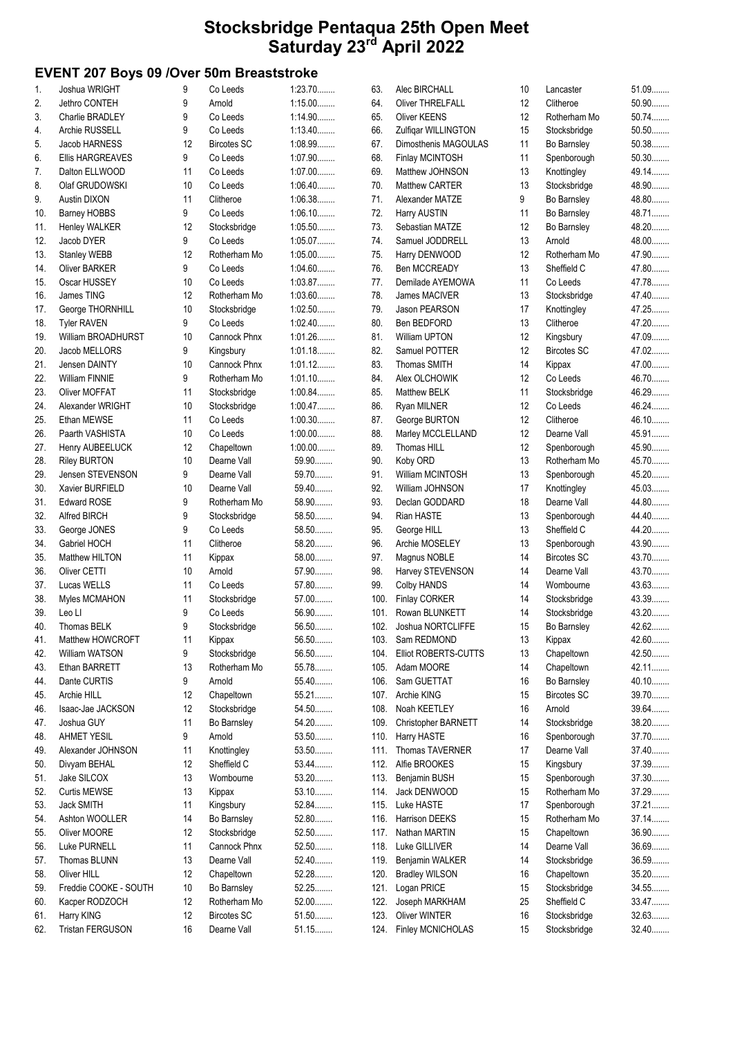## EVENT 207 Boys 09 /Over 50m Breaststroke

| 1.  | Joshua WRIGHT           | 9  | Co Leeds           | 1:23.70   | 63.  | Alec BIRCHALL                    | 10 | Lancaster          | 51.09   |
|-----|-------------------------|----|--------------------|-----------|------|----------------------------------|----|--------------------|---------|
| 2.  | Jethro CONTEH           | 9  | Arnold             | $1:15.00$ | 64.  | <b>Oliver THRELFALL</b>          | 12 | Clitheroe          | $50.90$ |
| 3.  | Charlie BRADLEY         | 9  | Co Leeds           | 1:14.90   | 65.  | Oliver KEENS                     | 12 | Rotherham Mo       | $50.74$ |
| 4.  | Archie RUSSELL          | 9  | Co Leeds           | 1:13.40   | 66.  | Zulfigar WILLINGTON              | 15 | Stocksbridge       | $50.50$ |
| 5.  | Jacob HARNESS           | 12 | <b>Bircotes SC</b> | 1:08.99   | 67.  | Dimosthenis MAGOULAS             | 11 | Bo Barnsley        | 50.38   |
| 6.  | <b>Ellis HARGREAVES</b> | 9  | Co Leeds           | $1:07.90$ | 68.  | Finlay MCINTOSH                  | 11 | Spenborough        | $50.30$ |
| 7.  | Dalton ELLWOOD          | 11 | Co Leeds           | $1:07.00$ | 69.  | Matthew JOHNSON                  | 13 | Knottingley        | 49.14.  |
| 8.  | Olaf GRUDOWSKI          | 10 | Co Leeds           | $1:06.40$ | 70.  | Matthew CARTER                   | 13 | Stocksbridge       | 48.90   |
| 9.  | Austin DIXON            | 11 | Clitheroe          | 1:06.38   | 71.  | Alexander MATZE                  | 9  | Bo Barnsley        | 48.80   |
| 10. | <b>Barney HOBBS</b>     | 9  | Co Leeds           | $1:06.10$ | 72.  | Harry AUSTIN                     | 11 | Bo Barnsley        | 48.71   |
|     |                         | 12 |                    | 1:05.50   | 73.  |                                  |    |                    | 48.20   |
| 11. | <b>Henley WALKER</b>    |    | Stocksbridge       |           |      | Sebastian MATZE                  | 12 | Bo Barnsley        |         |
| 12. | Jacob DYER              | 9  | Co Leeds           | 1:05.07   | 74.  | Samuel JODDRELL                  | 13 | Arnold             | 48.00   |
| 13. | <b>Stanley WEBB</b>     | 12 | Rotherham Mo       | $1:05.00$ | 75.  | Harry DENWOOD                    | 12 | Rotherham Mo       | 47.90   |
| 14. | <b>Oliver BARKER</b>    | 9  | Co Leeds           | 1:04.60   | 76.  | Ben MCCREADY                     | 13 | Sheffield C        | 47.80   |
| 15. | Oscar HUSSEY            | 10 | Co Leeds           | 1:03.87   | 77.  | Demilade AYEMOWA                 | 11 | Co Leeds           | 47.78   |
| 16. | James TING              | 12 | Rotherham Mo       | 1:03.60   | 78.  | James MACIVER                    | 13 | Stocksbridge       | 47.40   |
| 17. | George THORNHILL        | 10 | Stocksbridge       | 1:02.50   | 79.  | Jason PEARSON                    | 17 | Knottingley        | 47.25   |
| 18. | <b>Tyler RAVEN</b>      | 9  | Co Leeds           | 1:02.40   | 80.  | Ben BEDFORD                      | 13 | Clitheroe          | 47.20   |
| 19. | William BROADHURST      | 10 | Cannock Phnx       | 1:01.26   | 81.  | <b>William UPTON</b>             | 12 | Kingsbury          | 47.09   |
| 20. | Jacob MELLORS           | 9  | Kingsbury          | 1:01.18   | 82.  | Samuel POTTER                    | 12 | <b>Bircotes SC</b> | 47.02   |
| 21. | Jensen DAINTY           | 10 | Cannock Phnx       | 1:01.12   | 83.  | Thomas SMITH                     | 14 | Kippax             | 47.00   |
| 22. | <b>William FINNIE</b>   | 9  | Rotherham Mo       | 1:01.10   | 84.  | Alex OLCHOWIK                    | 12 | Co Leeds           | 46.70   |
| 23. | Oliver MOFFAT           | 11 | Stocksbridge       | $1:00.84$ | 85.  | <b>Matthew BELK</b>              | 11 | Stocksbridge       | 46.29   |
| 24. | Alexander WRIGHT        | 10 | Stocksbridge       | 1:00.47   | 86.  | Ryan MILNER                      | 12 | Co Leeds           | 46.24.  |
| 25. | Ethan MEWSE             | 11 | Co Leeds           | $1:00.30$ | 87.  | George BURTON                    | 12 | Clitheroe          | 46.10   |
| 26. | Paarth VASHISTA         | 10 | Co Leeds           | $1:00.00$ | 88.  | Marley MCCLELLAND                | 12 | Dearne Vall        | 45.91   |
| 27. | Henry AUBEELUCK         | 12 | Chapeltown         | $1:00.00$ | 89.  | Thomas HILL                      | 12 | Spenborough        | 45.90   |
| 28. | <b>Riley BURTON</b>     | 10 | Dearne Vall        | 59.90     | 90.  | Koby ORD                         | 13 | Rotherham Mo       | 45.70   |
|     |                         |    | Dearne Vall        | 59.70     | 91.  |                                  | 13 |                    | 45.20   |
| 29. | Jensen STEVENSON        | 9  |                    |           |      | William MCINTOSH                 |    | Spenborough        |         |
| 30. | Xavier BURFIELD         | 10 | Dearne Vall        | 59.40     | 92.  | William JOHNSON                  | 17 | Knottingley        | 45.03   |
| 31. | <b>Edward ROSE</b>      | 9  | Rotherham Mo       | 58.90     | 93.  | Declan GODDARD                   | 18 | Dearne Vall        | 44.80   |
| 32. | Alfred BIRCH            | 9  | Stocksbridge       | 58.50     | 94.  | Rian HASTE                       | 13 | Spenborough        | 44.40   |
| 33. | George JONES            | 9  | Co Leeds           | 58.50     | 95.  | George HILL                      | 13 | Sheffield C        | 44.20   |
| 34. | Gabriel HOCH            | 11 | Clitheroe          | 58.20     | 96.  | Archie MOSELEY                   | 13 | Spenborough        | 43.90   |
| 35. | Matthew HILTON          | 11 | Kippax             | 58.00     | 97.  | Magnus NOBLE                     | 14 | <b>Bircotes SC</b> | 43.70   |
| 36. | Oliver CETTI            | 10 | Arnold             | 57.90     | 98.  | Harvey STEVENSON                 | 14 | Dearne Vall        | 43.70   |
| 37. | Lucas WELLS             | 11 | Co Leeds           | 57.80     | 99.  | Colby HANDS                      | 14 | Wombourne          | 43.63   |
| 38. | Myles MCMAHON           | 11 | Stocksbridge       | 57.00     | 100. | Finlay CORKER                    | 14 | Stocksbridge       | 43.39   |
| 39. | Leo Ll                  | 9  | Co Leeds           | 56.90     | 101. | Rowan BLUNKETT                   | 14 | Stocksbridge       | 43.20   |
| 40. | Thomas BELK             | 9  | Stocksbridge       | 56.50     |      | 102. Joshua NORTCLIFFE           | 15 | Bo Barnsley        | 42.62   |
| 41. | Matthew HOWCROFT        | 11 | Kippax             | 56.50     | 103. | Sam REDMOND                      | 13 | Kippax             | 42.60   |
| 42. | William WATSON          | 9  | Stocksbridge       | 56.50     | 104. | Elliot ROBERTS-CUTTS             | 13 | Chapeltown         | 42.50   |
| 43. | Ethan BARRETT           | 13 | Rotherham Mo       | 55.78     | 105. | Adam MOORE                       | 14 | Chapeltown         | 42.11.  |
| 44. | Dante CURTIS            | 9  | Arnold             | 55.40     | 106. | Sam GUETTAT                      | 16 | Bo Barnsley        | 40.10   |
| 45. | Archie HILL             | 12 | Chapeltown         | 55.21     | 107. | Archie KING                      | 15 | <b>Bircotes SC</b> | 39.70   |
| 46. | Isaac-Jae JACKSON       | 12 | Stocksbridge       | 54.50     | 108. | Noah KEETLEY                     | 16 | Arnold             | 39.64   |
| 47. | Joshua GUY              | 11 | Bo Barnsley        | 54.20     | 109. | Christopher BARNETT              | 14 | Stocksbridge       | 38.20   |
| 48. | <b>AHMET YESIL</b>      | 9  | Arnold             | 53.50     | 110. | Harry HASTE                      | 16 | Spenborough        | 37.70   |
|     |                         |    |                    | 53.50     | 111. |                                  |    | Dearne Vall        | 37.40   |
| 49. | Alexander JOHNSON       | 11 | Knottingley        |           |      | Thomas TAVERNER<br>Alfie BROOKES | 17 |                    |         |
| 50. | Divyam BEHAL            | 12 | Sheffield C        | 53.44     | 112. |                                  | 15 | Kingsbury          | 37.39   |
| 51. | Jake SILCOX             | 13 | Wombourne          | 53.20     | 113. | Benjamin BUSH                    | 15 | Spenborough        | 37.30   |
| 52. | Curtis MEWSE            | 13 | Kippax             | $53.10$   | 114. | Jack DENWOOD                     | 15 | Rotherham Mo       | 37.29   |
| 53. | Jack SMITH              | 11 | Kingsbury          | 52.84     | 115. | Luke HASTE                       | 17 | Spenborough        | 37.21   |
| 54. | Ashton WOOLLER          | 14 | Bo Barnsley        | 52.80     | 116. | Harrison DEEKS                   | 15 | Rotherham Mo       | 37.14   |
| 55. | Oliver MOORE            | 12 | Stocksbridge       | 52.50     | 117. | Nathan MARTIN                    | 15 | Chapeltown         | 36.90   |
| 56. | Luke PURNELL            | 11 | Cannock Phnx       | 52.50     | 118. | Luke GILLIVER                    | 14 | Dearne Vall        | 36.69   |
| 57. | Thomas BLUNN            | 13 | Dearne Vall        | 52.40     | 119. | Benjamin WALKER                  | 14 | Stocksbridge       | 36.59   |
| 58. | Oliver HILL             | 12 | Chapeltown         | 52.28     | 120. | <b>Bradley WILSON</b>            | 16 | Chapeltown         | 35.20   |
| 59. | Freddie COOKE - SOUTH   | 10 | Bo Barnsley        | 52.25     | 121. | Logan PRICE                      | 15 | Stocksbridge       | 34.55   |
| 60. | Kacper RODZOCH          | 12 | Rotherham Mo       | $52.00$   | 122. | Joseph MARKHAM                   | 25 | Sheffield C        | 33.47   |
| 61. | Harry KING              | 12 | <b>Bircotes SC</b> | $51.50$   | 123. | Oliver WINTER                    | 16 | Stocksbridge       | 32.63   |
| 62. | Tristan FERGUSON        | 16 | Dearne Vall        | 51.15     | 124. | Finley MCNICHOLAS                | 15 | Stocksbridge       | 32.40   |
|     |                         |    |                    |           |      |                                  |    |                    |         |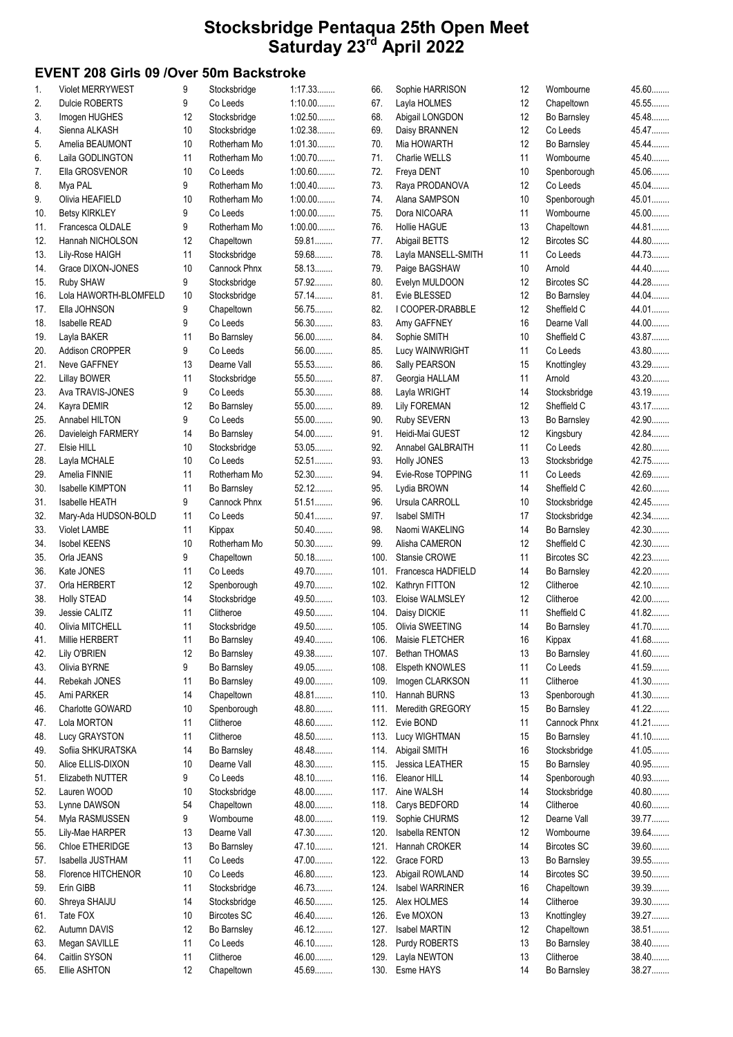## EVENT 208 Girls 09 /Over 50m Backstroke

| 1.  | <b>Violet MERRYWEST</b> | 9  | Stocksbridge       | 1:17.33   | 66.  | Sophie HARRISON      | 12                | Wombourne          | 45.60  |
|-----|-------------------------|----|--------------------|-----------|------|----------------------|-------------------|--------------------|--------|
| 2.  | <b>Dulcie ROBERTS</b>   | 9  | Co Leeds           | $1:10.00$ | 67.  | Layla HOLMES         | 12                | Chapeltown         | 45.55  |
| 3.  | Imogen HUGHES           | 12 | Stocksbridge       | $1:02.50$ | 68.  | Abigail LONGDON      | 12                | Bo Barnsley        | 45.48  |
| 4.  | Sienna ALKASH           | 10 |                    | 1:02.38   | 69.  | Daisy BRANNEN        | 12                | Co Leeds           | 45.47  |
|     |                         |    | Stocksbridge       |           |      |                      |                   |                    |        |
| 5.  | Amelia BEAUMONT         | 10 | Rotherham Mo       | 1:01.30   | 70.  | Mia HOWARTH          | 12                | Bo Barnsley        | 45.44  |
| 6.  | Laila GODLINGTON        | 11 | Rotherham Mo       | $1:00.70$ | 71.  | Charlie WELLS        | 11                | Wombourne          | 45.40  |
| 7.  | Ella GROSVENOR          | 10 | Co Leeds           | $1:00.60$ | 72.  | Freya DENT           | 10                | Spenborough        | 45.06  |
| 8.  | Mya PAL                 | 9  | Rotherham Mo       | $1:00.40$ | 73.  | Raya PRODANOVA       | 12                | Co Leeds           | 45.04  |
| 9.  | Olivia HEAFIELD         | 10 | Rotherham Mo       | $1:00.00$ | 74.  | Alana SAMPSON        | 10 <sup>°</sup>   | Spenborough        | 45.01  |
|     |                         |    |                    | $1:00.00$ |      |                      |                   | Wombourne          | 45.00  |
| 10. | <b>Betsy KIRKLEY</b>    | 9  | Co Leeds           |           | 75.  | Dora NICOARA         | 11                |                    |        |
| 11. | Francesca OLDALE        | 9  | Rotherham Mo       | $1:00.00$ | 76.  | <b>Hollie HAGUE</b>  | 13                | Chapeltown         | 44.81  |
| 12. | Hannah NICHOLSON        | 12 | Chapeltown         | 59.81     | 77.  | Abigail BETTS        | 12                | <b>Bircotes SC</b> | 44.80  |
| 13. | Lily-Rose HAIGH         | 11 | Stocksbridge       | 59.68     | 78.  | Layla MANSELL-SMITH  | 11                | Co Leeds           | 44.73  |
| 14. | Grace DIXON-JONES       | 10 | Cannock Phnx       | 58.13     | 79.  | Paige BAGSHAW        | 10 <sup>°</sup>   | Arnold             | 44.40  |
|     |                         |    |                    |           |      |                      |                   |                    |        |
| 15. | Ruby SHAW               | 9  | Stocksbridge       | 57.92     | 80.  | Evelyn MULDOON       | 12                | <b>Bircotes SC</b> | 44.28  |
| 16. | Lola HAWORTH-BLOMFELD   | 10 | Stocksbridge       | 57.14     | 81.  | Evie BLESSED         | 12                | Bo Barnsley        | 44.04  |
| 17. | Ella JOHNSON            | 9  | Chapeltown         | 56.75     | 82.  | I COOPER-DRABBLE     | 12                | Sheffield C        | 44.01  |
| 18. | Isabelle READ           | 9  | Co Leeds           | 56.30     | 83.  | Amy GAFFNEY          | 16                | Dearne Vall        | 44.00  |
| 19. | Layla BAKER             | 11 | Bo Barnsley        | 56.00     | 84.  | Sophie SMITH         | 10                | Sheffield C        | 43.87  |
|     | Addison CROPPER         |    | Co Leeds           | $56.00$   | 85.  |                      | 11                | Co Leeds           | 43.80  |
| 20. |                         | 9  |                    |           |      | Lucy WAINWRIGHT      |                   |                    |        |
| 21. | Neve GAFFNEY            | 13 | Dearne Vall        | 55.53     | 86.  | Sally PEARSON        | 15                | Knottingley        | 43.29  |
| 22. | <b>Lillay BOWER</b>     | 11 | Stocksbridge       | 55.50     | 87.  | Georgia HALLAM       | 11                | Arnold             | 43.20  |
| 23. | Ava TRAVIS-JONES        | 9  | Co Leeds           | 55.30     | 88.  | Layla WRIGHT         | 14                | Stocksbridge       | 43.19  |
| 24. | Kayra DEMIR             | 12 | Bo Barnsley        | 55.00     | 89.  | <b>Lily FOREMAN</b>  | $12 \overline{ }$ | Sheffield C        | 43.17  |
|     | Annabel HILTON          | 9  | Co Leeds           | 55.00     | 90.  |                      | 13                | Bo Barnsley        | 42.90  |
| 25. |                         |    |                    |           |      | Ruby SEVERN          |                   |                    |        |
| 26. | Davieleigh FARMERY      | 14 | Bo Barnsley        | 54.00     | 91.  | Heidi-Mai GUEST      | 12                | Kingsbury          | 42.84  |
| 27. | Elsie HILL              | 10 | Stocksbridge       | $53.05$   | 92.  | Annabel GALBRAITH    | 11                | Co Leeds           | 42.80  |
| 28. | Layla MCHALE            | 10 | Co Leeds           | 52.51     | 93.  | <b>Holly JONES</b>   | 13                | Stocksbridge       | 42.75  |
| 29. | Amelia FINNIE           | 11 | Rotherham Mo       | 52.30     | 94.  | Evie-Rose TOPPING    | 11                | Co Leeds           | 42.69  |
| 30. | <b>Isabelle KIMPTON</b> | 11 | Bo Barnsley        | 52.12     | 95.  | Lydia BROWN          | 14                | Sheffield C        | 42.60  |
|     |                         |    |                    |           |      |                      |                   |                    |        |
| 31. | <b>Isabelle HEATH</b>   | 9  | Cannock Phnx       | 51.51     | 96.  | Ursula CARROLL       | 10                | Stocksbridge       | 42.45  |
| 32. | Mary-Ada HUDSON-BOLD    | 11 | Co Leeds           | 50.41     | 97.  | Isabel SMITH         | 17                | Stocksbridge       | 42.34  |
| 33. | <b>Violet LAMBE</b>     | 11 | Kippax             | $50.40$   | 98.  | Naomi WAKELING       | 14                | Bo Barnsley        | 42.30  |
| 34. | <b>Isobel KEENS</b>     | 10 | Rotherham Mo       | $50.30$   | 99.  | Alisha CAMERON       | 12                | Sheffield C        | 42.30  |
| 35. | Orla JEANS              | 9  | Chapeltown         | $50.18$   | 100. | <b>Stansie CROWE</b> | 11                | <b>Bircotes SC</b> | 42.23  |
|     |                         |    |                    |           |      |                      |                   |                    |        |
| 36. | Kate JONES              | 11 | Co Leeds           | 49.70     | 101. | Francesca HADFIELD   | 14                | Bo Barnsley        | 42.20  |
| 37. | Orla HERBERT            | 12 | Spenborough        | 49.70     | 102. | Kathryn FITTON       | 12                | Clitheroe          | 42.10. |
| 38. | <b>Holly STEAD</b>      | 14 | Stocksbridge       | 49.50     | 103. | Eloise WALMSLEY      | 12                | Clitheroe          | 42.00  |
| 39. | Jessie CALITZ           | 11 | Clitheroe          | 49.50     | 104. | Daisy DICKIE         | 11                | Sheffield C        | 41.82  |
| 40. | Olivia MITCHELL         | 11 | Stocksbridge       | 49.50     |      | 105. Olivia SWEETING | 14                | Bo Barnsley        | 41.70  |
|     |                         |    |                    |           |      |                      |                   |                    | 41.68  |
| 41. | Millie HERBERT          | 11 | Bo Barnsley        | 49.40     |      | 106. Maisie FLETCHER | 16                | Kippax             |        |
| 42. | Lily O'BRIEN            | 12 | Bo Barnsley        | 49.38     | 107. | <b>Bethan THOMAS</b> | 13                | Bo Barnsley        | 41.60  |
| 43. | Olivia BYRNE            | 9  | Bo Barnsley        | 49.05     | 108. | Elspeth KNOWLES      | 11                | Co Leeds           | 41.59  |
| 44. | Rebekah JONES           | 11 | Bo Barnsley        | 49.00     | 109. | Imogen CLARKSON      | 11                | Clitheroe          | 41.30  |
| 45. | Ami PARKER              | 14 | Chapeltown         | 48.81     | 110. | Hannah BURNS         | 13                | Spenborough        | 41.30  |
|     | Charlotte GOWARD        | 10 | Spenborough        | 48.80     | 111. | Meredith GREGORY     | 15                | Bo Barnsley        | 41.22  |
| 46. |                         |    |                    |           |      |                      |                   |                    |        |
| 47. | Lola MORTON             | 11 | Clitheroe          | 48.60     | 112. | Evie BOND            | 11                | Cannock Phnx       | 41.21  |
| 48. | Lucy GRAYSTON           | 11 | Clitheroe          | 48.50     | 113. | Lucy WIGHTMAN        | 15                | Bo Barnsley        | 41.10  |
| 49. | Sofiia SHKURATSKA       | 14 | Bo Barnsley        | 48.48     | 114. | Abigail SMITH        | 16                | Stocksbridge       | 41.05  |
| 50. | Alice ELLIS-DIXON       | 10 | Dearne Vall        | 48.30     | 115. | Jessica LEATHER      | 15                | Bo Barnsley        | 40.95  |
|     | Elizabeth NUTTER        | 9  | Co Leeds           | 48.10     | 116. | Eleanor HILL         | 14                | Spenborough        | 40.93  |
| 51. |                         |    |                    |           |      |                      |                   |                    |        |
| 52. | Lauren WOOD             | 10 | Stocksbridge       | 48.00     | 117. | Aine WALSH           | 14                | Stocksbridge       | 40.80  |
| 53. | Lynne DAWSON            | 54 | Chapeltown         | 48.00     | 118. | Carys BEDFORD        | 14                | Clitheroe          | 40.60  |
| 54. | Myla RASMUSSEN          | 9  | Wombourne          | 48.00     | 119. | Sophie CHURMS        | 12                | Dearne Vall        | 39.77  |
| 55. | Lily-Mae HARPER         | 13 | Dearne Vall        | 47.30     | 120. | Isabella RENTON      | 12                | Wombourne          | 39.64  |
| 56. | Chloe ETHERIDGE         | 13 | Bo Barnsley        | 47.10     | 121. | Hannah CROKER        | 14                | <b>Bircotes SC</b> | 39.60  |
|     |                         |    |                    |           |      |                      |                   |                    |        |
| 57. | Isabella JUSTHAM        | 11 | Co Leeds           | 47.00     | 122. | Grace FORD           | 13                | Bo Barnsley        | 39.55  |
| 58. | Florence HITCHENOR      | 10 | Co Leeds           | 46.80     | 123. | Abigail ROWLAND      | 14                | <b>Bircotes SC</b> | 39.50  |
| 59. | Erin GIBB               | 11 | Stocksbridge       | 46.73     | 124. | Isabel WARRINER      | 16                | Chapeltown         | 39.39  |
| 60. | Shreya SHAIJU           | 14 | Stocksbridge       | 46.50     | 125. | Alex HOLMES          | 14                | Clitheroe          | 39.30  |
| 61. | Tate FOX                | 10 | <b>Bircotes SC</b> | 46.40     | 126. | Eve MOXON            | 13                | Knottingley        | 39.27  |
|     |                         |    |                    |           |      |                      |                   |                    |        |
| 62. | Autumn DAVIS            | 12 | Bo Barnsley        | 46.12     | 127. | Isabel MARTIN        | 12                | Chapeltown         | 38.51  |
| 63. | Megan SAVILLE           | 11 | Co Leeds           | 46.10     | 128. | Purdy ROBERTS        | 13                | Bo Barnsley        | 38.40  |
| 64. | Caitlin SYSON           | 11 | Clitheroe          | 46.00     | 129. | Layla NEWTON         | 13                | Clitheroe          | 38.40  |
| 65. | Ellie ASHTON            | 12 | Chapeltown         | 45.69     |      | 130. Esme HAYS       | 14                | Bo Barnsley        | 38.27  |